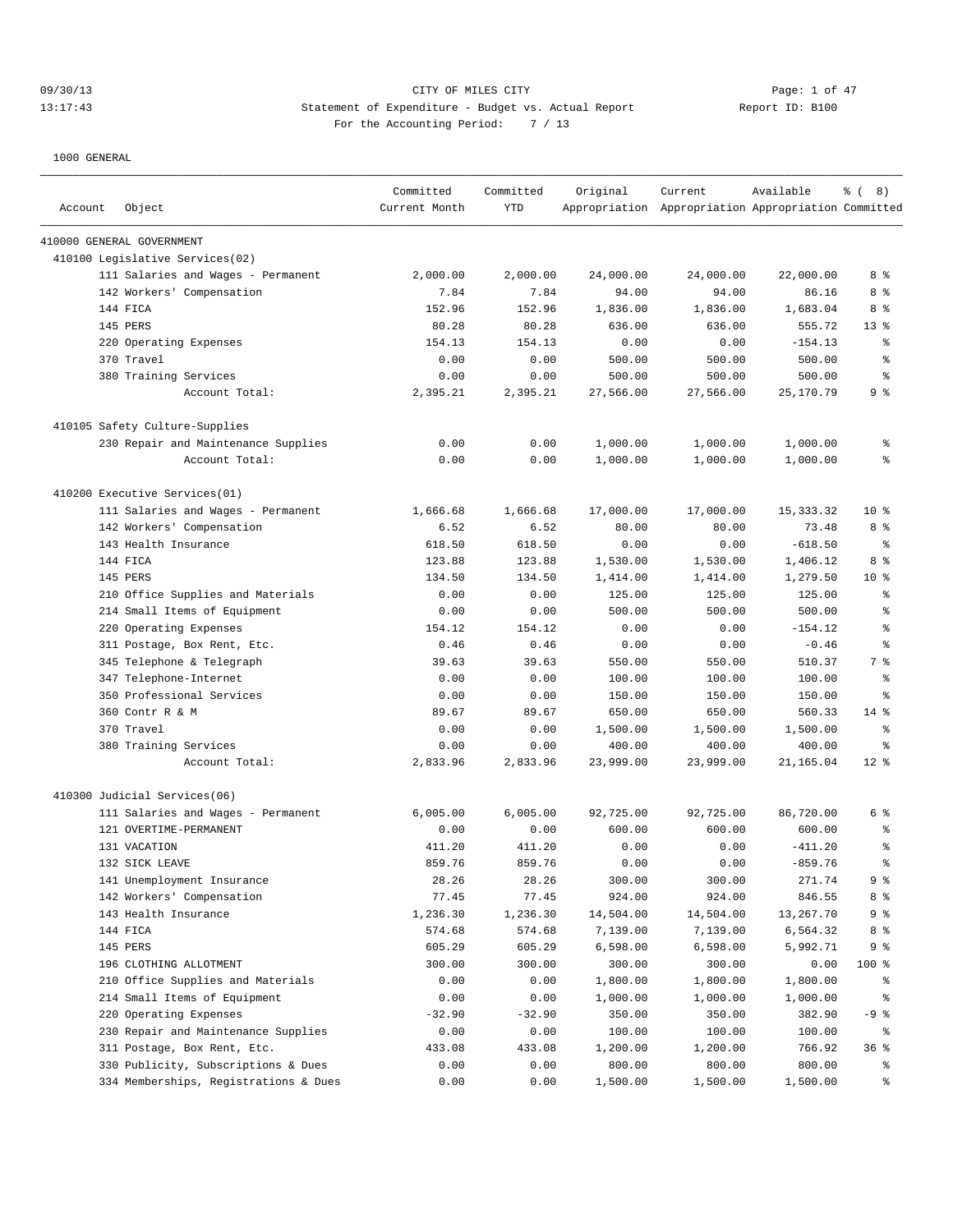# 09/30/13 Page: 1 of 47 13:17:43 Statement of Expenditure - Budget vs. Actual Report Report ID: B100 For the Accounting Period: 7 / 13

| Account | Object                                | Committed<br>Current Month | Committed<br>YTD | Original  | Current<br>Appropriation Appropriation Appropriation Committed | Available   | ී (<br>8)        |
|---------|---------------------------------------|----------------------------|------------------|-----------|----------------------------------------------------------------|-------------|------------------|
|         | 410000 GENERAL GOVERNMENT             |                            |                  |           |                                                                |             |                  |
|         | 410100 Legislative Services(02)       |                            |                  |           |                                                                |             |                  |
|         | 111 Salaries and Wages - Permanent    | 2,000.00                   | 2,000.00         | 24,000.00 | 24,000.00                                                      | 22,000.00   | 8 %              |
|         | 142 Workers' Compensation             | 7.84                       | 7.84             | 94.00     | 94.00                                                          | 86.16       | 8 %              |
|         | 144 FICA                              | 152.96                     | 152.96           | 1,836.00  | 1,836.00                                                       | 1,683.04    | 8 %              |
|         | 145 PERS                              | 80.28                      | 80.28            | 636.00    | 636.00                                                         | 555.72      | 13 <sup>8</sup>  |
|         | 220 Operating Expenses                | 154.13                     | 154.13           | 0.00      | 0.00                                                           | $-154.13$   | ి                |
|         | 370 Travel                            | 0.00                       | 0.00             | 500.00    | 500.00                                                         | 500.00      | ి                |
|         | 380 Training Services                 | 0.00                       | 0.00             | 500.00    | 500.00                                                         | 500.00      | $\epsilon$       |
|         | Account Total:                        | 2,395.21                   | 2,395.21         | 27,566.00 | 27,566.00                                                      | 25, 170.79  | 9 <sup>°</sup>   |
|         | 410105 Safety Culture-Supplies        |                            |                  |           |                                                                |             |                  |
|         | 230 Repair and Maintenance Supplies   | 0.00                       | 0.00             | 1,000.00  | 1,000.00                                                       | 1,000.00    | ႜ                |
|         | Account Total:                        | 0.00                       | 0.00             | 1,000.00  | 1,000.00                                                       | 1,000.00    | ి                |
|         | 410200 Executive Services(01)         |                            |                  |           |                                                                |             |                  |
|         | 111 Salaries and Wages - Permanent    | 1,666.68                   | 1,666.68         | 17,000.00 | 17,000.00                                                      | 15, 333. 32 | $10*$            |
|         | 142 Workers' Compensation             | 6.52                       | 6.52             | 80.00     | 80.00                                                          | 73.48       | 8 %              |
|         | 143 Health Insurance                  | 618.50                     | 618.50           | 0.00      | 0.00                                                           | $-618.50$   | $\epsilon$       |
|         | 144 FICA                              | 123.88                     | 123.88           | 1,530.00  | 1,530.00                                                       | 1,406.12    | 8 %              |
|         | 145 PERS                              | 134.50                     | 134.50           | 1,414.00  | 1,414.00                                                       | 1,279.50    | $10*$            |
|         | 210 Office Supplies and Materials     | 0.00                       | 0.00             | 125.00    | 125.00                                                         | 125.00      | ి                |
|         | 214 Small Items of Equipment          | 0.00                       | 0.00             | 500.00    | 500.00                                                         | 500.00      | ి                |
| 220     | Operating Expenses                    | 154.12                     | 154.12           | 0.00      | 0.00                                                           | $-154.12$   | $\,{}^{\circ}\!$ |
|         | 311 Postage, Box Rent, Etc.           | 0.46                       | 0.46             | 0.00      | 0.00                                                           | $-0.46$     | နွ               |
|         | 345 Telephone & Telegraph             | 39.63                      | 39.63            | 550.00    | 550.00                                                         | 510.37      | 7 %              |
|         | 347 Telephone-Internet                | 0.00                       | 0.00             | 100.00    | 100.00                                                         | 100.00      | ి                |
|         | 350 Professional Services             | 0.00                       | 0.00             | 150.00    | 150.00                                                         | 150.00      | နွ               |
|         | 360 Contr R & M                       | 89.67                      | 89.67            | 650.00    | 650.00                                                         | 560.33      | $14$ %           |
|         | 370 Travel                            | 0.00                       | 0.00             | 1,500.00  | 1,500.00                                                       | 1,500.00    | $\epsilon$       |
|         | 380 Training Services                 | 0.00                       | 0.00             | 400.00    | 400.00                                                         | 400.00      | ႜ                |
|         | Account Total:                        | 2,833.96                   | 2,833.96         | 23,999.00 | 23,999.00                                                      | 21,165.04   | $12*$            |
|         | 410300 Judicial Services(06)          |                            |                  |           |                                                                |             |                  |
|         | 111 Salaries and Wages - Permanent    | 6,005.00                   | 6,005.00         | 92,725.00 | 92,725.00                                                      | 86,720.00   | 6 %              |
|         | 121 OVERTIME-PERMANENT                | 0.00                       | 0.00             | 600.00    | 600.00                                                         | 600.00      | နွ               |
|         | 131 VACATION                          | 411.20                     | 411.20           | 0.00      | 0.00                                                           | $-411.20$   | ి                |
|         | 132 SICK LEAVE                        | 859.76                     | 859.76           | 0.00      | 0.00                                                           | $-859.76$   | $\approx$        |
|         | 141 Unemployment Insurance            | 28.26                      | 28.26            | 300.00    | 300.00                                                         | 271.74      | 9 %              |
|         | 142 Workers' Compensation             | 77.45                      | 77.45            | 924.00    | 924.00                                                         | 846.55      | 8 %              |
|         | 143 Health Insurance                  | 1,236.30                   | 1,236.30         | 14,504.00 | 14,504.00                                                      | 13,267.70   | 9 %              |
|         | 144 FICA                              | 574.68                     | 574.68           | 7,139.00  | 7,139.00                                                       | 6,564.32    | 8 %              |
|         | 145 PERS                              | 605.29                     | 605.29           | 6,598.00  | 6,598.00                                                       | 5,992.71    | 9 %              |
|         | 196 CLOTHING ALLOTMENT                | 300.00                     | 300.00           | 300.00    | 300.00                                                         | 0.00        | 100 %            |
| 210     | Office Supplies and Materials         | 0.00                       | 0.00             | 1,800.00  | 1,800.00                                                       | 1,800.00    | ိန               |
|         | 214 Small Items of Equipment          | 0.00                       | 0.00             | 1,000.00  | 1,000.00                                                       | 1,000.00    | ိန               |
|         | 220 Operating Expenses                | $-32.90$                   | $-32.90$         | 350.00    | 350.00                                                         | 382.90      | $-9$ %           |
|         | 230 Repair and Maintenance Supplies   | 0.00                       | 0.00             | 100.00    | 100.00                                                         | 100.00      | ႜ                |
|         | 311 Postage, Box Rent, Etc.           | 433.08                     | 433.08           | 1,200.00  | 1,200.00                                                       | 766.92      | 36%              |
|         | 330 Publicity, Subscriptions & Dues   | 0.00                       | 0.00             | 800.00    | 800.00                                                         | 800.00      | ႜૢ               |
|         | 334 Memberships, Registrations & Dues | 0.00                       | 0.00             | 1,500.00  | 1,500.00                                                       | 1,500.00    | ိင               |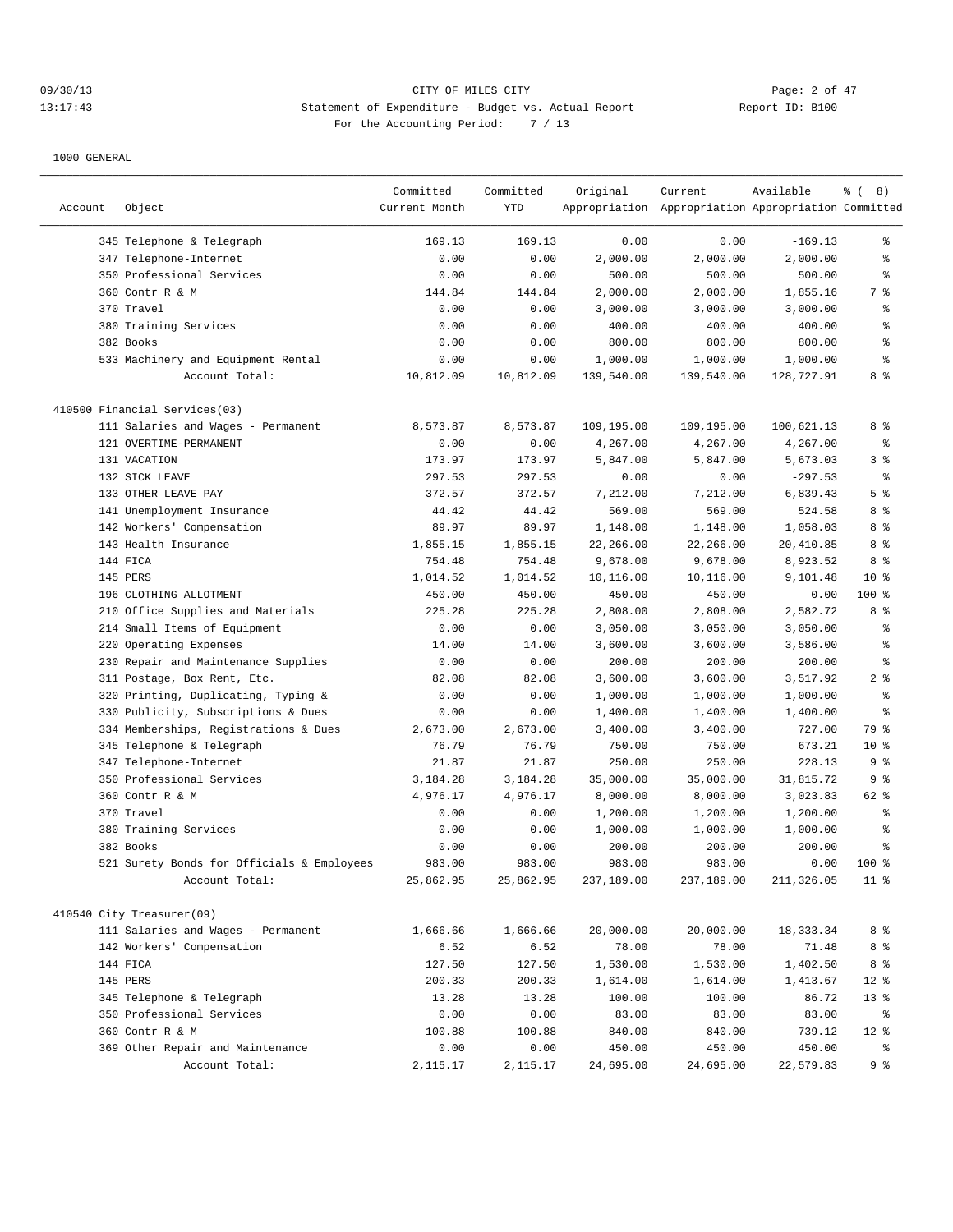# 09/30/13 CITY OF MILES CITY Page: 2 of 47 13:17:43 Statement of Expenditure - Budget vs. Actual Report Report ID: B100 For the Accounting Period: 7 / 13

|         |                                            | Committed     | Committed | Original   | Current                                             | Available  | $\frac{6}{6}$ ( 8) |
|---------|--------------------------------------------|---------------|-----------|------------|-----------------------------------------------------|------------|--------------------|
| Account | Object                                     | Current Month | YTD       |            | Appropriation Appropriation Appropriation Committed |            |                    |
|         | 345 Telephone & Telegraph                  | 169.13        | 169.13    | 0.00       | 0.00                                                | $-169.13$  | နွ                 |
|         | 347 Telephone-Internet                     | 0.00          | 0.00      | 2,000.00   | 2,000.00                                            | 2,000.00   | ి                  |
|         | 350 Professional Services                  | 0.00          | 0.00      | 500.00     | 500.00                                              | 500.00     | ి                  |
|         | 360 Contr R & M                            | 144.84        | 144.84    | 2,000.00   | 2,000.00                                            | 1,855.16   | 7 %                |
|         | 370 Travel                                 | 0.00          | 0.00      | 3,000.00   | 3,000.00                                            | 3,000.00   | ి                  |
|         | 380 Training Services                      | 0.00          | 0.00      | 400.00     | 400.00                                              | 400.00     | ి                  |
|         | 382 Books                                  | 0.00          | 0.00      | 800.00     | 800.00                                              | 800.00     | ి                  |
|         | 533 Machinery and Equipment Rental         | 0.00          | 0.00      | 1,000.00   | 1,000.00                                            | 1,000.00   | $\,{}^{\circ}\!$   |
|         | Account Total:                             | 10,812.09     | 10,812.09 | 139,540.00 | 139,540.00                                          | 128,727.91 | $8\degree$         |
|         | 410500 Financial Services(03)              |               |           |            |                                                     |            |                    |
|         | 111 Salaries and Wages - Permanent         | 8,573.87      | 8,573.87  | 109,195.00 | 109,195.00                                          | 100,621.13 | 8 %                |
|         | 121 OVERTIME-PERMANENT                     | 0.00          | 0.00      | 4,267.00   | 4,267.00                                            | 4,267.00   | ႜ                  |
|         | 131 VACATION                               | 173.97        | 173.97    | 5,847.00   | 5,847.00                                            | 5,673.03   | 3%                 |
|         | 132 SICK LEAVE                             | 297.53        | 297.53    | 0.00       | 0.00                                                | $-297.53$  | နွ                 |
|         | 133 OTHER LEAVE PAY                        | 372.57        | 372.57    | 7,212.00   | 7,212.00                                            | 6,839.43   | 5 <sup>°</sup>     |
|         | 141 Unemployment Insurance                 | 44.42         | 44.42     | 569.00     | 569.00                                              | 524.58     | 8 %                |
|         | 142 Workers' Compensation                  | 89.97         | 89.97     | 1,148.00   | 1,148.00                                            | 1,058.03   | 8 %                |
|         | 143 Health Insurance                       | 1,855.15      | 1,855.15  | 22,266.00  | 22,266.00                                           | 20,410.85  | 8 %                |
|         | 144 FICA                                   | 754.48        | 754.48    | 9,678.00   | 9,678.00                                            | 8,923.52   | 8 %                |
|         | 145 PERS                                   | 1,014.52      | 1,014.52  | 10,116.00  | 10,116.00                                           | 9,101.48   | 10 <sup>8</sup>    |
|         | 196 CLOTHING ALLOTMENT                     | 450.00        | 450.00    | 450.00     | 450.00                                              | 0.00       | 100 %              |
|         | 210 Office Supplies and Materials          | 225.28        | 225.28    | 2,808.00   | 2,808.00                                            | 2,582.72   | 8 %                |
|         | 214 Small Items of Equipment               | 0.00          | 0.00      | 3,050.00   | 3,050.00                                            | 3,050.00   | န္                 |
| 220     | Operating Expenses                         | 14.00         | 14.00     | 3,600.00   | 3,600.00                                            | 3,586.00   | ి                  |
|         | 230 Repair and Maintenance Supplies        | 0.00          | 0.00      | 200.00     | 200.00                                              | 200.00     | န္                 |
|         | 311 Postage, Box Rent, Etc.                | 82.08         | 82.08     | 3,600.00   | 3,600.00                                            | 3,517.92   | 2 <sup>°</sup>     |
|         | 320 Printing, Duplicating, Typing &        | 0.00          | 0.00      | 1,000.00   | 1,000.00                                            | 1,000.00   | နွ                 |
|         | 330 Publicity, Subscriptions & Dues        | 0.00          | 0.00      | 1,400.00   | 1,400.00                                            | 1,400.00   | $\,{}^{\circ}\!$   |
| 334     | Memberships, Registrations & Dues          | 2,673.00      | 2,673.00  | 3,400.00   | 3,400.00                                            | 727.00     | 79 %               |
|         | 345 Telephone & Telegraph                  | 76.79         | 76.79     | 750.00     | 750.00                                              | 673.21     | $10*$              |
|         | 347 Telephone-Internet                     | 21.87         | 21.87     | 250.00     | 250.00                                              | 228.13     | 9 %                |
|         | 350 Professional Services                  | 3,184.28      | 3,184.28  | 35,000.00  | 35,000.00                                           | 31,815.72  | 9 %                |
|         | 360 Contr R & M                            | 4,976.17      | 4,976.17  | 8,000.00   | 8,000.00                                            | 3,023.83   | 62 %               |
|         | 370 Travel                                 | 0.00          | 0.00      | 1,200.00   | 1,200.00                                            | 1,200.00   | ి                  |
|         | 380 Training Services                      | 0.00          | 0.00      | 1,000.00   | 1,000.00                                            | 1,000.00   | ి                  |
|         | 382 Books                                  | 0.00          | 0.00      | 200.00     | 200.00                                              | 200.00     | ి                  |
|         | 521 Surety Bonds for Officials & Employees | 983.00        | 983.00    | 983.00     | 983.00                                              | 0.00       | $100*$             |
|         | Account Total:                             | 25,862.95     | 25,862.95 | 237,189.00 | 237,189.00                                          | 211,326.05 | $11$ %             |
|         | 410540 City Treasurer(09)                  |               |           |            |                                                     |            |                    |
|         | 111 Salaries and Wages - Permanent         | 1,666.66      | 1,666.66  | 20,000.00  | 20,000.00                                           | 18, 333.34 | 8 %                |
|         | 142 Workers' Compensation                  | 6.52          | 6.52      | 78.00      | 78.00                                               | 71.48      | 8 %                |
|         | 144 FICA                                   | 127.50        | 127.50    | 1,530.00   | 1,530.00                                            | 1,402.50   | 8 %                |
|         | 145 PERS                                   | 200.33        | 200.33    | 1,614.00   | 1,614.00                                            | 1,413.67   | $12$ %             |
|         | 345 Telephone & Telegraph                  | 13.28         | 13.28     | 100.00     | 100.00                                              | 86.72      | 13 <sub>8</sub>    |
|         | 350 Professional Services                  | 0.00          | 0.00      | 83.00      | 83.00                                               | 83.00      | ိ                  |
|         | 360 Contr R & M                            | 100.88        | 100.88    | 840.00     | 840.00                                              | 739.12     | $12$ %             |
|         | 369 Other Repair and Maintenance           | 0.00          | 0.00      | 450.00     | 450.00                                              | 450.00     | ್ಠಿ                |
|         | Account Total:                             | 2,115.17      | 2,115.17  | 24,695.00  | 24,695.00                                           | 22,579.83  | 9 %                |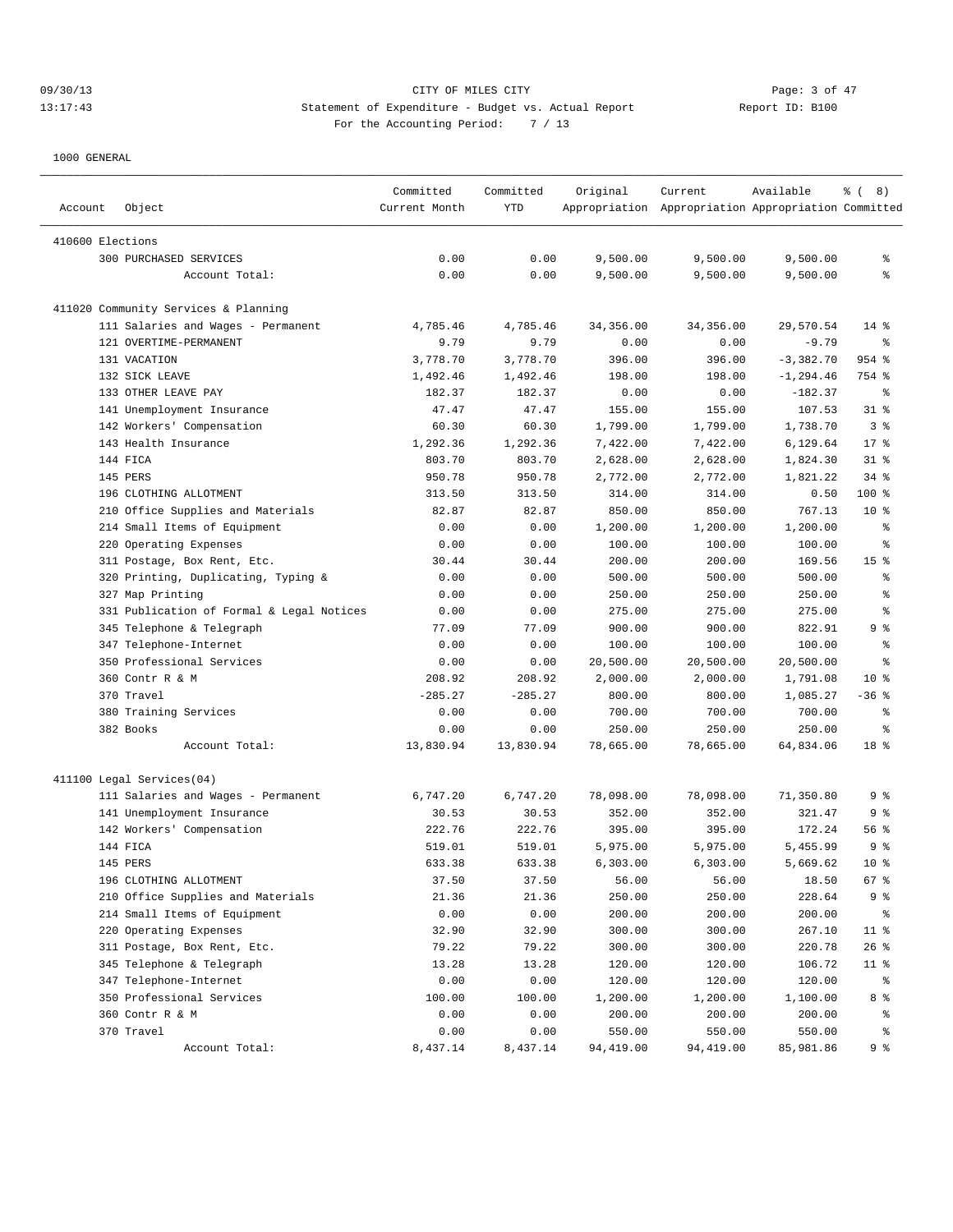# 09/30/13 CITY OF MILES CITY Page: 3 of 47 13:17:43 Statement of Expenditure - Budget vs. Actual Report 11: Report ID: B100 For the Accounting Period: 7 / 13

| Account          | Object                                    | Committed<br>Current Month | Committed<br>YTD | Original  | Current<br>Appropriation Appropriation Appropriation Committed | Available    | <sub>ර</sub> ි (8) |
|------------------|-------------------------------------------|----------------------------|------------------|-----------|----------------------------------------------------------------|--------------|--------------------|
| 410600 Elections |                                           |                            |                  |           |                                                                |              |                    |
|                  | 300 PURCHASED SERVICES                    | 0.00                       | 0.00             | 9,500.00  | 9,500.00                                                       | 9,500.00     | ႜ                  |
|                  | Account Total:                            | 0.00                       | 0.00             | 9,500.00  | 9,500.00                                                       | 9,500.00     | ి                  |
|                  |                                           |                            |                  |           |                                                                |              |                    |
|                  | 411020 Community Services & Planning      |                            |                  |           |                                                                |              |                    |
|                  | 111 Salaries and Wages - Permanent        | 4,785.46                   | 4,785.46         | 34,356.00 | 34,356.00                                                      | 29,570.54    | $14$ %             |
|                  | 121 OVERTIME-PERMANENT                    | 9.79                       | 9.79             | 0.00      | 0.00                                                           | $-9.79$      | နွ                 |
|                  | 131 VACATION                              | 3,778.70                   | 3,778.70         | 396.00    | 396.00                                                         | $-3,382.70$  | 954 %              |
|                  | 132 SICK LEAVE                            | 1,492.46                   | 1,492.46         | 198.00    | 198.00                                                         | $-1, 294.46$ | 754 %              |
|                  | 133 OTHER LEAVE PAY                       | 182.37                     | 182.37           | 0.00      | 0.00                                                           | $-182.37$    | ႜ                  |
|                  | 141 Unemployment Insurance                | 47.47                      | 47.47            | 155.00    | 155.00                                                         | 107.53       | $31$ %             |
|                  | 142 Workers' Compensation                 | 60.30                      | 60.30            | 1,799.00  | 1,799.00                                                       | 1,738.70     | 3%                 |
|                  | 143 Health Insurance                      | 1,292.36                   | 1,292.36         | 7,422.00  | 7,422.00                                                       | 6,129.64     | 17.8               |
|                  | 144 FICA                                  | 803.70                     | 803.70           | 2,628.00  | 2,628.00                                                       | 1,824.30     | $31$ %             |
|                  | 145 PERS                                  | 950.78                     | 950.78           | 2,772.00  | 2,772.00                                                       | 1,821.22     | $34$ $%$           |
|                  | 196 CLOTHING ALLOTMENT                    | 313.50                     | 313.50           | 314.00    | 314.00                                                         | 0.50         | 100 %              |
|                  | 210 Office Supplies and Materials         | 82.87                      | 82.87            | 850.00    | 850.00                                                         | 767.13       | $10*$              |
|                  | 214 Small Items of Equipment              | 0.00                       | 0.00             | 1,200.00  | 1,200.00                                                       | 1,200.00     | ႜ                  |
|                  | 220 Operating Expenses                    | 0.00                       | 0.00             | 100.00    | 100.00                                                         | 100.00       | န္                 |
|                  | 311 Postage, Box Rent, Etc.               | 30.44                      | 30.44            | 200.00    | 200.00                                                         | 169.56       | 15 <sup>°</sup>    |
|                  | 320 Printing, Duplicating, Typing &       | 0.00                       | 0.00             | 500.00    | 500.00                                                         | 500.00       | ႜ                  |
|                  | 327 Map Printing                          | 0.00                       | 0.00             | 250.00    | 250.00                                                         | 250.00       | ి                  |
|                  | 331 Publication of Formal & Legal Notices | 0.00                       | 0.00             | 275.00    | 275.00                                                         | 275.00       | ႜ                  |
|                  | 345 Telephone & Telegraph                 | 77.09                      | 77.09            | 900.00    | 900.00                                                         | 822.91       | 9 %                |
|                  | 347 Telephone-Internet                    | 0.00                       | 0.00             | 100.00    | 100.00                                                         | 100.00       | ి                  |
|                  | 350 Professional Services                 | 0.00                       | 0.00             | 20,500.00 | 20,500.00                                                      | 20,500.00    | ి                  |
|                  | 360 Contr R & M                           | 208.92                     | 208.92           | 2,000.00  | 2,000.00                                                       | 1,791.08     | $10*$              |
|                  | 370 Travel                                | $-285.27$                  | $-285.27$        | 800.00    | 800.00                                                         | 1,085.27     | $-36$ %            |
|                  | 380 Training Services                     | 0.00                       | 0.00             | 700.00    | 700.00                                                         | 700.00       | ႜ                  |
|                  | 382 Books                                 | 0.00                       | 0.00             | 250.00    | 250.00                                                         | 250.00       | ႜ                  |
|                  | Account Total:                            | 13,830.94                  | 13,830.94        | 78,665.00 | 78,665.00                                                      | 64,834.06    | 18 %               |
|                  | 411100 Legal Services(04)                 |                            |                  |           |                                                                |              |                    |
|                  | 111 Salaries and Wages - Permanent        | 6,747.20                   | 6,747.20         | 78,098.00 | 78,098.00                                                      | 71,350.80    | 9 %                |
|                  | 141 Unemployment Insurance                | 30.53                      | 30.53            | 352.00    | 352.00                                                         | 321.47       | 9%                 |
|                  | 142 Workers' Compensation                 | 222.76                     | 222.76           | 395.00    | 395.00                                                         | 172.24       | 56 %               |
|                  | 144 FICA                                  | 519.01                     | 519.01           | 5,975.00  | 5,975.00                                                       | 5,455.99     | 9%                 |
|                  | 145 PERS                                  | 633.38                     | 633.38           | 6,303.00  | 6,303.00                                                       | 5,669.62     | $10*$              |
|                  | 196 CLOTHING ALLOTMENT                    | 37.50                      | 37.50            | 56.00     | 56.00                                                          | 18.50        | 67%                |
|                  | 210 Office Supplies and Materials         | 21.36                      | 21.36            | 250.00    | 250.00                                                         | 228.64       | 9 %                |
|                  | 214 Small Items of Equipment              | 0.00                       | 0.00             | 200.00    | 200.00                                                         | 200.00       | ွေ                 |
|                  | 220 Operating Expenses                    | 32.90                      | 32.90            | 300.00    | 300.00                                                         | 267.10       | $11$ %             |
|                  | 311 Postage, Box Rent, Etc.               | 79.22                      | 79.22            | 300.00    | 300.00                                                         | 220.78       | $26$ %             |
|                  | 345 Telephone & Telegraph                 | 13.28                      | 13.28            | 120.00    | 120.00                                                         | 106.72       | $11$ %             |
|                  | 347 Telephone-Internet                    | 0.00                       | 0.00             | 120.00    | 120.00                                                         | 120.00       | ိ                  |
|                  | 350 Professional Services                 | 100.00                     | 100.00           | 1,200.00  | 1,200.00                                                       | 1,100.00     | 8 %                |
|                  | 360 Contr R & M                           | 0.00                       | 0.00             | 200.00    | 200.00                                                         | 200.00       | ွေ                 |
|                  | 370 Travel                                | 0.00                       | 0.00             | 550.00    | 550.00                                                         | 550.00       | ွေ                 |
|                  | Account Total:                            | 8,437.14                   | 8,437.14         | 94,419.00 | 94,419.00                                                      | 85,981.86    | 9%                 |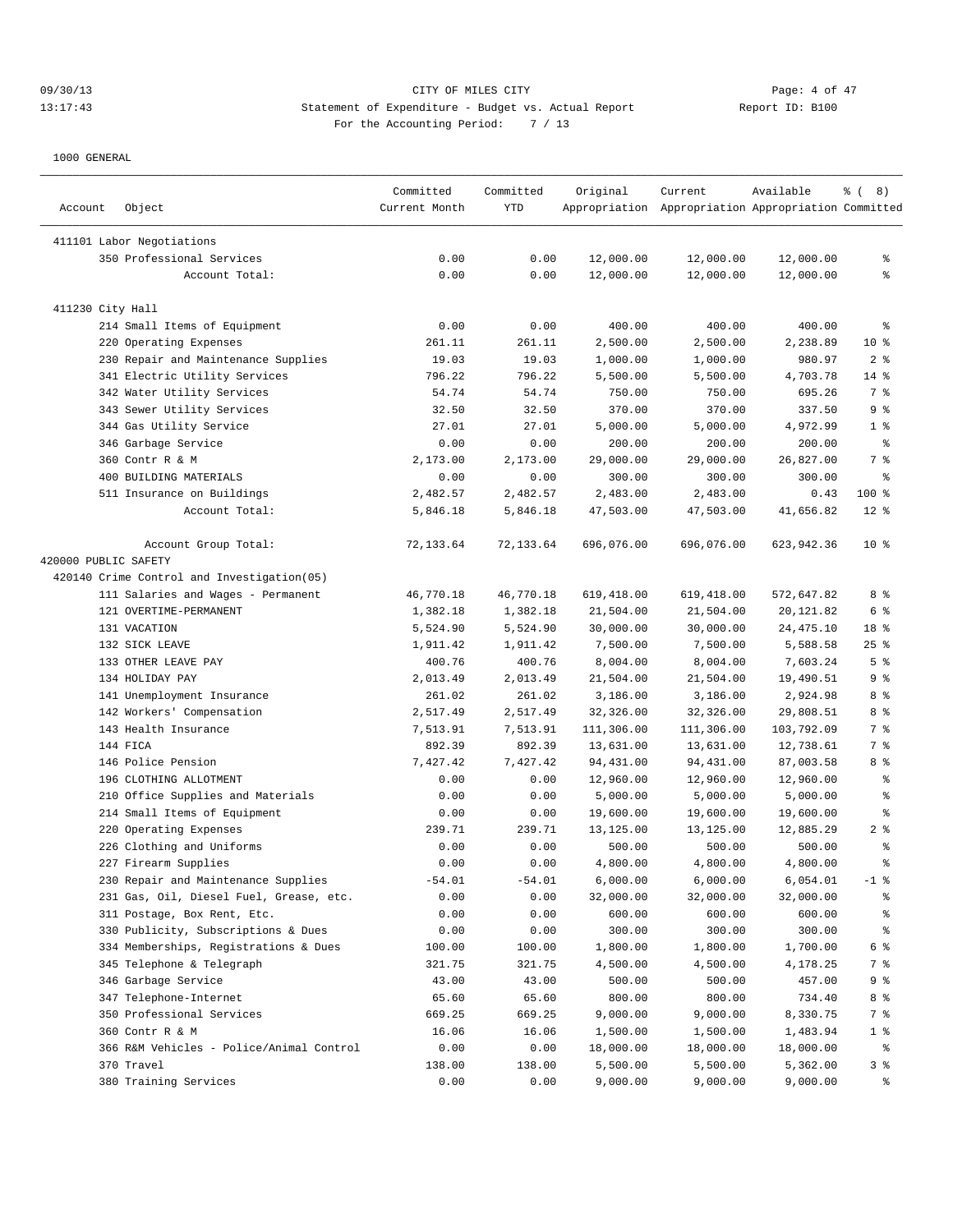## 09/30/13 CITY OF MILES CITY Page: 4 of 47 13:17:43 Statement of Expenditure - Budget vs. Actual Report Report ID: B100 For the Accounting Period: 7 / 13

| Account              | Object                                     | Committed<br>Current Month | Committed<br>YTD | Original   | Current<br>Appropriation Appropriation Appropriation Committed | Available  | <sub>ර</sub> ි (8) |
|----------------------|--------------------------------------------|----------------------------|------------------|------------|----------------------------------------------------------------|------------|--------------------|
|                      |                                            |                            |                  |            |                                                                |            |                    |
|                      | 411101 Labor Negotiations                  |                            |                  |            |                                                                |            |                    |
|                      | 350 Professional Services                  | 0.00                       | 0.00             | 12,000.00  | 12,000.00                                                      | 12,000.00  | ి                  |
|                      | Account Total:                             | 0.00                       | 0.00             | 12,000.00  | 12,000.00                                                      | 12,000.00  | နွ                 |
| 411230 City Hall     |                                            |                            |                  |            |                                                                |            |                    |
|                      | 214 Small Items of Equipment               | 0.00                       | 0.00             | 400.00     | 400.00                                                         | 400.00     | နွ                 |
|                      | 220 Operating Expenses                     | 261.11                     | 261.11           | 2,500.00   | 2,500.00                                                       | 2,238.89   | $10*$              |
|                      | 230 Repair and Maintenance Supplies        | 19.03                      | 19.03            | 1,000.00   | 1,000.00                                                       | 980.97     | 2 <sup>8</sup>     |
|                      | 341 Electric Utility Services              | 796.22                     | 796.22           | 5,500.00   | 5,500.00                                                       | 4,703.78   | $14$ %             |
|                      | 342 Water Utility Services                 | 54.74                      | 54.74            | 750.00     | 750.00                                                         | 695.26     | 7 %                |
|                      | 343 Sewer Utility Services                 | 32.50                      | 32.50            | 370.00     | 370.00                                                         | 337.50     | 9%                 |
|                      | 344 Gas Utility Service                    | 27.01                      | 27.01            | 5,000.00   | 5,000.00                                                       | 4,972.99   | 1 <sup>°</sup>     |
|                      | 346 Garbage Service                        | 0.00                       | 0.00             | 200.00     | 200.00                                                         | 200.00     | ႜ                  |
|                      | 360 Contr R & M                            | 2,173.00                   | 2,173.00         | 29,000.00  | 29,000.00                                                      | 26,827.00  | 7 %                |
|                      | 400 BUILDING MATERIALS                     | 0.00                       | 0.00             | 300.00     | 300.00                                                         | 300.00     | ి                  |
|                      | 511 Insurance on Buildings                 | 2,482.57                   | 2,482.57         | 2,483.00   | 2,483.00                                                       | 0.43       | 100 %              |
|                      | Account Total:                             | 5,846.18                   | 5,846.18         | 47,503.00  | 47,503.00                                                      | 41,656.82  | $12*$              |
|                      | Account Group Total:                       | 72,133.64                  | 72,133.64        | 696,076.00 | 696,076.00                                                     | 623,942.36 | $10*$              |
| 420000 PUBLIC SAFETY |                                            |                            |                  |            |                                                                |            |                    |
|                      | 420140 Crime Control and Investigation(05) |                            |                  |            |                                                                |            |                    |
|                      | 111 Salaries and Wages - Permanent         | 46,770.18                  | 46,770.18        | 619,418.00 | 619,418.00                                                     | 572,647.82 | 8 %                |
|                      | 121 OVERTIME-PERMANENT                     | 1,382.18                   | 1,382.18         | 21,504.00  | 21,504.00                                                      | 20,121.82  | 6 %                |
|                      | 131 VACATION                               | 5,524.90                   | 5,524.90         | 30,000.00  | 30,000.00                                                      | 24, 475.10 | 18 %               |
|                      | 132 SICK LEAVE                             | 1,911.42                   | 1,911.42         | 7,500.00   | 7,500.00                                                       | 5,588.58   | 25%                |
|                      | 133 OTHER LEAVE PAY                        | 400.76                     | 400.76           | 8,004.00   | 8,004.00                                                       | 7,603.24   | 5 <sup>°</sup>     |
|                      | 134 HOLIDAY PAY                            | 2,013.49                   | 2,013.49         | 21,504.00  | 21,504.00                                                      | 19,490.51  | 9%                 |
|                      | 141 Unemployment Insurance                 | 261.02                     | 261.02           | 3,186.00   | 3,186.00                                                       | 2,924.98   | 8 %                |
|                      | 142 Workers' Compensation                  | 2,517.49                   | 2,517.49         | 32,326.00  | 32,326.00                                                      | 29,808.51  | 8 %                |
|                      | 143 Health Insurance                       | 7,513.91                   | 7,513.91         | 111,306.00 | 111,306.00                                                     | 103,792.09 | 7 <sup>°</sup>     |
|                      | 144 FICA                                   | 892.39                     | 892.39           | 13,631.00  | 13,631.00                                                      | 12,738.61  | 7 %                |
|                      | 146 Police Pension                         | 7,427.42                   | 7,427.42         | 94,431.00  | 94,431.00                                                      | 87,003.58  | 8 %                |
|                      | 196 CLOTHING ALLOTMENT                     | 0.00                       | 0.00             | 12,960.00  | 12,960.00                                                      | 12,960.00  | ွေ                 |
|                      | 210 Office Supplies and Materials          | 0.00                       | 0.00             | 5,000.00   | 5,000.00                                                       | 5,000.00   | န္                 |
|                      | 214 Small Items of Equipment               | 0.00                       | 0.00             | 19,600.00  | 19,600.00                                                      | 19,600.00  | န္                 |
|                      | 220 Operating Expenses                     | 239.71                     | 239.71           | 13,125.00  | 13,125.00                                                      | 12,885.29  | 2 <sup>8</sup>     |
|                      | 226 Clothing and Uniforms                  | 0.00                       | 0.00             | 500.00     | 500.00                                                         | 500.00     | န္                 |
|                      | 227 Firearm Supplies                       | 0.00                       | 0.00             | 4,800.00   | 4,800.00                                                       | 4,800.00   | ៖                  |
|                      | 230 Repair and Maintenance Supplies        | $-54.01$                   | $-54.01$         | 6,000.00   | 6,000.00                                                       | 6,054.01   | $-1$ %             |
|                      | 231 Gas, Oil, Diesel Fuel, Grease, etc.    | 0.00                       | 0.00             | 32,000.00  | 32,000.00                                                      | 32,000.00  | ိင                 |
|                      | 311 Postage, Box Rent, Etc.                | 0.00                       | 0.00             | 600.00     | 600.00                                                         | 600.00     | ွေ                 |
|                      | 330 Publicity, Subscriptions & Dues        | 0.00                       | 0.00             | 300.00     | 300.00                                                         | 300.00     | ್ಠಿ                |
|                      | 334 Memberships, Registrations & Dues      | 100.00                     | 100.00           | 1,800.00   | 1,800.00                                                       | 1,700.00   | 6 %                |
|                      | 345 Telephone & Telegraph                  | 321.75                     | 321.75           | 4,500.00   | 4,500.00                                                       | 4,178.25   | 7 %                |
|                      | 346 Garbage Service                        | 43.00                      | 43.00            | 500.00     | 500.00                                                         | 457.00     | 9 %                |
|                      | 347 Telephone-Internet                     | 65.60                      | 65.60            | 800.00     | 800.00                                                         | 734.40     | 8 %                |
|                      | 350 Professional Services                  | 669.25                     | 669.25           | 9,000.00   | 9,000.00                                                       | 8,330.75   | 7 %                |
|                      | 360 Contr R & M                            | 16.06                      | 16.06            | 1,500.00   | 1,500.00                                                       | 1,483.94   | 1 <sup>8</sup>     |
|                      | 366 R&M Vehicles - Police/Animal Control   | 0.00                       | 0.00             | 18,000.00  | 18,000.00                                                      | 18,000.00  | ಿ                  |
|                      | 370 Travel                                 | 138.00                     | 138.00           | 5,500.00   | 5,500.00                                                       | 5,362.00   | 3 <sup>°</sup>     |
|                      | 380 Training Services                      | 0.00                       | 0.00             | 9,000.00   | 9,000.00                                                       | 9,000.00   | ್ಠಿ                |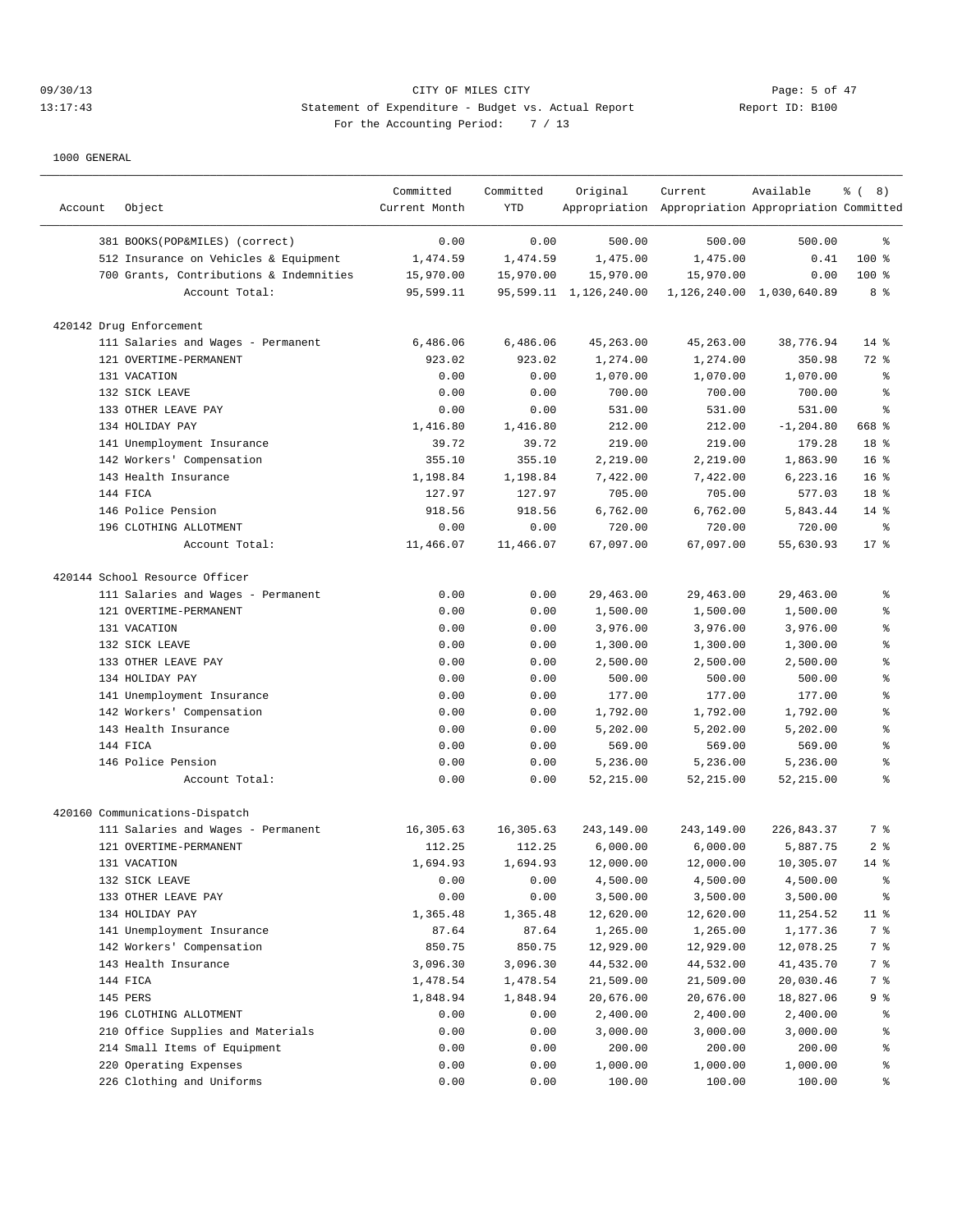# 09/30/13 Page: 5 of 47 13:17:43 Statement of Expenditure - Budget vs. Actual Report Changery Report ID: B100 For the Accounting Period: 7 / 13

| Account | Object                                  | Committed<br>Current Month | Committed<br>YTD | Original               | Current<br>Appropriation Appropriation Appropriation Committed | Available                     | $\frac{6}{6}$ ( 8) |
|---------|-----------------------------------------|----------------------------|------------------|------------------------|----------------------------------------------------------------|-------------------------------|--------------------|
|         | 381 BOOKS(POP&MILES) (correct)          | 0.00                       | 0.00             | 500.00                 | 500.00                                                         | 500.00                        | ႜ                  |
|         | 512 Insurance on Vehicles & Equipment   | 1,474.59                   | 1,474.59         | 1,475.00               | 1,475.00                                                       | 0.41                          | 100 %              |
|         | 700 Grants, Contributions & Indemnities | 15,970.00                  | 15,970.00        | 15,970.00              | 15,970.00                                                      | 0.00                          | $100$ %            |
|         | Account Total:                          | 95,599.11                  |                  | 95,599.11 1,126,240.00 |                                                                | 1, 126, 240.00 1, 030, 640.89 | 8 %                |
|         |                                         |                            |                  |                        |                                                                |                               |                    |
|         | 420142 Drug Enforcement                 |                            |                  |                        |                                                                |                               |                    |
|         | 111 Salaries and Wages - Permanent      | 6,486.06<br>923.02         | 6,486.06         | 45, 263.00             | 45,263.00                                                      | 38,776.94                     | $14*$              |
|         | 121 OVERTIME-PERMANENT<br>131 VACATION  | 0.00                       | 923.02<br>0.00   | 1,274.00<br>1,070.00   | 1,274.00                                                       | 350.98<br>1,070.00            | 72 %               |
|         | 132 SICK LEAVE                          | 0.00                       |                  |                        | 1,070.00                                                       | 700.00                        | နွ<br>န့           |
|         | 133 OTHER LEAVE PAY                     | 0.00                       | 0.00<br>0.00     | 700.00<br>531.00       | 700.00<br>531.00                                               | 531.00                        | န္                 |
|         | 134 HOLIDAY PAY                         | 1,416.80                   | 1,416.80         | 212.00                 | 212.00                                                         | $-1, 204.80$                  | 668 %              |
|         | 141 Unemployment Insurance              | 39.72                      | 39.72            | 219.00                 | 219.00                                                         | 179.28                        | 18 %               |
|         | 142 Workers' Compensation               | 355.10                     | 355.10           | 2,219.00               | 2,219.00                                                       | 1,863.90                      | 16 <sup>8</sup>    |
|         | 143 Health Insurance                    | 1,198.84                   | 1,198.84         | 7,422.00               | 7,422.00                                                       | 6,223.16                      | 16 <sup>8</sup>    |
|         | 144 FTCA                                | 127.97                     | 127.97           | 705.00                 | 705.00                                                         | 577.03                        | 18 %               |
|         | 146 Police Pension                      | 918.56                     | 918.56           | 6,762.00               | 6,762.00                                                       | 5,843.44                      | $14*$              |
|         | 196 CLOTHING ALLOTMENT                  | 0.00                       | 0.00             | 720.00                 | 720.00                                                         | 720.00                        | ႜ                  |
|         | Account Total:                          | 11,466.07                  | 11,466.07        | 67,097.00              | 67,097.00                                                      | 55,630.93                     | $17*$              |
|         |                                         |                            |                  |                        |                                                                |                               |                    |
|         | 420144 School Resource Officer          |                            |                  |                        |                                                                |                               |                    |
|         | 111 Salaries and Wages - Permanent      | 0.00                       | 0.00             | 29,463.00              | 29,463.00                                                      | 29,463.00                     | န္                 |
|         | 121 OVERTIME-PERMANENT                  | 0.00                       | 0.00             | 1,500.00               | 1,500.00                                                       | 1,500.00                      | န့                 |
|         | 131 VACATION                            | 0.00                       | 0.00             | 3,976.00               | 3,976.00                                                       | 3,976.00                      | န့                 |
|         | 132 SICK LEAVE                          | 0.00                       | 0.00             | 1,300.00               | 1,300.00                                                       | 1,300.00                      | န္                 |
|         | 133 OTHER LEAVE PAY                     | 0.00                       | 0.00             | 2,500.00               | 2,500.00                                                       | 2,500.00                      | နွ                 |
|         | 134 HOLIDAY PAY                         | 0.00                       | 0.00             | 500.00                 | 500.00                                                         | 500.00                        | š                  |
|         | 141 Unemployment Insurance              | 0.00                       | 0.00             | 177.00                 | 177.00                                                         | 177.00                        | န့                 |
|         | 142 Workers' Compensation               | 0.00                       | 0.00             | 1,792.00               | 1,792.00                                                       | 1,792.00                      | န့                 |
|         | 143 Health Insurance                    | 0.00                       | 0.00             | 5,202.00               | 5,202.00                                                       | 5,202.00                      | န္                 |
|         | 144 FICA                                | 0.00                       | 0.00             | 569.00                 | 569.00                                                         | 569.00                        | š                  |
|         | 146 Police Pension                      | 0.00                       | 0.00             | 5,236.00               | 5,236.00                                                       | 5,236.00                      | š                  |
|         | Account Total:                          | 0.00                       | 0.00             | 52,215.00              | 52,215.00                                                      | 52,215.00                     | š                  |
|         | 420160 Communications-Dispatch          |                            |                  |                        |                                                                |                               |                    |
|         | 111 Salaries and Wages - Permanent      | 16,305.63                  | 16,305.63        | 243,149.00             | 243,149.00                                                     | 226,843.37                    | 7 %                |
|         | 121 OVERTIME-PERMANENT                  | 112.25                     | 112.25           | 6,000.00               | 6,000.00                                                       | 5,887.75                      | 2 <sup>8</sup>     |
|         | 131 VACATION                            | 1,694.93                   | 1,694.93         | 12,000.00              | 12,000.00                                                      | 10,305.07                     | $14*$              |
|         | 132 SICK LEAVE                          | 0.00                       | 0.00             | 4,500.00               | 4,500.00                                                       | 4,500.00                      | ి                  |
|         | 133 OTHER LEAVE PAY                     | 0.00                       | 0.00             | 3,500.00               | 3,500.00                                                       | 3,500.00                      | ್ಠಿ                |
|         | 134 HOLIDAY PAY                         | 1,365.48                   | 1,365.48         | 12,620.00              | 12,620.00                                                      | 11,254.52                     | 11 <sup>°</sup>    |
|         | 141 Unemployment Insurance              | 87.64                      | 87.64            | 1,265.00               | 1,265.00                                                       | 1,177.36                      | 7 %                |
|         | 142 Workers' Compensation               | 850.75                     | 850.75           | 12,929.00              | 12,929.00                                                      | 12,078.25                     | 7 %                |
|         | 143 Health Insurance                    | 3,096.30                   | 3,096.30         | 44,532.00              | 44,532.00                                                      | 41,435.70                     | 7 %                |
|         | 144 FICA                                | 1,478.54                   | 1,478.54         | 21,509.00              | 21,509.00                                                      | 20,030.46                     | 7 %                |
|         | 145 PERS                                | 1,848.94                   | 1,848.94         | 20,676.00              | 20,676.00                                                      | 18,827.06                     | 9%                 |
|         | 196 CLOTHING ALLOTMENT                  | 0.00                       | 0.00             | 2,400.00               | 2,400.00                                                       | 2,400.00                      | ွေ                 |
|         | 210 Office Supplies and Materials       | 0.00                       | 0.00             | 3,000.00               | 3,000.00                                                       | 3,000.00                      | နွ                 |
|         | 214 Small Items of Equipment            | 0.00                       | 0.00             | 200.00                 | 200.00                                                         | 200.00                        | နွ                 |
|         | 220 Operating Expenses                  | 0.00                       | 0.00             | 1,000.00               | 1,000.00                                                       | 1,000.00                      | ွေ                 |
|         | 226 Clothing and Uniforms               | 0.00                       | 0.00             | 100.00                 | 100.00                                                         | 100.00                        | ွေ                 |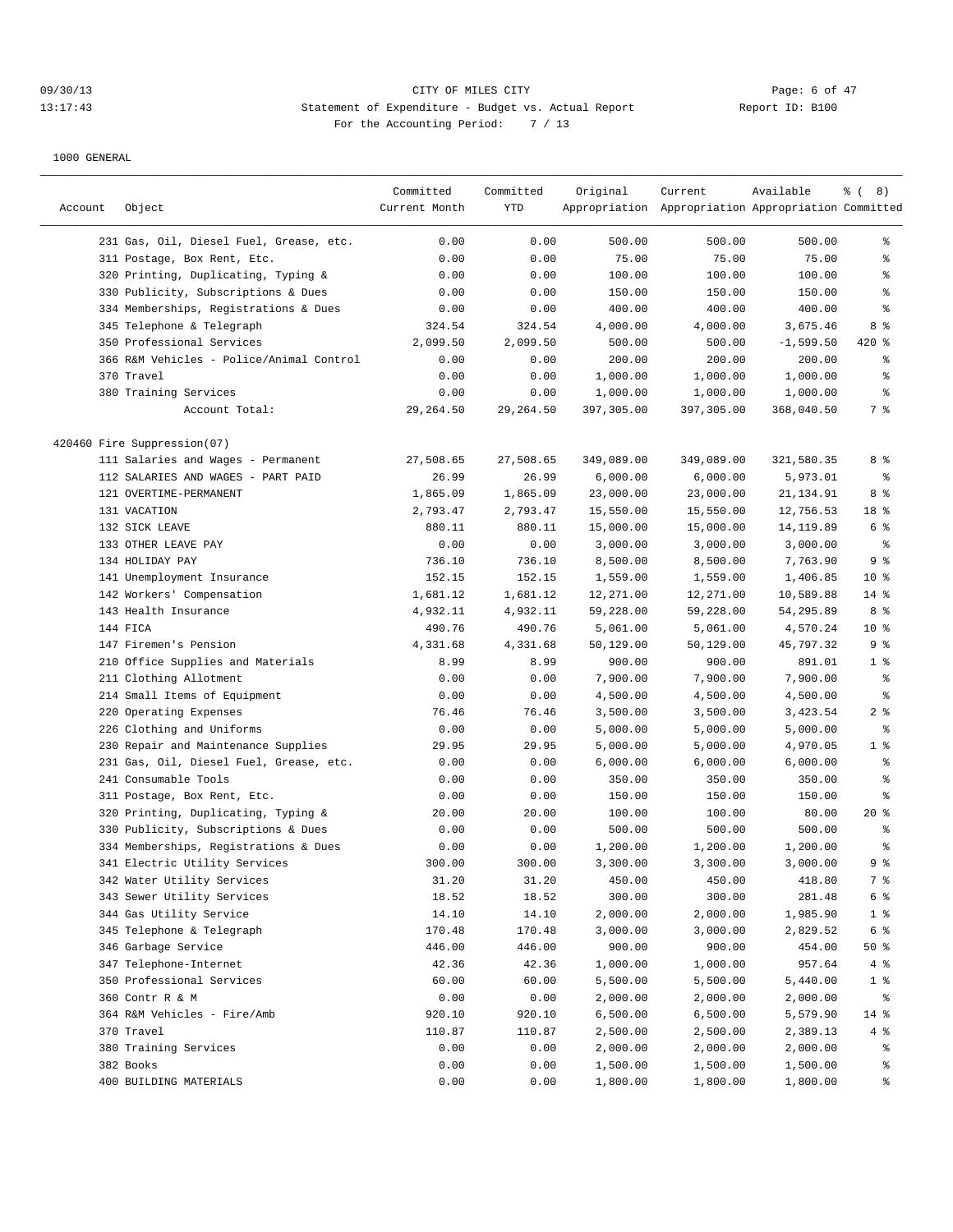# 09/30/13 CITY OF MILES CITY Page: 6 of 47 13:17:43 Statement of Expenditure - Budget vs. Actual Report Report ID: B100 For the Accounting Period: 7 / 13

|         |                                          | Committed     | Committed  | Original   | Current                                             | Available   | $\frac{8}{6}$ ( 8) |
|---------|------------------------------------------|---------------|------------|------------|-----------------------------------------------------|-------------|--------------------|
| Account | Object                                   | Current Month | YTD        |            | Appropriation Appropriation Appropriation Committed |             |                    |
|         |                                          |               |            |            |                                                     |             |                    |
|         | 231 Gas, Oil, Diesel Fuel, Grease, etc.  | 0.00          | 0.00       | 500.00     | 500.00                                              | 500.00      | ႜ                  |
|         | 311 Postage, Box Rent, Etc.              | 0.00          | 0.00       | 75.00      | 75.00                                               | 75.00       | န္                 |
|         | 320 Printing, Duplicating, Typing &      | 0.00          | 0.00       | 100.00     | 100.00                                              | 100.00      | န္                 |
|         | 330 Publicity, Subscriptions & Dues      | 0.00          | 0.00       | 150.00     | 150.00                                              | 150.00      | $\epsilon$         |
|         | 334 Memberships, Registrations & Dues    | 0.00          | 0.00       | 400.00     | 400.00                                              | 400.00      | နွ                 |
|         | 345 Telephone & Telegraph                | 324.54        | 324.54     | 4,000.00   | 4,000.00                                            | 3,675.46    | 8 %                |
|         | 350 Professional Services                | 2,099.50      | 2,099.50   | 500.00     | 500.00                                              | $-1,599.50$ | 420 %              |
|         | 366 R&M Vehicles - Police/Animal Control | 0.00          | 0.00       | 200.00     | 200.00                                              | 200.00      | နွ                 |
|         | 370 Travel                               | 0.00          | 0.00       | 1,000.00   | 1,000.00                                            | 1,000.00    | နွ                 |
|         | 380 Training Services                    | 0.00          | 0.00       | 1,000.00   | 1,000.00                                            | 1,000.00    | $\epsilon$         |
|         | Account Total:                           | 29,264.50     | 29, 264.50 | 397,305.00 | 397,305.00                                          | 368,040.50  | 7 %                |
|         | 420460 Fire Suppression(07)              |               |            |            |                                                     |             |                    |
|         | 111 Salaries and Wages - Permanent       | 27,508.65     | 27,508.65  | 349,089.00 | 349,089.00                                          | 321,580.35  | 8 %                |
|         | 112 SALARIES AND WAGES - PART PAID       | 26.99         | 26.99      | 6,000.00   | 6,000.00                                            | 5,973.01    | နွ                 |
|         | 121 OVERTIME-PERMANENT                   | 1,865.09      | 1,865.09   | 23,000.00  | 23,000.00                                           | 21, 134.91  | 8 %                |
|         | 131 VACATION                             | 2,793.47      | 2,793.47   | 15,550.00  | 15,550.00                                           | 12,756.53   | 18 %               |
|         | 132 SICK LEAVE                           | 880.11        | 880.11     | 15,000.00  | 15,000.00                                           | 14, 119.89  | 6 %                |
|         | 133 OTHER LEAVE PAY                      | 0.00          | 0.00       | 3,000.00   | 3,000.00                                            | 3,000.00    | $\epsilon$         |
|         | 134 HOLIDAY PAY                          | 736.10        | 736.10     | 8,500.00   | 8,500.00                                            | 7,763.90    | 9 <sup>°</sup>     |
|         |                                          |               |            |            |                                                     | 1,406.85    | $10*$              |
|         | 141 Unemployment Insurance               | 152.15        | 152.15     | 1,559.00   | 1,559.00                                            |             |                    |
|         | 142 Workers' Compensation                | 1,681.12      | 1,681.12   | 12,271.00  | 12,271.00                                           | 10,589.88   | $14$ %             |
|         | 143 Health Insurance                     | 4,932.11      | 4,932.11   | 59,228.00  | 59,228.00                                           | 54,295.89   | 8 %                |
|         | 144 FICA                                 | 490.76        | 490.76     | 5,061.00   | 5,061.00                                            | 4,570.24    | $10*$              |
|         | 147 Firemen's Pension                    | 4,331.68      | 4,331.68   | 50,129.00  | 50,129.00                                           | 45,797.32   | 9%                 |
|         | 210 Office Supplies and Materials        | 8.99          | 8.99       | 900.00     | 900.00                                              | 891.01      | 1 <sup>8</sup>     |
|         | 211 Clothing Allotment                   | 0.00          | 0.00       | 7,900.00   | 7,900.00                                            | 7,900.00    | နွ                 |
|         | 214 Small Items of Equipment             | 0.00          | 0.00       | 4,500.00   | 4,500.00                                            | 4,500.00    | $\epsilon$         |
|         | 220 Operating Expenses                   | 76.46         | 76.46      | 3,500.00   | 3,500.00                                            | 3,423.54    | 2 <sup>8</sup>     |
|         | 226 Clothing and Uniforms                | 0.00          | 0.00       | 5,000.00   | 5,000.00                                            | 5,000.00    | နွ                 |
|         | 230 Repair and Maintenance Supplies      | 29.95         | 29.95      | 5,000.00   | 5,000.00                                            | 4,970.05    | 1 <sup>8</sup>     |
|         | 231 Gas, Oil, Diesel Fuel, Grease, etc.  | 0.00          | 0.00       | 6,000.00   | 6,000.00                                            | 6,000.00    | နွ                 |
|         | 241 Consumable Tools                     | 0.00          | 0.00       | 350.00     | 350.00                                              | 350.00      | $\epsilon$         |
|         | 311 Postage, Box Rent, Etc.              | 0.00          | 0.00       | 150.00     | 150.00                                              | 150.00      | နွ                 |
|         | 320 Printing, Duplicating, Typing &      | 20.00         | 20.00      | 100.00     | 100.00                                              | 80.00       | $20*$              |
|         | 330 Publicity, Subscriptions & Dues      | 0.00          | 0.00       | 500.00     | 500.00                                              | 500.00      | ి                  |
|         | 334 Memberships, Registrations & Dues    | 0.00          | 0.00       | 1,200.00   | 1,200.00                                            | 1,200.00    | နွ                 |
|         | 341 Electric Utility Services            | 300.00        | 300.00     | 3,300.00   | 3,300.00                                            | 3,000.00    | 9 <sup>°</sup>     |
|         | 342 Water Utility Services               | 31.20         | 31.20      | 450.00     | 450.00                                              | 418.80      | 7 %                |
|         | 343 Sewer Utility Services               | 18.52         | 18.52      | 300.00     | 300.00                                              | 281.48      | 6 %                |
|         | 344 Gas Utility Service                  | 14.10         | 14.10      | 2,000.00   | 2,000.00                                            | 1,985.90    | $1$ %              |
|         | 345 Telephone & Telegraph                | 170.48        | 170.48     | 3,000.00   | 3,000.00                                            | 2,829.52    | 6 %                |
|         | 346 Garbage Service                      | 446.00        | 446.00     | 900.00     | 900.00                                              | 454.00      | 50%                |
|         | 347 Telephone-Internet                   | 42.36         | 42.36      | 1,000.00   | 1,000.00                                            | 957.64      | 4%                 |
|         | 350 Professional Services                | 60.00         | 60.00      | 5,500.00   | 5,500.00                                            | 5,440.00    | $1$ %              |
|         | 360 Contr R & M                          | 0.00          | 0.00       | 2,000.00   | 2,000.00                                            | 2,000.00    | ိင                 |
|         | 364 R&M Vehicles - Fire/Amb              | 920.10        | 920.10     | 6,500.00   | 6,500.00                                            | 5,579.90    | 14 %               |
|         | 370 Travel                               | 110.87        | 110.87     | 2,500.00   | 2,500.00                                            | 2,389.13    | 4%                 |
|         | 380 Training Services                    | 0.00          | 0.00       | 2,000.00   | 2,000.00                                            | 2,000.00    | ႜૢ                 |
|         | 382 Books                                | 0.00          | 0.00       | 1,500.00   | 1,500.00                                            | 1,500.00    | ႜૢ                 |
|         | 400 BUILDING MATERIALS                   | 0.00          | 0.00       | 1,800.00   | 1,800.00                                            | 1,800.00    | ွေ                 |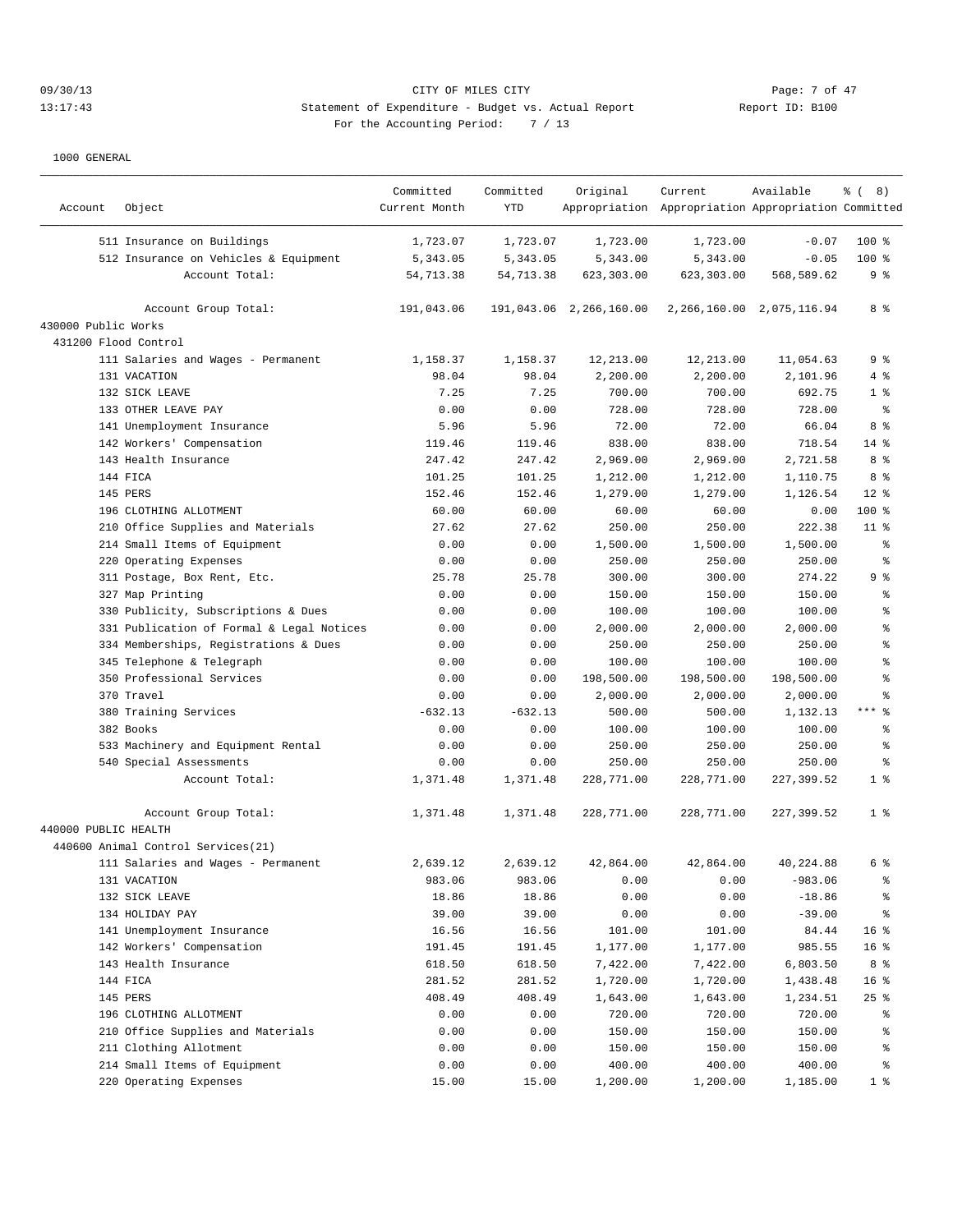## 09/30/13 CITY OF MILES CITY Page: 7 of 47 13:17:43 Statement of Expenditure - Budget vs. Actual Report Report ID: B100 For the Accounting Period: 7 / 13

| Account              | Object                                    | Committed<br>Current Month | Committed<br><b>YTD</b> | Original                | Current<br>Appropriation Appropriation Appropriation Committed | Available                     | $\frac{6}{3}$ ( 8) |
|----------------------|-------------------------------------------|----------------------------|-------------------------|-------------------------|----------------------------------------------------------------|-------------------------------|--------------------|
|                      | 511 Insurance on Buildings                | 1,723.07                   | 1,723.07                | 1,723.00                | 1,723.00                                                       | $-0.07$                       | $100$ %            |
|                      | 512 Insurance on Vehicles & Equipment     | 5, 343.05                  | 5,343.05                | 5,343.00                | 5,343.00                                                       | $-0.05$                       | $100$ %            |
|                      | Account Total:                            | 54,713.38                  | 54,713.38               | 623,303.00              | 623,303.00                                                     | 568,589.62                    | 9 <sub>8</sub>     |
|                      | Account Group Total:                      | 191,043.06                 |                         | 191,043.06 2,266,160.00 |                                                                | 2, 266, 160.00 2, 075, 116.94 | 8 %                |
| 430000 Public Works  |                                           |                            |                         |                         |                                                                |                               |                    |
| 431200 Flood Control |                                           |                            |                         |                         |                                                                |                               |                    |
|                      | 111 Salaries and Wages - Permanent        | 1,158.37                   | 1,158.37                | 12,213.00               | 12,213.00                                                      | 11,054.63                     | 9 %                |
|                      | 131 VACATION                              | 98.04                      | 98.04                   | 2,200.00                | 2,200.00                                                       | 2,101.96                      | 4%                 |
|                      | 132 SICK LEAVE                            | 7.25                       | 7.25                    | 700.00                  | 700.00                                                         | 692.75                        | 1 <sup>°</sup>     |
|                      | 133 OTHER LEAVE PAY                       | 0.00                       | 0.00                    | 728.00                  | 728.00                                                         | 728.00                        | နွ                 |
|                      | 141 Unemployment Insurance                | 5.96                       | 5.96                    | 72.00                   | 72.00                                                          | 66.04                         | 8 %                |
|                      | 142 Workers' Compensation                 | 119.46                     | 119.46                  | 838.00                  | 838.00                                                         | 718.54                        | $14*$              |
|                      | 143 Health Insurance                      | 247.42                     | 247.42                  | 2,969.00                | 2,969.00                                                       | 2,721.58                      | 8 %                |
|                      | 144 FICA                                  | 101.25                     | 101.25                  | 1,212.00                | 1,212.00                                                       | 1,110.75                      | 8%                 |
|                      | 145 PERS                                  | 152.46                     | 152.46                  | 1,279.00                | 1,279.00                                                       | 1,126.54                      | $12*$              |
|                      | 196 CLOTHING ALLOTMENT                    | 60.00                      | 60.00                   | 60.00                   | 60.00                                                          | 0.00                          | 100 %              |
|                      | 210 Office Supplies and Materials         | 27.62                      | 27.62                   | 250.00                  | 250.00                                                         | 222.38                        | $11$ %             |
|                      | 214 Small Items of Equipment              | 0.00                       | 0.00                    | 1,500.00                | 1,500.00                                                       | 1,500.00                      | နွ                 |
|                      | 220 Operating Expenses                    | 0.00                       | 0.00                    | 250.00                  | 250.00                                                         | 250.00                        | န္                 |
|                      | 311 Postage, Box Rent, Etc.               | 25.78                      | 25.78                   | 300.00                  | 300.00                                                         | 274.22                        | 9 <sub>8</sub>     |
|                      | 327 Map Printing                          | 0.00                       | 0.00                    | 150.00                  | 150.00                                                         | 150.00                        | ి                  |
|                      | 330 Publicity, Subscriptions & Dues       | 0.00                       | 0.00                    | 100.00                  | 100.00                                                         | 100.00                        | ి                  |
|                      | 331 Publication of Formal & Legal Notices | 0.00                       | 0.00                    | 2,000.00                | 2,000.00                                                       | 2,000.00                      | ి                  |
|                      | 334 Memberships, Registrations & Dues     | 0.00                       | 0.00                    | 250.00                  | 250.00                                                         | 250.00                        | န္                 |
|                      | 345 Telephone & Telegraph                 | 0.00                       | 0.00                    | 100.00                  | 100.00                                                         | 100.00                        | န္                 |
|                      | 350 Professional Services                 | 0.00                       | 0.00                    | 198,500.00              | 198,500.00                                                     | 198,500.00                    | န္                 |
|                      | 370 Travel                                | 0.00                       | 0.00                    | 2,000.00                | 2,000.00                                                       | 2,000.00                      | 昙                  |
|                      | 380 Training Services                     | $-632.13$                  | $-632.13$               | 500.00                  | 500.00                                                         | 1,132.13                      | $***$<br>್ಠಿ       |
|                      | 382 Books                                 | 0.00                       | 0.00                    | 100.00                  | 100.00                                                         | 100.00                        | ႜ                  |
|                      | 533 Machinery and Equipment Rental        | 0.00                       | 0.00                    | 250.00                  | 250.00                                                         | 250.00                        | န္                 |
|                      | 540 Special Assessments                   | 0.00                       | 0.00                    | 250.00                  | 250.00                                                         | 250.00                        | နွ                 |
|                      | Account Total:                            | 1,371.48                   | 1,371.48                | 228,771.00              | 228,771.00                                                     | 227,399.52                    | 1 <sup>°</sup>     |
|                      | Account Group Total:                      | 1,371.48                   | 1,371.48                | 228,771.00              | 228,771.00                                                     | 227,399.52                    | 1 <sup>8</sup>     |
| 440000 PUBLIC HEALTH |                                           |                            |                         |                         |                                                                |                               |                    |
|                      | 440600 Animal Control Services (21)       |                            |                         |                         |                                                                |                               |                    |
|                      | 111 Salaries and Wages - Permanent        | 2,639.12                   | 2,639.12                | 42,864.00               | 42,864.00                                                      | 40,224.88                     | 6 %                |
|                      | 131 VACATION                              | 983.06                     | 983.06                  | 0.00                    | 0.00                                                           | $-983.06$                     | $\,{}^{\circ}\!$   |
|                      | 132 SICK LEAVE                            | 18.86                      | 18.86                   | 0.00                    | 0.00                                                           | $-18.86$                      | $\,{}^{\circ}\!$   |
|                      | 134 HOLIDAY PAY                           | 39.00                      | 39.00                   | 0.00                    | 0.00                                                           | $-39.00$                      | $\frac{6}{3}$      |
|                      | 141 Unemployment Insurance                | 16.56                      | 16.56                   | 101.00                  | 101.00                                                         | 84.44                         | 16 <sup>°</sup>    |
|                      | 142 Workers' Compensation                 | 191.45                     | 191.45                  | 1,177.00                | 1,177.00                                                       | 985.55                        | 16 %               |
|                      | 143 Health Insurance                      | 618.50                     | 618.50                  | 7,422.00                | 7,422.00                                                       | 6,803.50                      | 8 %                |
|                      | 144 FICA                                  | 281.52                     | 281.52                  | 1,720.00                | 1,720.00                                                       | 1,438.48                      | 16 %               |
|                      | 145 PERS                                  | 408.49                     | 408.49                  | 1,643.00                | 1,643.00                                                       | 1,234.51                      | 25%                |
|                      | 196 CLOTHING ALLOTMENT                    | 0.00                       | 0.00                    | 720.00                  | 720.00                                                         | 720.00                        | ႜૢ                 |
|                      | 210 Office Supplies and Materials         | 0.00                       | 0.00                    | 150.00                  | 150.00                                                         | 150.00                        | ိန                 |
|                      | 211 Clothing Allotment                    | 0.00                       | 0.00                    | 150.00                  | 150.00                                                         | 150.00                        | $\,{}^{\circ}\!$   |
|                      | 214 Small Items of Equipment              | 0.00                       | 0.00                    | 400.00                  | 400.00                                                         | 400.00                        | $\,{}^{\circ}\!$   |
|                      | 220 Operating Expenses                    | 15.00                      | 15.00                   | 1,200.00                | 1,200.00                                                       | 1,185.00                      | 1 <sup>8</sup>     |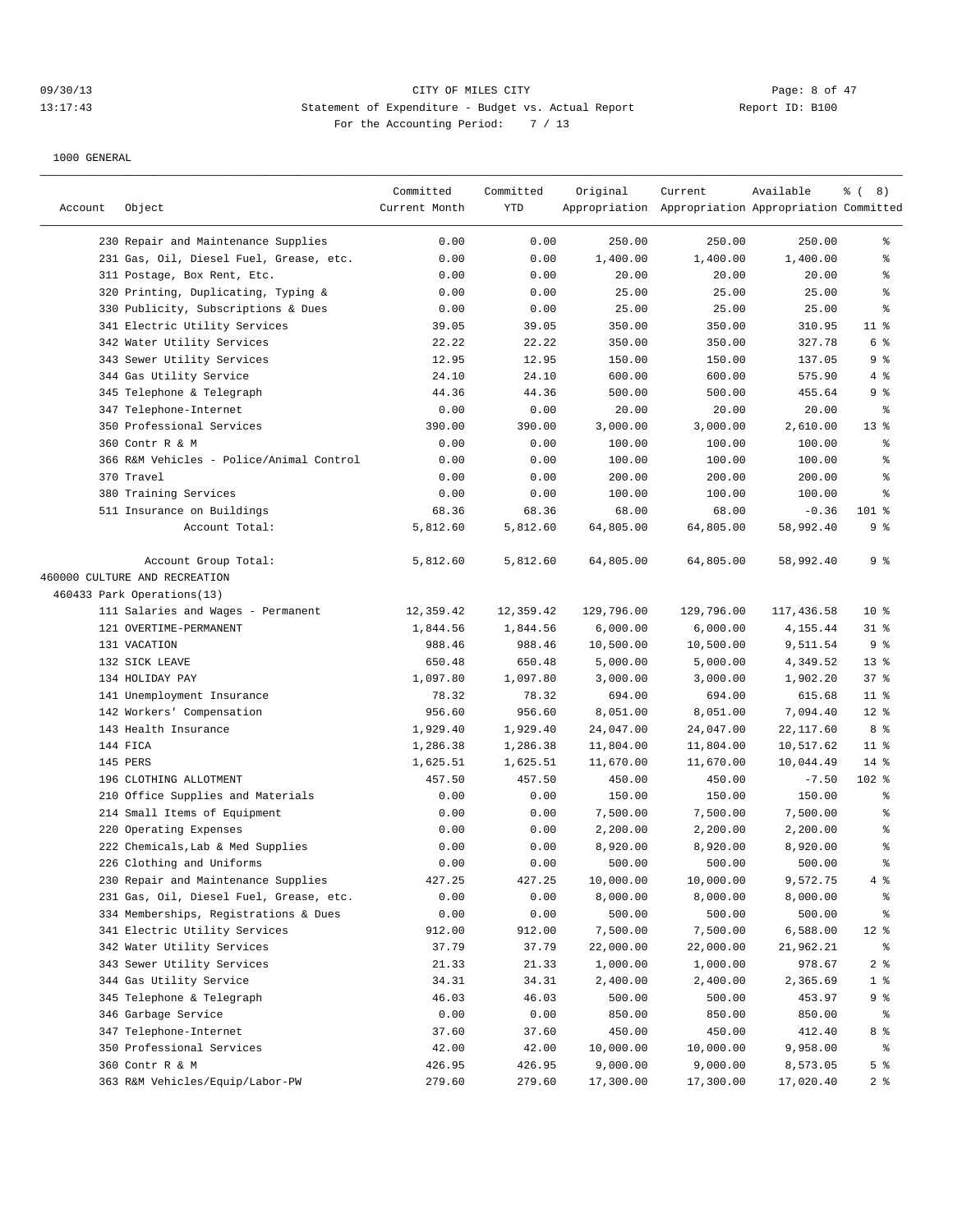## 09/30/13 CITY OF MILES CITY Page: 8 of 47 13:17:43 Statement of Expenditure - Budget vs. Actual Report Report ID: B100 For the Accounting Period: 7 / 13

|         |                                          | Committed     | Committed | Original   | Current                                             | Available  | $\frac{6}{6}$ ( 8) |
|---------|------------------------------------------|---------------|-----------|------------|-----------------------------------------------------|------------|--------------------|
| Account | Object                                   | Current Month | YTD       |            | Appropriation Appropriation Appropriation Committed |            |                    |
|         | 230 Repair and Maintenance Supplies      | 0.00          | 0.00      | 250.00     | 250.00                                              | 250.00     | နွ                 |
|         | 231 Gas, Oil, Diesel Fuel, Grease, etc.  | 0.00          | 0.00      | 1,400.00   | 1,400.00                                            | 1,400.00   | ್ಠಿ                |
|         | 311 Postage, Box Rent, Etc.              | 0.00          | 0.00      | 20.00      | 20.00                                               | 20.00      | နွ                 |
|         | 320 Printing, Duplicating, Typing &      | 0.00          | 0.00      | 25.00      | 25.00                                               | 25.00      | န္                 |
|         | 330 Publicity, Subscriptions & Dues      | 0.00          | 0.00      | 25.00      | 25.00                                               | 25.00      | $\epsilon$         |
|         | 341 Electric Utility Services            | 39.05         | 39.05     | 350.00     | 350.00                                              | 310.95     | $11$ %             |
|         | 342 Water Utility Services               | 22.22         | 22.22     | 350.00     | 350.00                                              | 327.78     | 6 %                |
|         | 343 Sewer Utility Services               | 12.95         | 12.95     | 150.00     | 150.00                                              | 137.05     | 9 <sub>8</sub>     |
|         | 344 Gas Utility Service                  | 24.10         | 24.10     | 600.00     | 600.00                                              | 575.90     | 4%                 |
|         | 345 Telephone & Telegraph                | 44.36         | 44.36     | 500.00     | 500.00                                              | 455.64     | 9 <sub>8</sub>     |
|         | 347 Telephone-Internet                   | 0.00          | 0.00      | 20.00      | 20.00                                               | 20.00      | ႜ                  |
|         | 350 Professional Services                | 390.00        | 390.00    | 3,000.00   | 3,000.00                                            | 2,610.00   | $13*$              |
|         | 360 Contr R & M                          | 0.00          | 0.00      | 100.00     | 100.00                                              | 100.00     | နွ                 |
|         | 366 R&M Vehicles - Police/Animal Control | 0.00          | 0.00      | 100.00     | 100.00                                              | 100.00     | $\epsilon$         |
|         | 370 Travel                               | 0.00          | 0.00      | 200.00     | 200.00                                              | 200.00     | နွ                 |
|         | 380 Training Services                    | 0.00          | 0.00      | 100.00     | 100.00                                              | 100.00     | န္                 |
|         | 511 Insurance on Buildings               | 68.36         | 68.36     | 68.00      | 68.00                                               | $-0.36$    | $101$ %            |
|         | Account Total:                           | 5,812.60      | 5,812.60  | 64,805.00  | 64,805.00                                           | 58,992.40  | 9 <sub>8</sub>     |
|         |                                          |               |           |            |                                                     |            |                    |
|         | Account Group Total:                     | 5,812.60      | 5,812.60  | 64,805.00  | 64,805.00                                           | 58,992.40  | 9 <sub>8</sub>     |
|         | 460000 CULTURE AND RECREATION            |               |           |            |                                                     |            |                    |
|         | 460433 Park Operations(13)               |               |           |            |                                                     |            |                    |
|         | 111 Salaries and Wages - Permanent       | 12,359.42     | 12,359.42 | 129,796.00 | 129,796.00                                          | 117,436.58 | $10*$              |
|         | 121 OVERTIME-PERMANENT                   | 1,844.56      | 1,844.56  | 6,000.00   | 6,000.00                                            | 4,155.44   | $31$ %             |
|         | 131 VACATION                             | 988.46        | 988.46    | 10,500.00  | 10,500.00                                           | 9,511.54   | 9 <sup>°</sup>     |
|         | 132 SICK LEAVE                           | 650.48        | 650.48    | 5,000.00   | 5,000.00                                            | 4,349.52   | $13*$              |
|         | 134 HOLIDAY PAY                          | 1,097.80      | 1,097.80  | 3,000.00   | 3,000.00                                            | 1,902.20   | 37%                |
|         | 141 Unemployment Insurance               | 78.32         | 78.32     | 694.00     | 694.00                                              | 615.68     | $11$ %             |
|         | 142 Workers' Compensation                | 956.60        | 956.60    | 8,051.00   | 8,051.00                                            | 7,094.40   | $12*$              |
|         | 143 Health Insurance                     | 1,929.40      | 1,929.40  | 24,047.00  | 24,047.00                                           | 22,117.60  | 8%                 |
|         | 144 FICA                                 | 1,286.38      | 1,286.38  | 11,804.00  | 11,804.00                                           | 10,517.62  | $11$ %             |
|         | 145 PERS                                 | 1,625.51      | 1,625.51  | 11,670.00  | 11,670.00                                           | 10,044.49  | $14$ %             |
|         | 196 CLOTHING ALLOTMENT                   | 457.50        | 457.50    | 450.00     | 450.00                                              | $-7.50$    | 102 %              |
|         | 210 Office Supplies and Materials        | 0.00          | 0.00      | 150.00     | 150.00                                              | 150.00     | $\epsilon$         |
|         | 214 Small Items of Equipment             | 0.00          | 0.00      | 7,500.00   | 7,500.00                                            | 7,500.00   | ್ಠಿ                |
|         | 220 Operating Expenses                   | 0.00          | 0.00      | 2,200.00   | 2,200.00                                            | 2,200.00   | ್ಠಿ                |
|         | 222 Chemicals, Lab & Med Supplies        | 0.00          | 0.00      | 8,920.00   | 8,920.00                                            | 8,920.00   | ್ಠಿ                |
|         | 226 Clothing and Uniforms                | 0.00          | 0.00      | 500.00     | 500.00                                              | 500.00     | နွ                 |
|         | 230 Repair and Maintenance Supplies      | 427.25        | 427.25    | 10,000.00  | 10,000.00                                           | 9,572.75   | 4%                 |
|         | 231 Gas, Oil, Diesel Fuel, Grease, etc.  | 0.00          | 0.00      | 8,000.00   | 8,000.00                                            | 8,000.00   | $\rm ^{o}$         |
|         | 334 Memberships, Registrations & Dues    | 0.00          | 0.00      | 500.00     | 500.00                                              | 500.00     | ိစ                 |
|         | 341 Electric Utility Services            | 912.00        | 912.00    | 7,500.00   | 7,500.00                                            | 6,588.00   | $12*$              |
|         | 342 Water Utility Services               | 37.79         | 37.79     | 22,000.00  | 22,000.00                                           | 21,962.21  | ႜ                  |
|         | 343 Sewer Utility Services               | 21.33         | 21.33     | 1,000.00   | 1,000.00                                            | 978.67     | 2 <sub>8</sub>     |
|         | 344 Gas Utility Service                  | 34.31         | 34.31     | 2,400.00   | 2,400.00                                            | 2,365.69   | 1 <sup>8</sup>     |
|         | 345 Telephone & Telegraph                | 46.03         | 46.03     | 500.00     | 500.00                                              | 453.97     | 9%                 |
|         | 346 Garbage Service                      | 0.00          | 0.00      | 850.00     | 850.00                                              | 850.00     | ႜွ                 |
|         | 347 Telephone-Internet                   | 37.60         | 37.60     | 450.00     | 450.00                                              | 412.40     | 8 %                |
|         | 350 Professional Services                | 42.00         | 42.00     | 10,000.00  | 10,000.00                                           | 9,958.00   | ႜွ                 |
|         | 360 Contr R & M                          | 426.95        | 426.95    | 9,000.00   | 9,000.00                                            | 8,573.05   | 5 <sup>°</sup>     |
|         | 363 R&M Vehicles/Equip/Labor-PW          | 279.60        | 279.60    | 17,300.00  | 17,300.00                                           | 17,020.40  | 2 <sup>8</sup>     |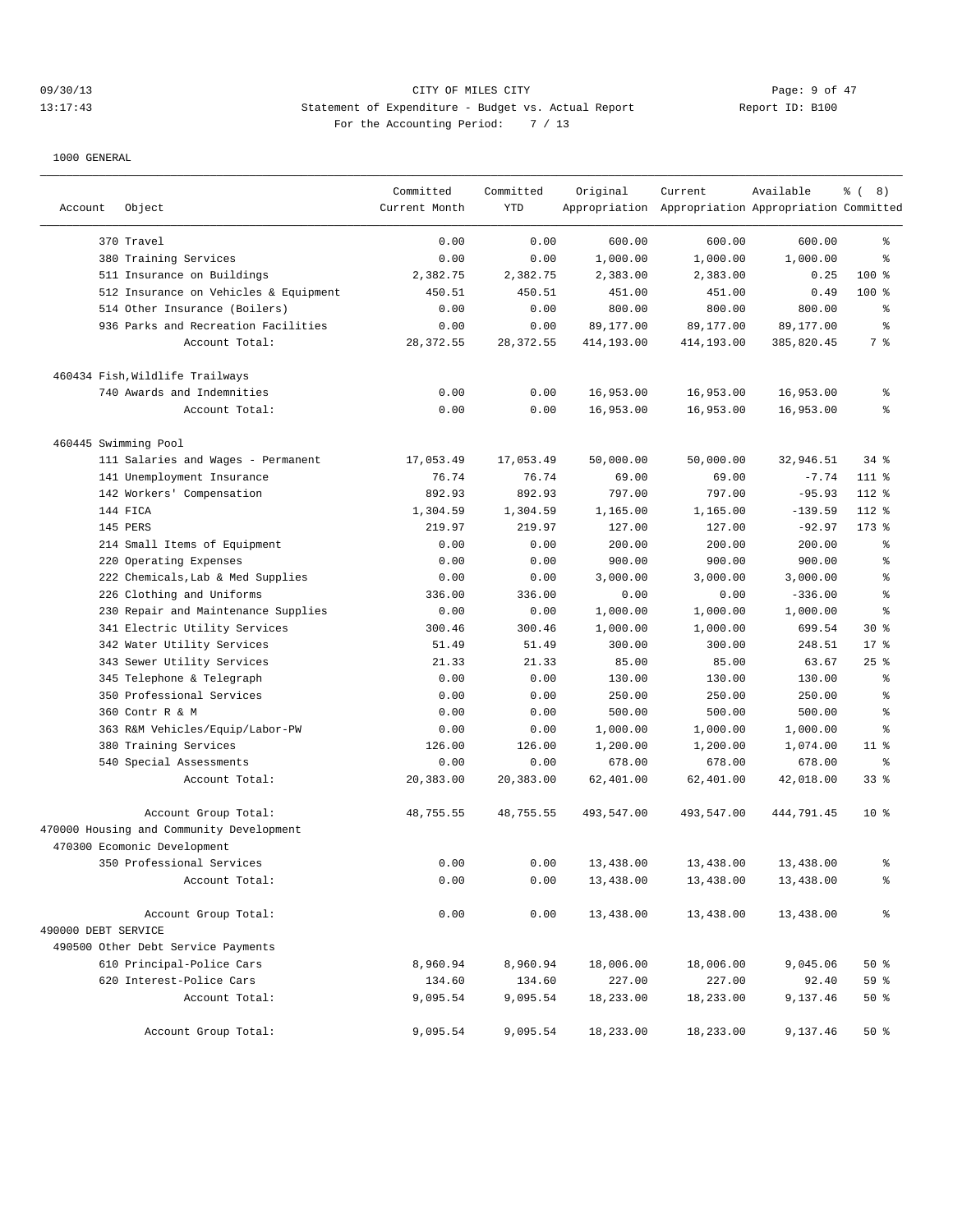# 09/30/13 Page: 9 of 47 13:17:43 Statement of Expenditure - Budget vs. Actual Report Changery Report ID: B100 For the Accounting Period: 7 / 13

| Account              | Object                                   | Committed<br>Current Month | Committed<br>YTD | Original   | Current<br>Appropriation Appropriation Appropriation Committed | Available  | $\frac{6}{6}$ ( 8) |
|----------------------|------------------------------------------|----------------------------|------------------|------------|----------------------------------------------------------------|------------|--------------------|
|                      |                                          |                            |                  |            |                                                                |            |                    |
|                      | 370 Travel                               | 0.00                       | 0.00             | 600.00     | 600.00                                                         | 600.00     | န္                 |
|                      | 380 Training Services                    | 0.00                       | 0.00             | 1,000.00   | 1,000.00                                                       | 1,000.00   | ి                  |
|                      | 511 Insurance on Buildings               | 2,382.75                   | 2,382.75         | 2,383.00   | 2,383.00                                                       | 0.25       | 100 %              |
|                      | 512 Insurance on Vehicles & Equipment    | 450.51                     | 450.51           | 451.00     | 451.00                                                         | 0.49       | 100 %              |
|                      | 514 Other Insurance (Boilers)            | 0.00                       | 0.00             | 800.00     | 800.00                                                         | 800.00     | ి                  |
|                      | 936 Parks and Recreation Facilities      | 0.00                       | 0.00             | 89,177.00  | 89,177.00                                                      | 89,177.00  | ి                  |
|                      | Account Total:                           | 28, 372.55                 | 28, 372.55       | 414,193.00 | 414,193.00                                                     | 385,820.45 | 7 %                |
|                      | 460434 Fish, Wildlife Trailways          |                            |                  |            |                                                                |            |                    |
|                      | 740 Awards and Indemnities               | 0.00                       | 0.00             | 16,953.00  | 16,953.00                                                      | 16,953.00  | နွ                 |
|                      | Account Total:                           | 0.00                       | 0.00             | 16,953.00  | 16,953.00                                                      | 16,953.00  | န္                 |
| 460445 Swimming Pool |                                          |                            |                  |            |                                                                |            |                    |
|                      | 111 Salaries and Wages - Permanent       | 17,053.49                  | 17,053.49        | 50,000.00  | 50,000.00                                                      | 32,946.51  | $34$ $%$           |
|                      | 141 Unemployment Insurance               | 76.74                      | 76.74            | 69.00      | 69.00                                                          | $-7.74$    | 111 %              |
|                      | 142 Workers' Compensation                | 892.93                     | 892.93           | 797.00     | 797.00                                                         | $-95.93$   | 112 %              |
|                      | 144 FICA                                 | 1,304.59                   | 1,304.59         | 1,165.00   | 1,165.00                                                       | $-139.59$  | 112 %              |
|                      | 145 PERS                                 | 219.97                     | 219.97           | 127.00     | 127.00                                                         | $-92.97$   | $173$ %            |
|                      | 214 Small Items of Equipment             | 0.00                       | 0.00             | 200.00     | 200.00                                                         | 200.00     | $\,{}^{\circ}\!$   |
| 220                  | Operating Expenses                       | 0.00                       | 0.00             | 900.00     | 900.00                                                         | 900.00     | $\,{}^{\circ}\!$   |
|                      | 222 Chemicals, Lab & Med Supplies        | 0.00                       | 0.00             | 3,000.00   | 3,000.00                                                       | 3,000.00   | ి                  |
|                      | 226 Clothing and Uniforms                | 336.00                     | 336.00           | 0.00       | 0.00                                                           | $-336.00$  | ి                  |
|                      | 230 Repair and Maintenance Supplies      | 0.00                       | 0.00             | 1,000.00   | 1,000.00                                                       | 1,000.00   | ి                  |
|                      | 341 Electric Utility Services            | 300.46                     | 300.46           | 1,000.00   | 1,000.00                                                       | 699.54     | $30*$              |
|                      | 342 Water Utility Services               | 51.49                      | 51.49            | 300.00     | 300.00                                                         | 248.51     | $17*$              |
|                      | 343 Sewer Utility Services               | 21.33                      | 21.33            | 85.00      | 85.00                                                          | 63.67      | $25$ $%$           |
|                      | 345 Telephone & Telegraph                | 0.00                       | 0.00             | 130.00     | 130.00                                                         | 130.00     | ి                  |
|                      | 350 Professional Services                | 0.00                       | 0.00             | 250.00     | 250.00                                                         | 250.00     | ႜ                  |
|                      | 360 Contr R & M                          | 0.00                       | 0.00             | 500.00     | 500.00                                                         | 500.00     | $\,{}^{\circ}\!$   |
|                      | 363 R&M Vehicles/Equip/Labor-PW          | 0.00                       | 0.00             | 1,000.00   | 1,000.00                                                       | 1,000.00   | ి                  |
|                      | 380 Training Services                    | 126.00                     | 126.00           | 1,200.00   | 1,200.00                                                       | 1,074.00   | $11$ %             |
|                      | 540 Special Assessments                  | 0.00                       | 0.00             | 678.00     | 678.00                                                         | 678.00     | $\,{}^{\circ}\!$   |
|                      | Account Total:                           | 20,383.00                  | 20,383.00        | 62,401.00  | 62,401.00                                                      | 42,018.00  | 33%                |
|                      | Account Group Total:                     | 48,755.55                  | 48,755.55        | 493,547.00 | 493,547.00                                                     | 444,791.45 | $10*$              |
|                      | 470000 Housing and Community Development |                            |                  |            |                                                                |            |                    |
|                      | 470300 Ecomonic Development              |                            |                  |            |                                                                |            |                    |
|                      | 350 Professional Services                | 0.00                       | 0.00             | 13,438.00  | 13,438.00                                                      | 13,438.00  | ႜ                  |
|                      | Account Total:                           | 0.00                       | 0.00             | 13,438.00  | 13,438.00                                                      | 13,438.00  | နွ                 |
|                      | Account Group Total:                     | 0.00                       | 0.00             | 13,438.00  | 13,438.00                                                      | 13,438.00  | န္                 |
| 490000 DEBT SERVICE  |                                          |                            |                  |            |                                                                |            |                    |
|                      | 490500 Other Debt Service Payments       |                            |                  |            |                                                                |            |                    |
|                      | 610 Principal-Police Cars                | 8,960.94                   | 8,960.94         | 18,006.00  | 18,006.00                                                      | 9,045.06   | 50%                |
|                      | 620 Interest-Police Cars                 | 134.60                     | 134.60           | 227.00     | 227.00                                                         | 92.40      | 59 %               |
|                      | Account Total:                           | 9,095.54                   | 9,095.54         | 18,233.00  | 18,233.00                                                      | 9,137.46   | 50%                |
|                      | Account Group Total:                     | 9,095.54                   | 9,095.54         | 18,233.00  | 18,233.00                                                      | 9,137.46   | 50%                |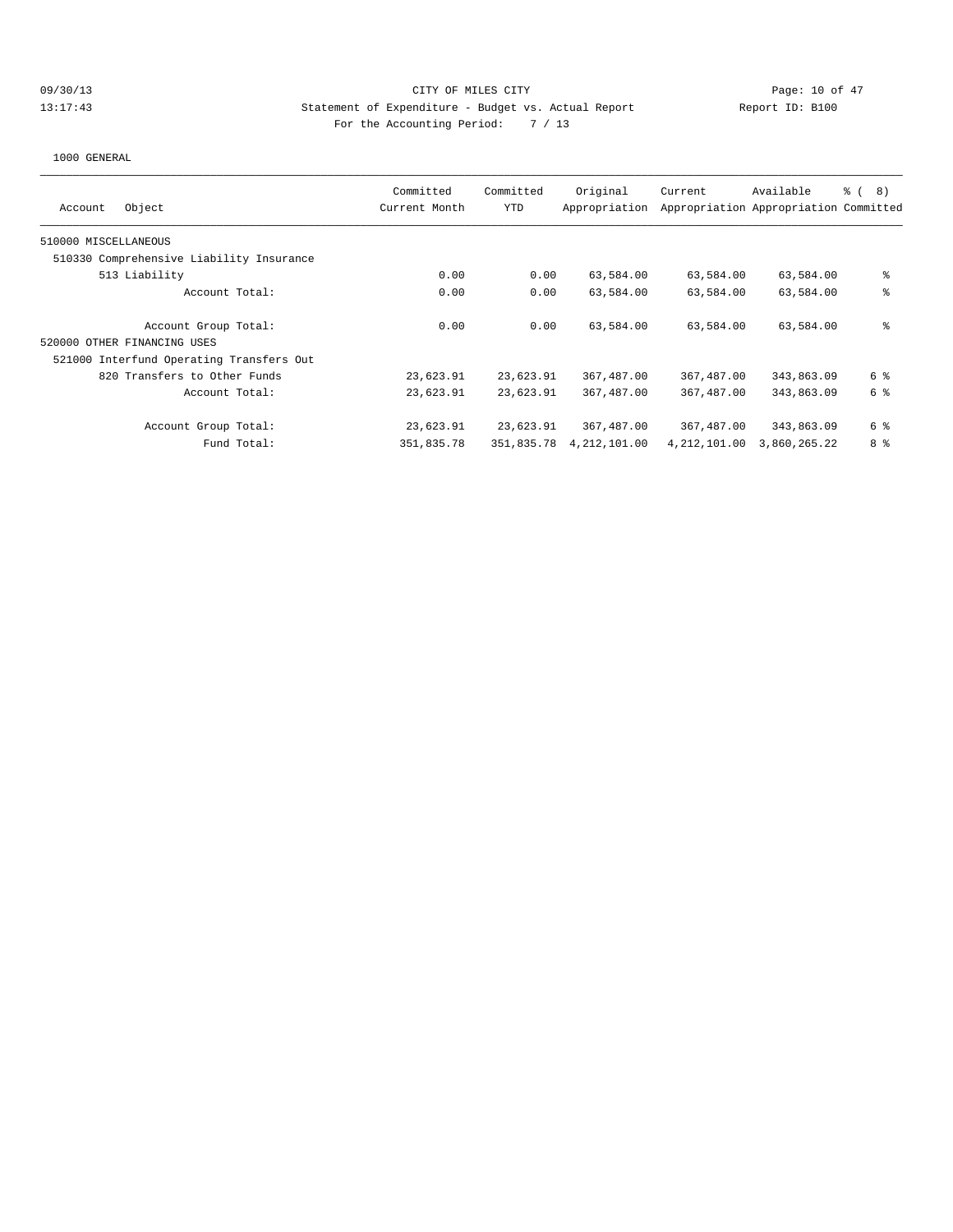# 09/30/13 Page: 10 of 47 13:17:43 Statement of Expenditure - Budget vs. Actual Report Changer Report ID: B100 For the Accounting Period: 7 / 13

| Object<br>Account                        | Committed<br>Current Month | Committed<br>YTD | Original<br>Appropriation | Current        | Available<br>Appropriation Appropriation Committed | <sub>රි</sub> ( 8 ) |
|------------------------------------------|----------------------------|------------------|---------------------------|----------------|----------------------------------------------------|---------------------|
| 510000 MISCELLANEOUS                     |                            |                  |                           |                |                                                    |                     |
| 510330 Comprehensive Liability Insurance |                            |                  |                           |                |                                                    |                     |
| 513 Liability                            | 0.00                       | 0.00             | 63,584.00                 | 63,584.00      | 63,584.00                                          | နွ                  |
| Account Total:                           | 0.00                       | 0.00             | 63,584.00                 | 63,584.00      | 63,584.00                                          | နွ                  |
| Account Group Total:                     | 0.00                       | 0.00             | 63,584.00                 | 63,584.00      | 63,584.00                                          | နွ                  |
| 520000 OTHER FINANCING USES              |                            |                  |                           |                |                                                    |                     |
| 521000 Interfund Operating Transfers Out |                            |                  |                           |                |                                                    |                     |
| 820 Transfers to Other Funds             | 23,623.91                  | 23,623.91        | 367,487.00                | 367,487.00     | 343,863.09                                         | 6 %                 |
| Account Total:                           | 23,623.91                  | 23,623.91        | 367,487.00                | 367,487.00     | 343,863.09                                         | 6 %                 |
| Account Group Total:                     | 23,623.91                  | 23,623.91        | 367,487.00                | 367,487.00     | 343,863.09                                         | 6 %                 |
| Fund Total:                              | 351,835.78                 | 351,835.78       | 4, 212, 101.00            | 4, 212, 101.00 | 3,860,265.22                                       | 8 %                 |
|                                          |                            |                  |                           |                |                                                    |                     |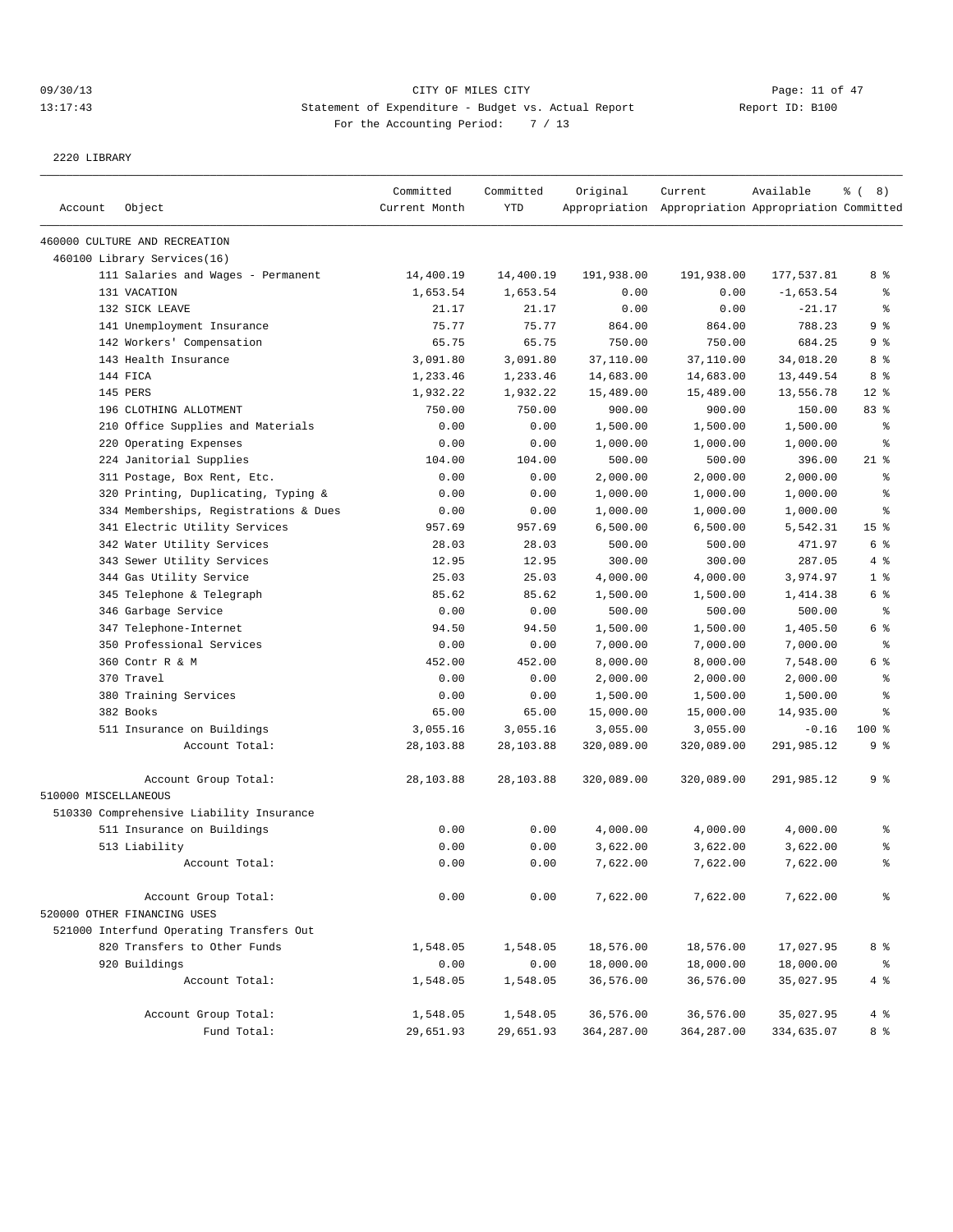# 09/30/13 Page: 11 of 47 13:17:43 Statement of Expenditure - Budget vs. Actual Report Changer Report ID: B100 For the Accounting Period: 7 / 13

2220 LIBRARY

| Account              | Object                                   | Committed<br>Current Month | Committed<br><b>YTD</b> | Original    | Current<br>Appropriation Appropriation Appropriation Committed | Available   | <sub>රි</sub> ( 8 ) |
|----------------------|------------------------------------------|----------------------------|-------------------------|-------------|----------------------------------------------------------------|-------------|---------------------|
|                      | 460000 CULTURE AND RECREATION            |                            |                         |             |                                                                |             |                     |
|                      | 460100 Library Services(16)              |                            |                         |             |                                                                |             |                     |
|                      | 111 Salaries and Wages - Permanent       | 14,400.19                  | 14,400.19               | 191,938.00  | 191,938.00                                                     | 177,537.81  | 8 %                 |
|                      | 131 VACATION                             | 1,653.54                   | 1,653.54                | 0.00        | 0.00                                                           | $-1,653.54$ | နွ                  |
|                      | 132 SICK LEAVE                           | 21.17                      | 21.17                   | 0.00        | 0.00                                                           | $-21.17$    | ి                   |
|                      | 141 Unemployment Insurance               | 75.77                      | 75.77                   | 864.00      | 864.00                                                         | 788.23      | 9 <sup>8</sup>      |
|                      | 142 Workers' Compensation                | 65.75                      | 65.75                   | 750.00      | 750.00                                                         | 684.25      | 9 %                 |
|                      | 143 Health Insurance                     | 3,091.80                   | 3,091.80                | 37,110.00   | 37,110.00                                                      | 34,018.20   | 8 %                 |
|                      | 144 FICA                                 | 1,233.46                   | 1,233.46                | 14,683.00   | 14,683.00                                                      | 13,449.54   | 8 %                 |
|                      | 145 PERS                                 | 1,932.22                   | 1,932.22                | 15,489.00   | 15,489.00                                                      | 13,556.78   | $12*$               |
|                      | 196 CLOTHING ALLOTMENT                   | 750.00                     | 750.00                  | 900.00      | 900.00                                                         | 150.00      | 83%                 |
|                      | 210 Office Supplies and Materials        | 0.00                       | 0.00                    | 1,500.00    | 1,500.00                                                       | 1,500.00    | နွ                  |
|                      | 220 Operating Expenses                   | 0.00                       | 0.00                    | 1,000.00    | 1,000.00                                                       | 1,000.00    | ႜ                   |
|                      | 224 Janitorial Supplies                  | 104.00                     | 104.00                  | 500.00      | 500.00                                                         | 396.00      | $21$ %              |
|                      | 311 Postage, Box Rent, Etc.              | 0.00                       | 0.00                    | 2,000.00    | 2,000.00                                                       | 2,000.00    | န္                  |
|                      | 320 Printing, Duplicating, Typing &      | 0.00                       | 0.00                    | 1,000.00    | 1,000.00                                                       | 1,000.00    | ి                   |
|                      | 334 Memberships, Registrations & Dues    | 0.00                       | 0.00                    | 1,000.00    | 1,000.00                                                       | 1,000.00    | န္                  |
|                      | 341 Electric Utility Services            | 957.69                     | 957.69                  | 6,500.00    | 6,500.00                                                       | 5,542.31    | 15 <sup>8</sup>     |
|                      | 342 Water Utility Services               | 28.03                      | 28.03                   | 500.00      | 500.00                                                         | 471.97      | 6 %                 |
|                      | 343 Sewer Utility Services               | 12.95                      | 12.95                   | 300.00      | 300.00                                                         | 287.05      | 4 %                 |
|                      | 344 Gas Utility Service                  | 25.03                      | 25.03                   | 4,000.00    | 4,000.00                                                       | 3,974.97    | 1 <sup>8</sup>      |
|                      | 345 Telephone & Telegraph                | 85.62                      | 85.62                   | 1,500.00    | 1,500.00                                                       | 1,414.38    | 6 %                 |
|                      | 346 Garbage Service                      | 0.00                       | 0.00                    | 500.00      | 500.00                                                         | 500.00      | နွ                  |
|                      | 347 Telephone-Internet                   | 94.50                      | 94.50                   | 1,500.00    | 1,500.00                                                       | 1,405.50    | 6 %                 |
|                      | 350 Professional Services                | 0.00                       | 0.00                    | 7,000.00    | 7,000.00                                                       | 7,000.00    | ి                   |
|                      | 360 Contr R & M                          | 452.00                     | 452.00                  | 8,000.00    | 8,000.00                                                       | 7,548.00    | 6 %                 |
|                      | 370 Travel                               | 0.00                       | 0.00                    | 2,000.00    | 2,000.00                                                       | 2,000.00    | ి                   |
|                      | 380 Training Services                    | 0.00                       | 0.00                    | 1,500.00    | 1,500.00                                                       | 1,500.00    | ి                   |
|                      | 382 Books                                | 65.00                      | 65.00                   | 15,000.00   | 15,000.00                                                      | 14,935.00   | န္                  |
|                      | 511 Insurance on Buildings               | 3,055.16                   | 3,055.16                | 3,055.00    | 3,055.00                                                       | $-0.16$     | $100$ %             |
|                      | Account Total:                           | 28,103.88                  | 28,103.88               | 320,089.00  | 320,089.00                                                     | 291,985.12  | 9 %                 |
|                      | Account Group Total:                     | 28,103.88                  | 28,103.88               | 320,089.00  | 320,089.00                                                     | 291,985.12  | 9 %                 |
| 510000 MISCELLANEOUS |                                          |                            |                         |             |                                                                |             |                     |
|                      | 510330 Comprehensive Liability Insurance |                            |                         |             |                                                                |             |                     |
|                      | 511 Insurance on Buildings               | 0.00                       | 0.00                    | 4,000.00    | 4,000.00                                                       | 4,000.00    | ႜ                   |
|                      | 513 Liability                            | 0.00                       | 0.00                    | 3,622.00    | 3,622.00                                                       | 3,622.00    | ి                   |
|                      | Account Total:                           | 0.00                       | 0.00                    | 7,622.00    | 7,622.00                                                       | 7,622.00    | ి                   |
|                      | Account Group Total:                     | 0.00                       | 0.00                    | 7,622.00    | 7,622.00                                                       | 7,622.00    | နွ                  |
|                      | 520000 OTHER FINANCING USES              |                            |                         |             |                                                                |             |                     |
|                      | 521000 Interfund Operating Transfers Out |                            |                         |             |                                                                |             |                     |
|                      | 820 Transfers to Other Funds             | 1,548.05                   | 1,548.05                | 18,576.00   | 18,576.00                                                      | 17,027.95   | 8 %                 |
|                      | 920 Buildings                            | 0.00                       | 0.00                    | 18,000.00   | 18,000.00                                                      | 18,000.00   | ್ಠಿ                 |
|                      | Account Total:                           | 1,548.05                   | 1,548.05                | 36,576.00   | 36,576.00                                                      | 35,027.95   | 4 %                 |
|                      | Account Group Total:                     | 1,548.05                   | 1,548.05                | 36,576.00   | 36,576.00                                                      | 35,027.95   | 4%                  |
|                      | Fund Total:                              | 29,651.93                  | 29,651.93               | 364, 287.00 | 364,287.00                                                     | 334,635.07  | 8 %                 |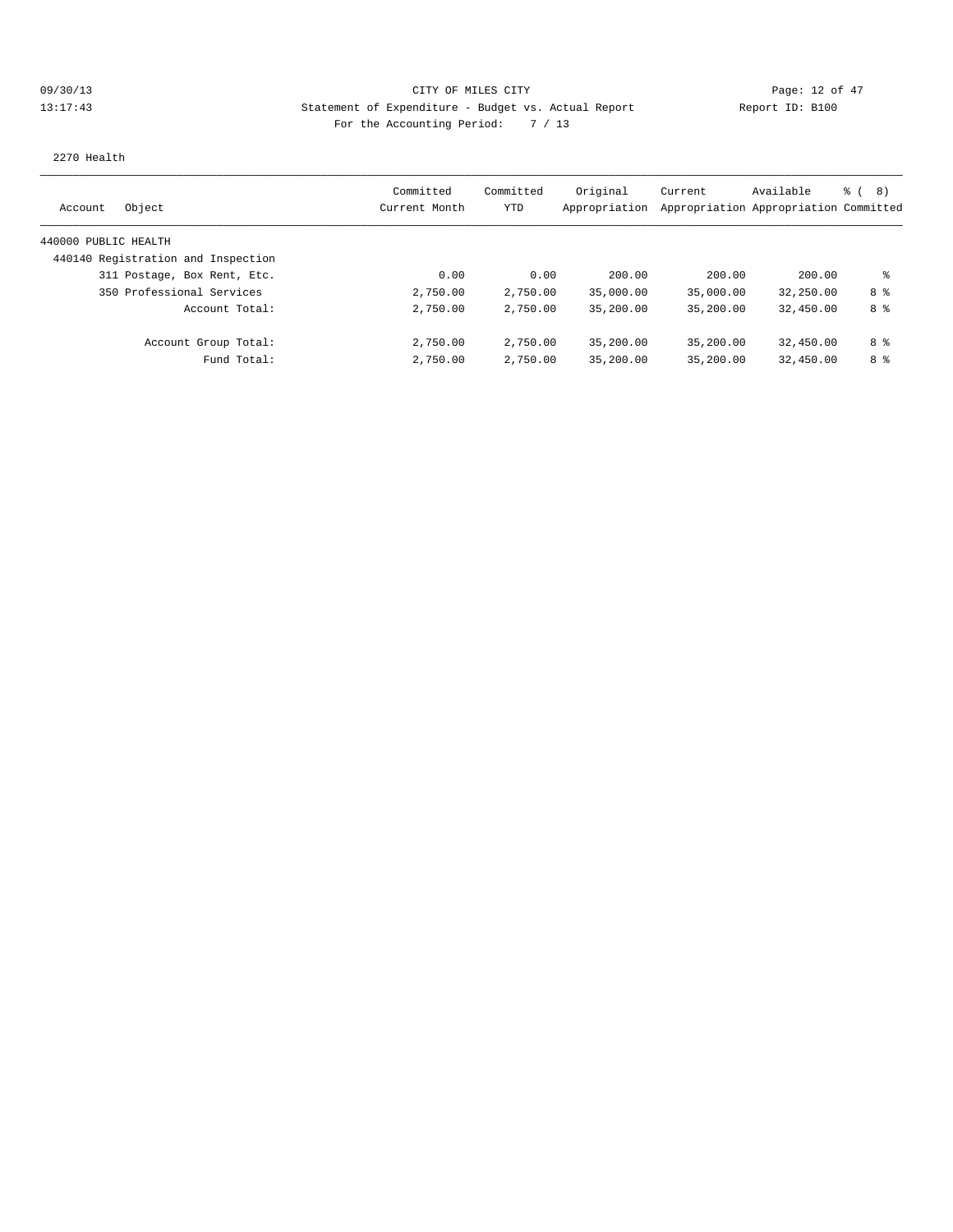# 09/30/13 Page: 12 of 47 13:17:43 Statement of Expenditure - Budget vs. Actual Report Changery Report ID: B100 For the Accounting Period: 7 / 13

2270 Health

| Object<br>Account                  | Committed<br>Current Month | Committed<br>YTD | Original  | Current<br>Appropriation Appropriation Appropriation Committed | Available | <sub>ර</sub> ි (8) |
|------------------------------------|----------------------------|------------------|-----------|----------------------------------------------------------------|-----------|--------------------|
|                                    |                            |                  |           |                                                                |           |                    |
| 440000 PUBLIC HEALTH               |                            |                  |           |                                                                |           |                    |
| 440140 Registration and Inspection |                            |                  |           |                                                                |           |                    |
| 311 Postage, Box Rent, Etc.        | 0.00                       | 0.00             | 200.00    | 200.00                                                         | 200.00    | ႜ                  |
| 350 Professional Services          | 2,750.00                   | 2,750.00         | 35,000.00 | 35,000.00                                                      | 32,250.00 | 8 %                |
| Account Total:                     | 2,750.00                   | 2,750.00         | 35,200.00 | 35,200.00                                                      | 32,450.00 | 8 %                |
| Account Group Total:               | 2,750.00                   | 2,750.00         | 35,200.00 | 35,200.00                                                      | 32,450.00 | 8 %                |
| Fund Total:                        | 2,750.00                   | 2,750.00         | 35,200.00 | 35,200.00                                                      | 32,450.00 | 8 %                |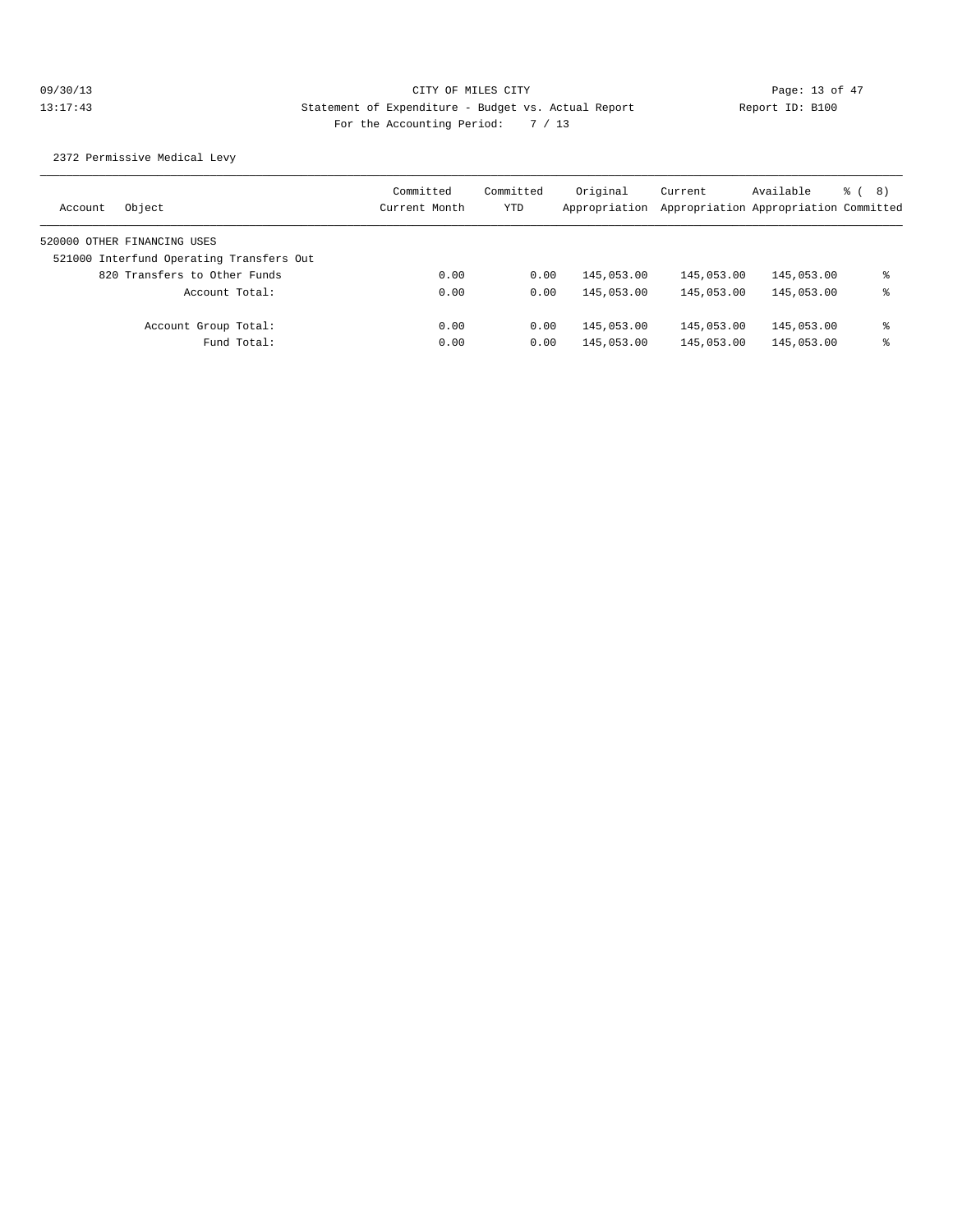2372 Permissive Medical Levy

| Object<br>Account                        | Committed<br>Current Month | Committed<br>YTD | Original<br>Appropriation | Current    | Available<br>Appropriation Appropriation Committed | ී (8) |
|------------------------------------------|----------------------------|------------------|---------------------------|------------|----------------------------------------------------|-------|
| 520000 OTHER FINANCING USES              |                            |                  |                           |            |                                                    |       |
| 521000 Interfund Operating Transfers Out |                            |                  |                           |            |                                                    |       |
| 820 Transfers to Other Funds             | 0.00                       | 0.00             | 145,053.00                | 145,053.00 | 145,053.00                                         | ႜ     |
| Account Total:                           | 0.00                       | 0.00             | 145,053.00                | 145,053.00 | 145,053.00                                         | ႜ     |
| Account Group Total:                     | 0.00                       | 0.00             | 145,053.00                | 145,053.00 | 145,053.00                                         | ႜ     |
| Fund Total:                              | 0.00                       | 0.00             | 145,053.00                | 145,053.00 | 145,053.00                                         | ႜ     |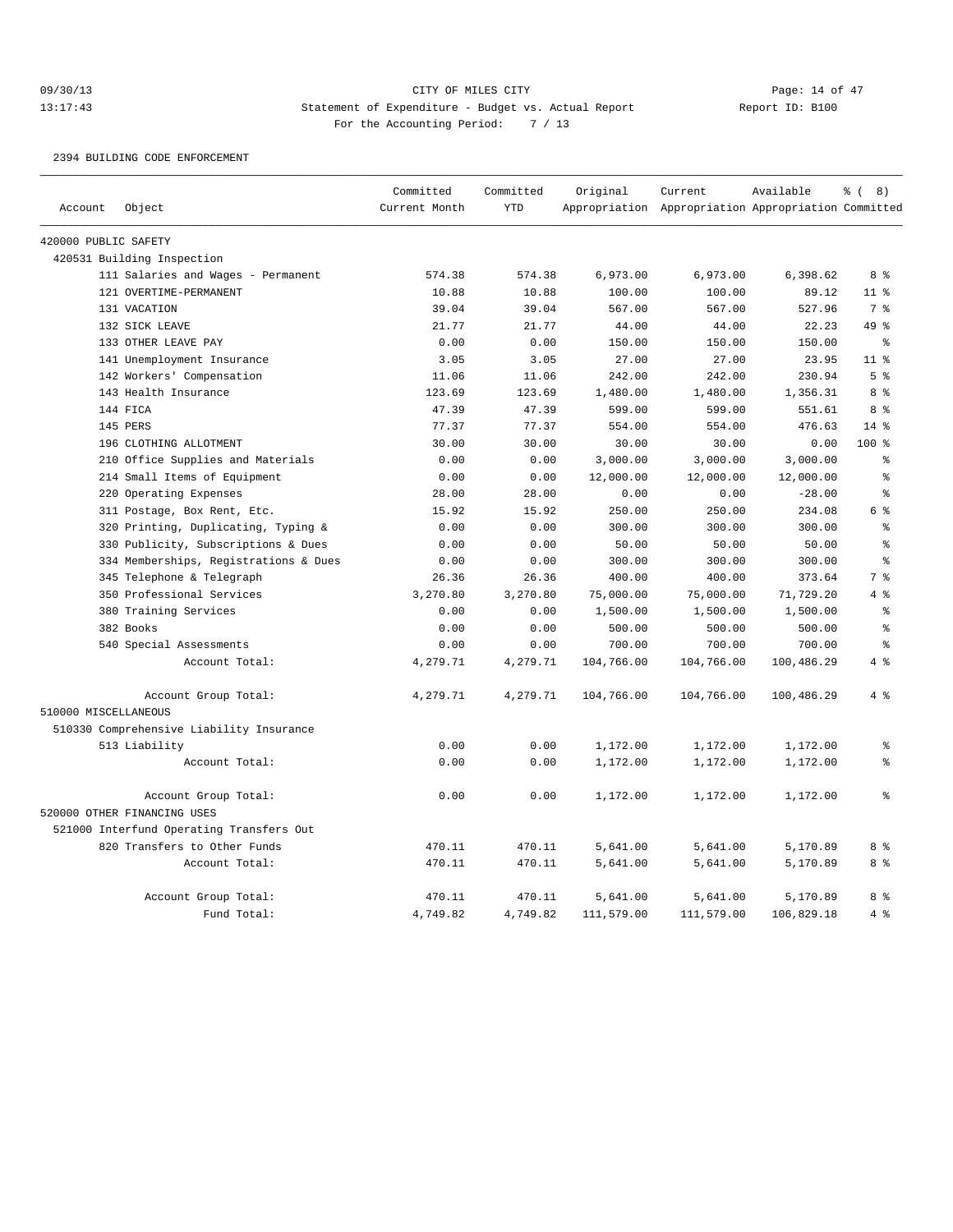#### 09/30/13 CITY OF MILES CITY Page: 14 of 47 13:17:43 Statement of Expenditure - Budget vs. Actual Report Report ID: B100 For the Accounting Period: 7 / 13

#### 2394 BUILDING CODE ENFORCEMENT

|                      |                                          | Committed     | Committed  | Original   | Current                                             | Available  | <sub>රි</sub> ( 8 )                |
|----------------------|------------------------------------------|---------------|------------|------------|-----------------------------------------------------|------------|------------------------------------|
| Account              | Object                                   | Current Month | <b>YTD</b> |            | Appropriation Appropriation Appropriation Committed |            |                                    |
| 420000 PUBLIC SAFETY |                                          |               |            |            |                                                     |            |                                    |
|                      | 420531 Building Inspection               |               |            |            |                                                     |            |                                    |
|                      | 111 Salaries and Wages - Permanent       | 574.38        | 574.38     | 6,973.00   | 6,973.00                                            | 6,398.62   | 8 %                                |
|                      | 121 OVERTIME-PERMANENT                   | 10.88         | 10.88      | 100.00     | 100.00                                              | 89.12      | 11 <sup>8</sup>                    |
|                      | 131 VACATION                             | 39.04         | 39.04      | 567.00     | 567.00                                              | 527.96     | 7 <sup>°</sup>                     |
|                      | 132 SICK LEAVE                           | 21.77         | 21.77      | 44.00      | 44.00                                               | 22.23      | 49 %                               |
|                      | 133 OTHER LEAVE PAY                      | 0.00          | 0.00       | 150.00     | 150.00                                              | 150.00     | °                                  |
|                      | 141 Unemployment Insurance               | 3.05          | 3.05       | 27.00      | 27.00                                               | 23.95      | 11 <sup>°</sup>                    |
|                      | 142 Workers' Compensation                | 11.06         | 11.06      | 242.00     | 242.00                                              | 230.94     | 5 <sup>°</sup>                     |
|                      | 143 Health Insurance                     | 123.69        | 123.69     | 1,480.00   | 1,480.00                                            | 1,356.31   | 8 %                                |
|                      | 144 FICA                                 | 47.39         | 47.39      | 599.00     | 599.00                                              | 551.61     | 8 %                                |
|                      | 145 PERS                                 | 77.37         | 77.37      | 554.00     | 554.00                                              | 476.63     | $14*$                              |
|                      | 196 CLOTHING ALLOTMENT                   | 30.00         | 30.00      | 30.00      | 30.00                                               | 0.00       | $100*$                             |
|                      | 210 Office Supplies and Materials        | 0.00          | 0.00       | 3,000.00   | 3,000.00                                            | 3,000.00   | ి                                  |
|                      | 214 Small Items of Equipment             | 0.00          | 0.00       | 12,000.00  | 12,000.00                                           | 12,000.00  | $\,$ $\,$ $\,$                     |
|                      | 220 Operating Expenses                   | 28.00         | 28.00      | 0.00       | 0.00                                                | $-28.00$   | $\,$ $\,$ $\,$                     |
|                      | 311 Postage, Box Rent, Etc.              | 15.92         | 15.92      | 250.00     | 250.00                                              | 234.08     | $6 \text{ }$ $\text{ }$ $\text{ }$ |
|                      | 320 Printing, Duplicating, Typing &      | 0.00          | 0.00       | 300.00     | 300.00                                              | 300.00     | န္                                 |
|                      | 330 Publicity, Subscriptions & Dues      | 0.00          | 0.00       | 50.00      | 50.00                                               | 50.00      | $\approx$                          |
|                      | 334 Memberships, Registrations & Dues    | 0.00          | 0.00       | 300.00     | 300.00                                              | 300.00     | $\approx$                          |
|                      | 345 Telephone & Telegraph                | 26.36         | 26.36      | 400.00     | 400.00                                              | 373.64     | 7 %                                |
|                      | 350 Professional Services                | 3,270.80      | 3,270.80   | 75,000.00  | 75,000.00                                           | 71,729.20  | 4%                                 |
|                      | 380 Training Services                    | 0.00          | 0.00       | 1,500.00   | 1,500.00                                            | 1,500.00   | $\,$ $\,$ $\,$                     |
|                      | 382 Books                                | 0.00          | 0.00       | 500.00     | 500.00                                              | 500.00     | $\,$ $\,$ $\,$                     |
|                      | 540 Special Assessments                  | 0.00          | 0.00       | 700.00     | 700.00                                              | 700.00     | န္                                 |
|                      | Account Total:                           | 4,279.71      | 4,279.71   | 104,766.00 | 104,766.00                                          | 100,486.29 | 4%                                 |
|                      | Account Group Total:                     | 4,279.71      | 4,279.71   | 104,766.00 | 104,766.00                                          | 100,486.29 | 4%                                 |
| 510000 MISCELLANEOUS |                                          |               |            |            |                                                     |            |                                    |
|                      | 510330 Comprehensive Liability Insurance |               |            |            |                                                     |            |                                    |
|                      | 513 Liability                            | 0.00          | 0.00       | 1,172.00   | 1,172.00                                            | 1,172.00   | ి                                  |
|                      | Account Total:                           | 0.00          | 0.00       | 1,172.00   | 1,172.00                                            | 1,172.00   | ៖                                  |
|                      | Account Group Total:                     | 0.00          | 0.00       | 1,172.00   | 1,172.00                                            | 1,172.00   | $\approx$                          |
|                      | 520000 OTHER FINANCING USES              |               |            |            |                                                     |            |                                    |
|                      | 521000 Interfund Operating Transfers Out |               |            |            |                                                     |            |                                    |
|                      | 820 Transfers to Other Funds             | 470.11        | 470.11     | 5,641.00   | 5,641.00                                            | 5,170.89   | 8 %                                |
|                      | Account Total:                           | 470.11        | 470.11     | 5,641.00   | 5,641.00                                            | 5,170.89   | 8 %                                |
|                      | Account Group Total:                     | 470.11        | 470.11     | 5,641.00   | 5,641.00                                            | 5,170.89   | 8 %                                |
|                      | Fund Total:                              | 4,749.82      | 4,749.82   | 111,579.00 | 111,579.00                                          | 106,829.18 | 4%                                 |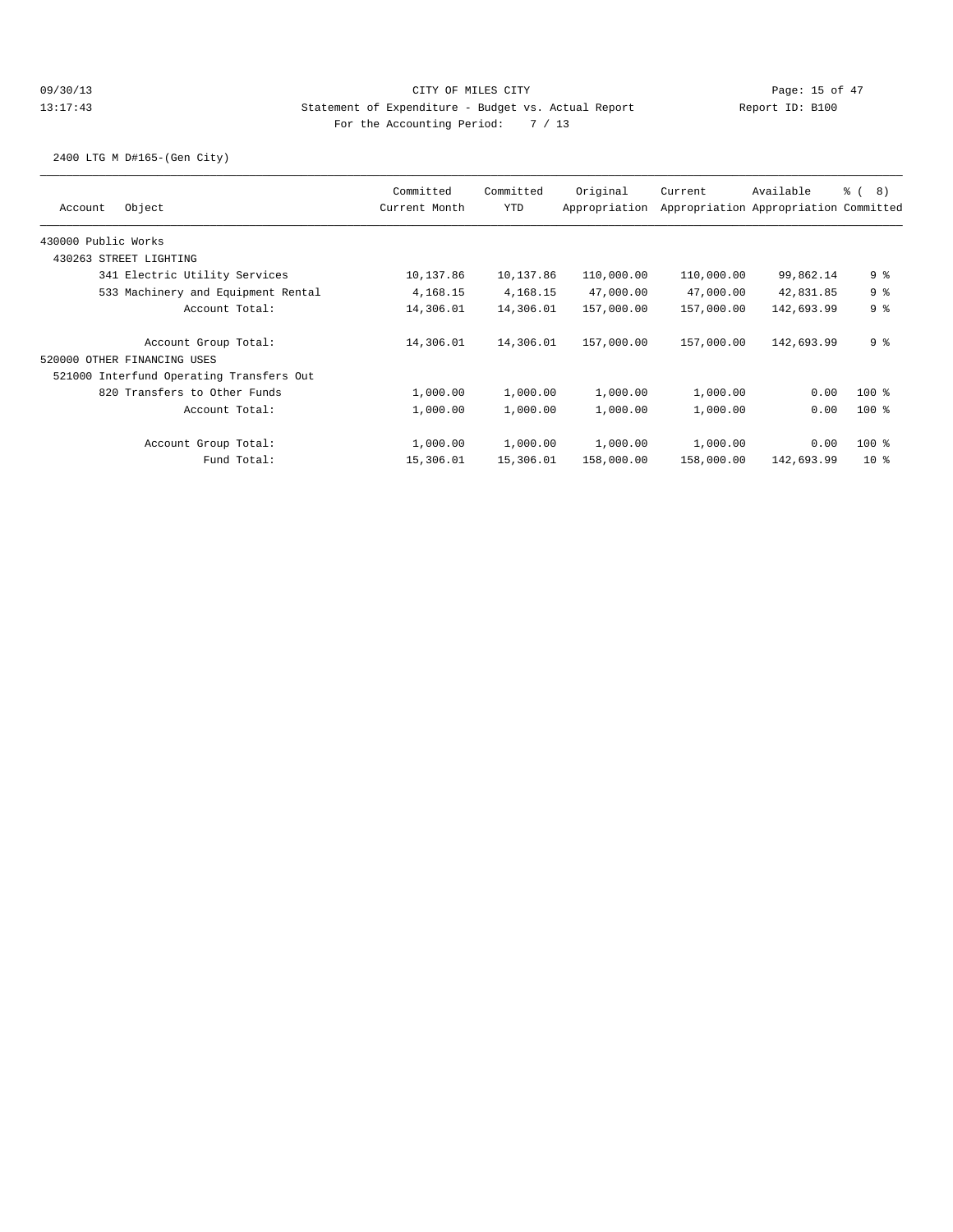2400 LTG M D#165-(Gen City)

| Object<br>Account                        | Committed<br>Current Month | Committed<br><b>YTD</b> | Original<br>Appropriation | Current    | Available<br>Appropriation Appropriation Committed | <sub>රි</sub> ( 8 ) |
|------------------------------------------|----------------------------|-------------------------|---------------------------|------------|----------------------------------------------------|---------------------|
| 430000 Public Works                      |                            |                         |                           |            |                                                    |                     |
| 430263 STREET LIGHTING                   |                            |                         |                           |            |                                                    |                     |
| 341 Electric Utility Services            | 10,137.86                  | 10,137.86               | 110,000.00                | 110,000.00 | 99,862.14                                          | 9 %                 |
| 533 Machinery and Equipment Rental       | 4,168.15                   | 4,168.15                | 47,000.00                 | 47,000.00  | 42,831.85                                          | 9%                  |
| Account Total:                           | 14,306.01                  | 14,306.01               | 157,000.00                | 157,000.00 | 142,693.99                                         | 9 <sup>°</sup>      |
| Account Group Total:                     | 14,306.01                  | 14,306.01               | 157,000.00                | 157,000.00 | 142,693.99                                         | 9 <sup>8</sup>      |
| 520000 OTHER FINANCING USES              |                            |                         |                           |            |                                                    |                     |
| 521000 Interfund Operating Transfers Out |                            |                         |                           |            |                                                    |                     |
| 820 Transfers to Other Funds             | 1,000.00                   | 1,000.00                | 1,000.00                  | 1,000.00   | 0.00                                               | $100$ %             |
| Account Total:                           | 1,000.00                   | 1,000.00                | 1,000.00                  | 1,000.00   | 0.00                                               | $100$ %             |
| Account Group Total:                     | 1,000.00                   | 1,000.00                | 1,000.00                  | 1,000.00   | 0.00                                               | $100$ %             |
| Fund Total:                              | 15,306.01                  | 15,306.01               | 158,000.00                | 158,000.00 | 142,693.99                                         | $10*$               |
|                                          |                            |                         |                           |            |                                                    |                     |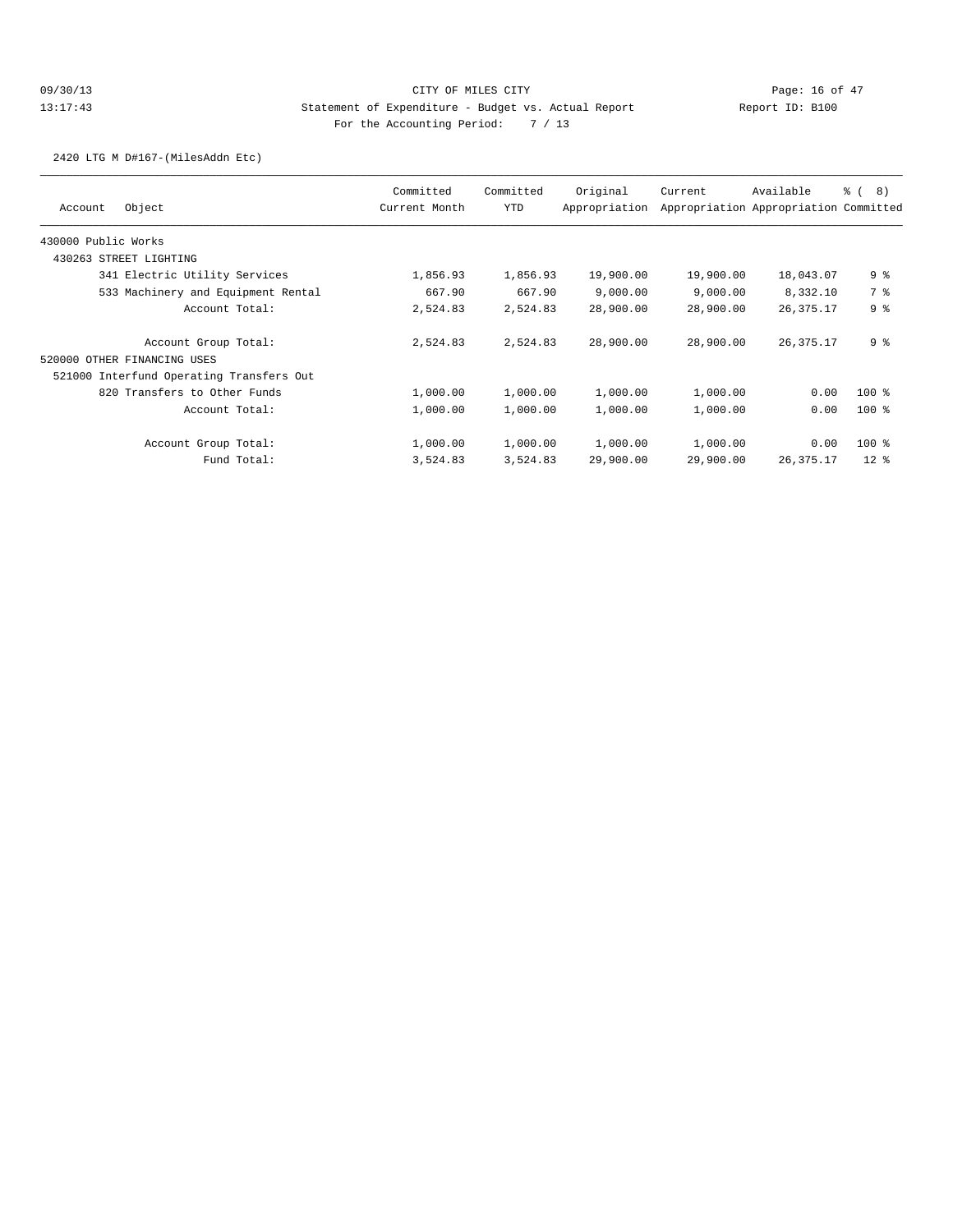## 09/30/13 Page: 16 of 47 13:17:43 Statement of Expenditure - Budget vs. Actual Report Changery Report ID: B100 For the Accounting Period: 7 / 13

2420 LTG M D#167-(MilesAddn Etc)

| Object<br>Account                        | Committed<br>Current Month | Committed<br><b>YTD</b> | Original<br>Appropriation | Current   | Available<br>Appropriation Appropriation Committed | <sub>රි</sub> ( 8 ) |
|------------------------------------------|----------------------------|-------------------------|---------------------------|-----------|----------------------------------------------------|---------------------|
|                                          |                            |                         |                           |           |                                                    |                     |
| 430000 Public Works                      |                            |                         |                           |           |                                                    |                     |
| 430263 STREET LIGHTING                   |                            |                         |                           |           |                                                    |                     |
| 341 Electric Utility Services            | 1,856.93                   | 1,856.93                | 19,900.00                 | 19,900.00 | 18,043.07                                          | 9 %                 |
| 533 Machinery and Equipment Rental       | 667.90                     | 667.90                  | 9,000.00                  | 9,000.00  | 8,332.10                                           | 7 %                 |
| Account Total:                           | 2,524.83                   | 2,524.83                | 28,900.00                 | 28,900.00 | 26, 375. 17                                        | 9 <sup>8</sup>      |
| Account Group Total:                     | 2,524.83                   | 2,524.83                | 28,900.00                 | 28,900.00 | 26, 375. 17                                        | 9 %                 |
| 520000 OTHER FINANCING USES              |                            |                         |                           |           |                                                    |                     |
| 521000 Interfund Operating Transfers Out |                            |                         |                           |           |                                                    |                     |
| 820 Transfers to Other Funds             | 1,000.00                   | 1,000.00                | 1,000.00                  | 1,000.00  | 0.00                                               | $100$ %             |
| Account Total:                           | 1,000.00                   | 1,000.00                | 1,000.00                  | 1,000.00  | 0.00                                               | $100$ %             |
| Account Group Total:                     | 1,000.00                   | 1,000.00                | 1,000.00                  | 1,000.00  | 0.00                                               | $100$ %             |
| Fund Total:                              | 3,524.83                   | 3,524.83                | 29,900.00                 | 29,900.00 | 26, 375. 17                                        | 12 <sup>8</sup>     |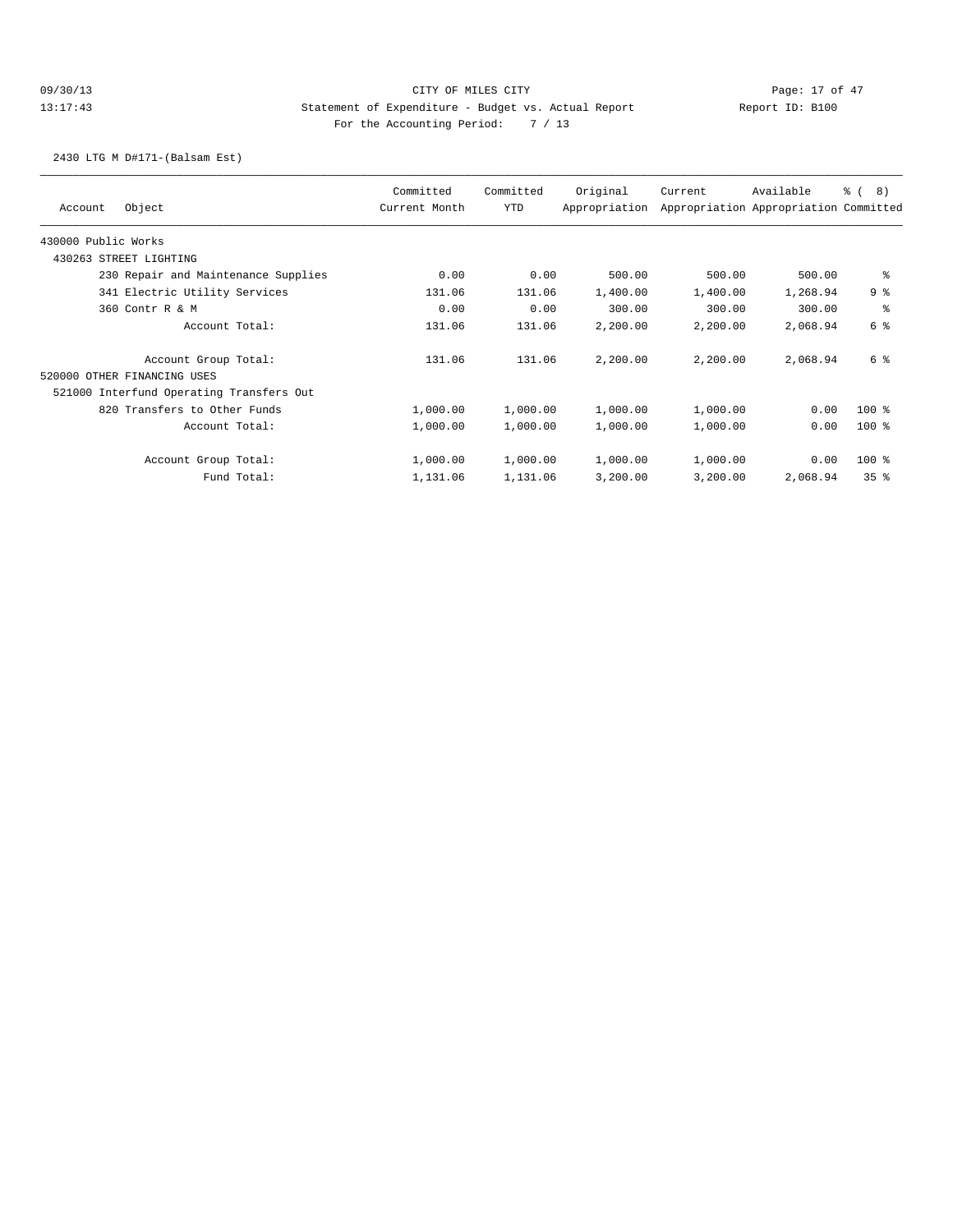## 09/30/13 Page: 17 of 47 13:17:43 Statement of Expenditure - Budget vs. Actual Report Changery Report ID: B100 For the Accounting Period: 7 / 13

2430 LTG M D#171-(Balsam Est)

| Object<br>Account                        |             | Committed<br>Current Month | Committed<br>YTD | Original<br>Appropriation | Current  | Available<br>Appropriation Appropriation Committed | ී ( | 8)              |
|------------------------------------------|-------------|----------------------------|------------------|---------------------------|----------|----------------------------------------------------|-----|-----------------|
| 430000 Public Works                      |             |                            |                  |                           |          |                                                    |     |                 |
| 430263 STREET LIGHTING                   |             |                            |                  |                           |          |                                                    |     |                 |
| 230 Repair and Maintenance Supplies      |             | 0.00                       | 0.00             | 500.00                    | 500.00   | 500.00                                             |     | ి               |
| 341 Electric Utility Services            |             | 131.06                     | 131.06           | 1,400.00                  | 1,400.00 | 1,268.94                                           |     | 9%              |
| 360 Contr R & M                          |             | 0.00                       | 0.00             | 300.00                    | 300.00   | 300.00                                             |     | နွ              |
| Account Total:                           |             | 131.06                     | 131.06           | 2,200.00                  | 2,200.00 | 2,068.94                                           |     | 6 <sup>°</sup>  |
| Account Group Total:                     |             | 131.06                     | 131.06           | 2,200.00                  | 2,200.00 | 2,068.94                                           |     | 6 %             |
| 520000 OTHER FINANCING USES              |             |                            |                  |                           |          |                                                    |     |                 |
| 521000 Interfund Operating Transfers Out |             |                            |                  |                           |          |                                                    |     |                 |
| 820 Transfers to Other Funds             |             | 1,000.00                   | 1,000.00         | 1,000.00                  | 1,000.00 | 0.00                                               |     | $100$ %         |
| Account Total:                           |             | 1,000.00                   | 1,000.00         | 1,000.00                  | 1,000.00 | 0.00                                               |     | $100*$          |
| Account Group Total:                     |             | 1,000.00                   | 1,000.00         | 1,000.00                  | 1,000.00 | 0.00                                               |     | 100 %           |
|                                          | Fund Total: | 1,131.06                   | 1,131.06         | 3,200.00                  | 3,200.00 | 2,068.94                                           |     | 35 <sup>8</sup> |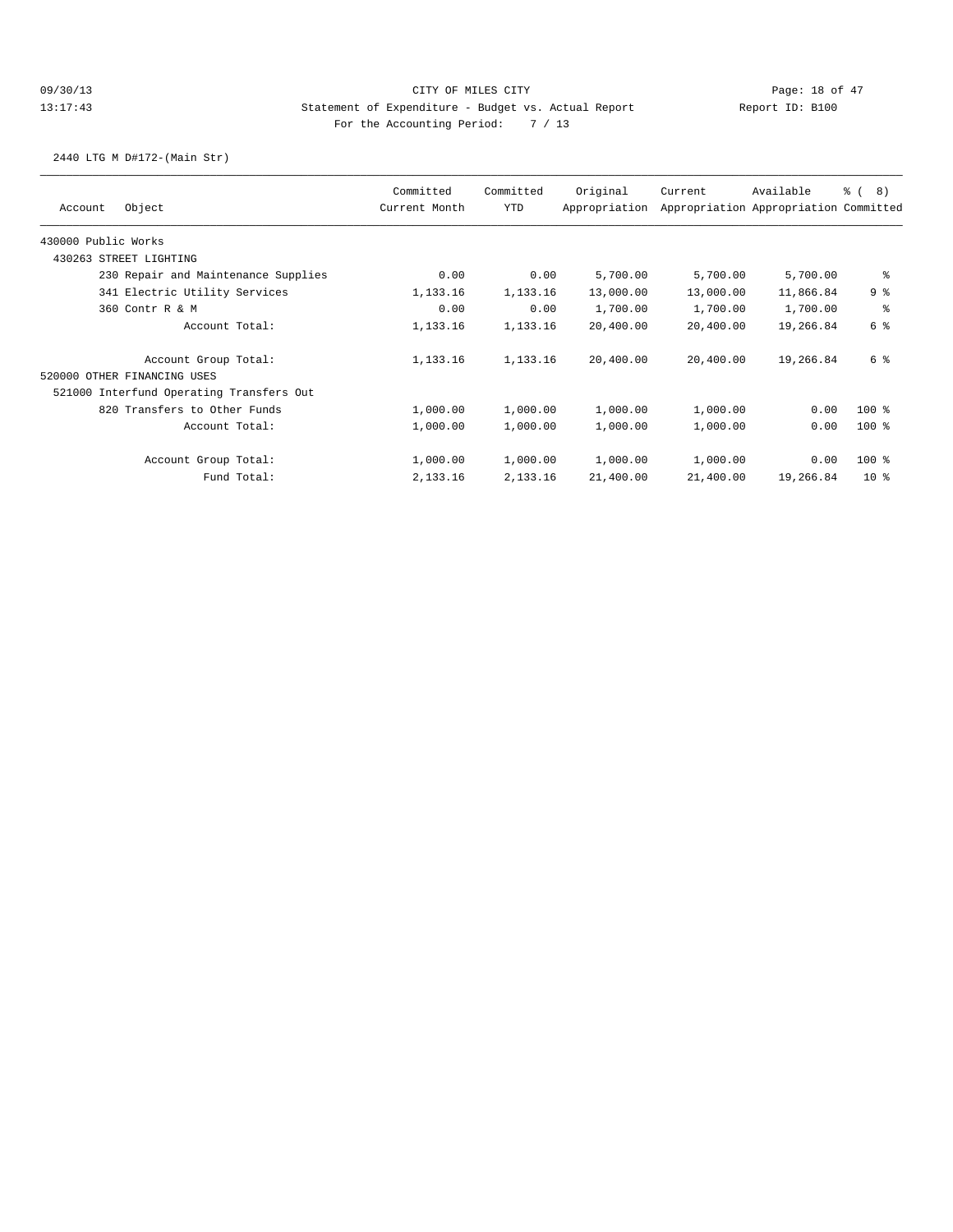2440 LTG M D#172-(Main Str)

|                     |                                          | Committed     | Committed | Original      | Current                               | Available | 8)<br>ී ( |
|---------------------|------------------------------------------|---------------|-----------|---------------|---------------------------------------|-----------|-----------|
| Account             | Object                                   | Current Month | YTD       | Appropriation | Appropriation Appropriation Committed |           |           |
| 430000 Public Works |                                          |               |           |               |                                       |           |           |
|                     | 430263 STREET LIGHTING                   |               |           |               |                                       |           |           |
|                     | 230 Repair and Maintenance Supplies      | 0.00          | 0.00      | 5,700.00      | 5,700.00                              | 5,700.00  | နွ        |
|                     | 341 Electric Utility Services            | 1,133.16      | 1,133.16  | 13,000.00     | 13,000.00                             | 11,866.84 | 9%        |
|                     | 360 Contr R & M                          | 0.00          | 0.00      | 1,700.00      | 1,700.00                              | 1,700.00  | နွ        |
|                     | Account Total:                           | 1,133.16      | 1,133.16  | 20,400.00     | 20,400.00                             | 19,266.84 | 6 %       |
|                     | Account Group Total:                     | 1,133.16      | 1,133.16  | 20,400.00     | 20,400.00                             | 19,266.84 | 6 %       |
|                     | 520000 OTHER FINANCING USES              |               |           |               |                                       |           |           |
|                     | 521000 Interfund Operating Transfers Out |               |           |               |                                       |           |           |
|                     | 820 Transfers to Other Funds             | 1,000.00      | 1,000.00  | 1,000.00      | 1,000.00                              | 0.00      | $100$ %   |
|                     | Account Total:                           | 1,000.00      | 1,000.00  | 1,000.00      | 1,000.00                              | 0.00      | $100$ %   |
|                     | Account Group Total:                     | 1,000.00      | 1,000.00  | 1,000.00      | 1,000.00                              | 0.00      | $100$ %   |
|                     | Fund Total:                              | 2,133.16      | 2,133.16  | 21,400.00     | 21,400.00                             | 19,266.84 | $10*$     |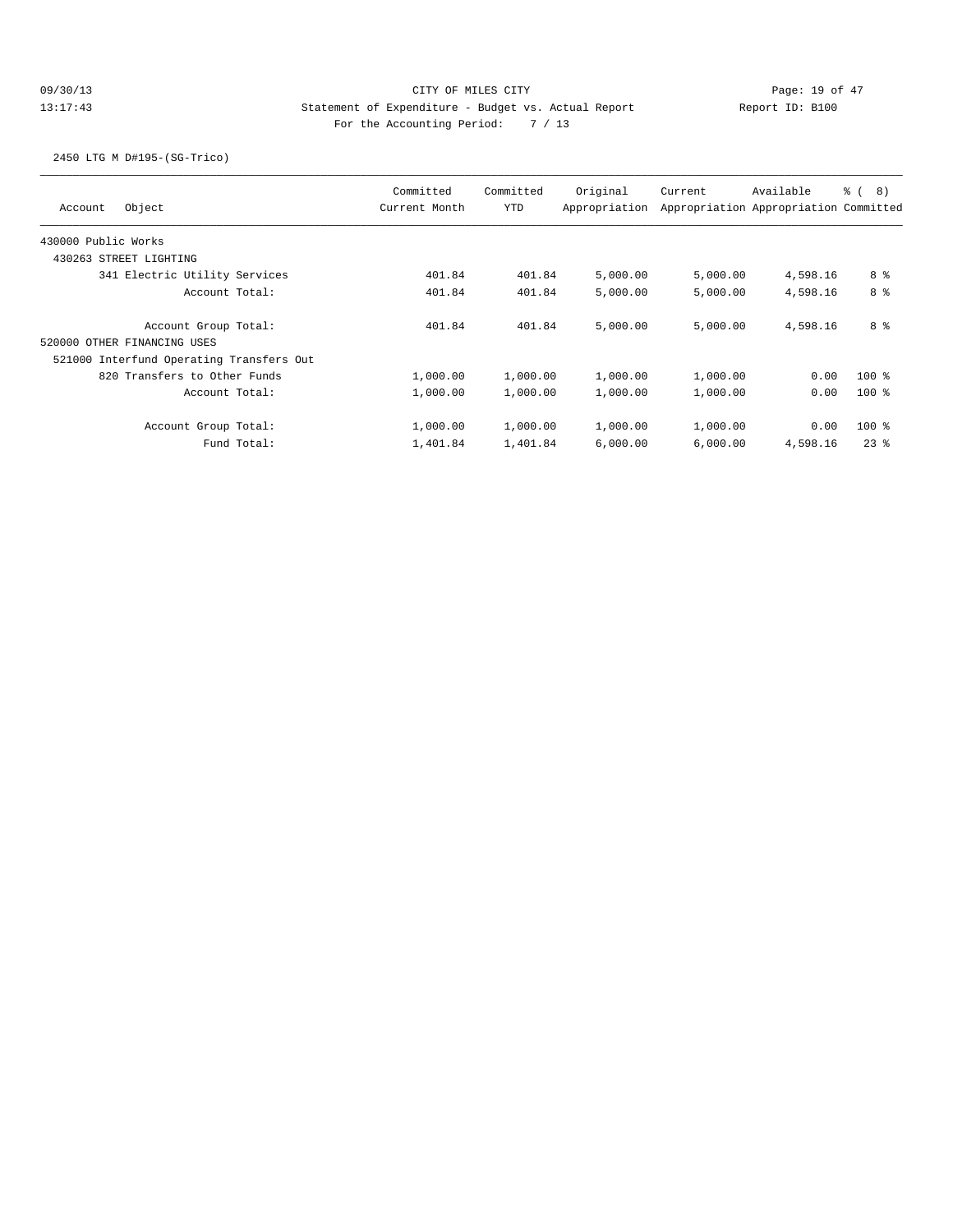## 09/30/13 Page: 19 of 47 13:17:43 Statement of Expenditure - Budget vs. Actual Report Changer Report ID: B100 For the Accounting Period: 7 / 13

2450 LTG M D#195-(SG-Trico)

|                                          | Committed     | Committed  | Original      | Current  | Available                             | <sub>රි</sub> ( 8 ) |
|------------------------------------------|---------------|------------|---------------|----------|---------------------------------------|---------------------|
| Object<br>Account                        | Current Month | <b>YTD</b> | Appropriation |          | Appropriation Appropriation Committed |                     |
| 430000 Public Works                      |               |            |               |          |                                       |                     |
| 430263 STREET LIGHTING                   |               |            |               |          |                                       |                     |
| 341 Electric Utility Services            | 401.84        | 401.84     | 5,000.00      | 5,000.00 | 4,598.16                              | 8 %                 |
| Account Total:                           | 401.84        | 401.84     | 5,000.00      | 5,000.00 | 4,598.16                              | 8 %                 |
| Account Group Total:                     | 401.84        | 401.84     | 5,000.00      | 5,000.00 | 4,598.16                              | 8 %                 |
| 520000 OTHER FINANCING USES              |               |            |               |          |                                       |                     |
| 521000 Interfund Operating Transfers Out |               |            |               |          |                                       |                     |
| 820 Transfers to Other Funds             | 1,000.00      | 1,000.00   | 1,000.00      | 1,000.00 | 0.00                                  | $100*$              |
| Account Total:                           | 1,000.00      | 1,000.00   | 1,000.00      | 1,000.00 | 0.00                                  | $100$ %             |
| Account Group Total:                     | 1,000.00      | 1,000.00   | 1,000.00      | 1,000.00 | 0.00                                  | $100$ %             |
| Fund Total:                              | 1,401.84      | 1,401.84   | 6,000.00      | 6,000.00 | 4,598.16                              | 238                 |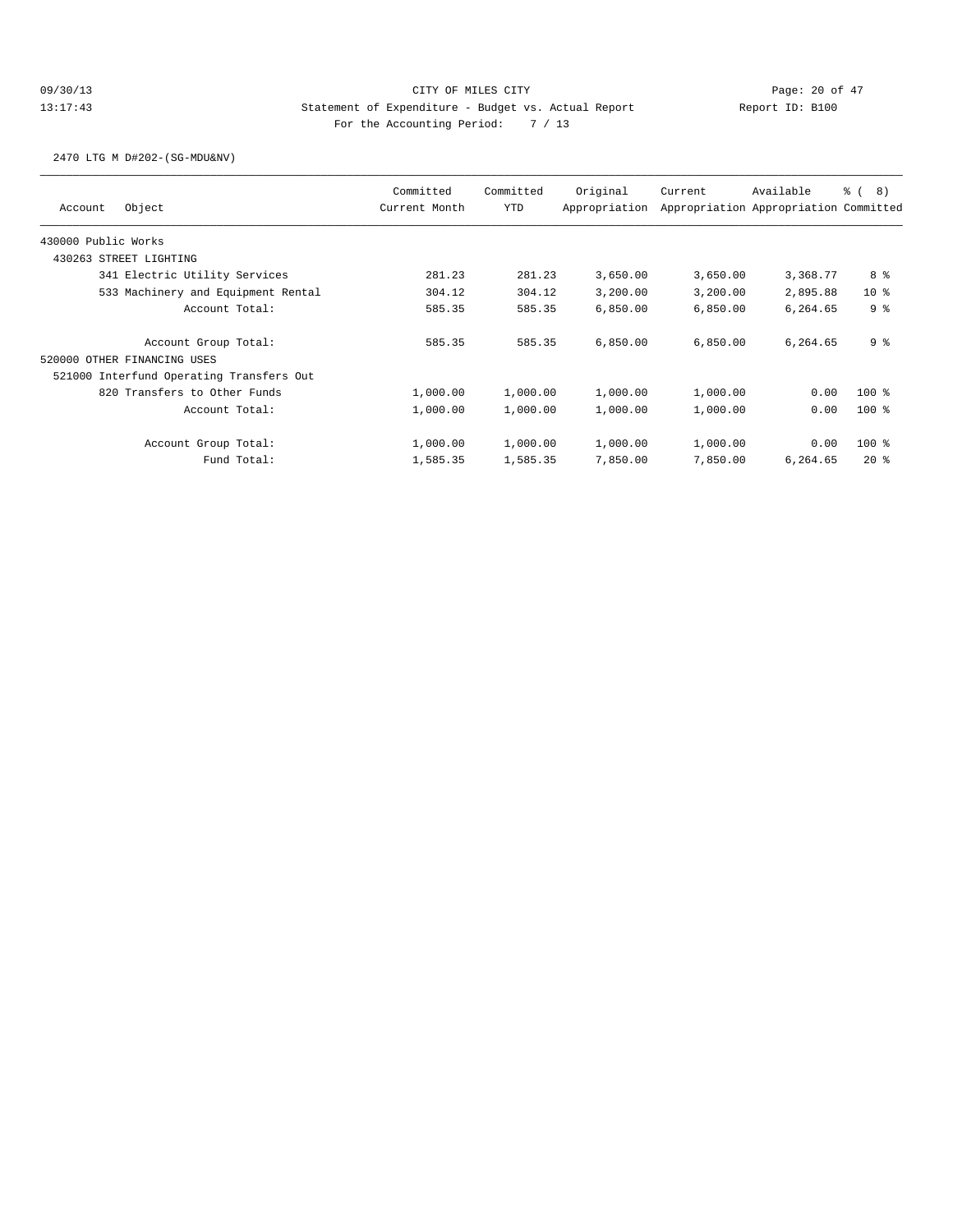2470 LTG M D#202-(SG-MDU&NV)

| Available                             | <sub>රි</sub> ( 8 )                                                              |
|---------------------------------------|----------------------------------------------------------------------------------|
| Appropriation Appropriation Committed |                                                                                  |
|                                       |                                                                                  |
|                                       |                                                                                  |
|                                       | 8 %                                                                              |
|                                       | 10 <sub>8</sub>                                                                  |
|                                       | 9 <sup>8</sup>                                                                   |
|                                       | 9 %                                                                              |
|                                       |                                                                                  |
|                                       |                                                                                  |
|                                       | $100$ %                                                                          |
|                                       | $100$ %                                                                          |
|                                       | $100$ %                                                                          |
|                                       | $20*$                                                                            |
|                                       | 3,368.77<br>2,895.88<br>6,264.65<br>6,264.65<br>0.00<br>0.00<br>0.00<br>6,264.65 |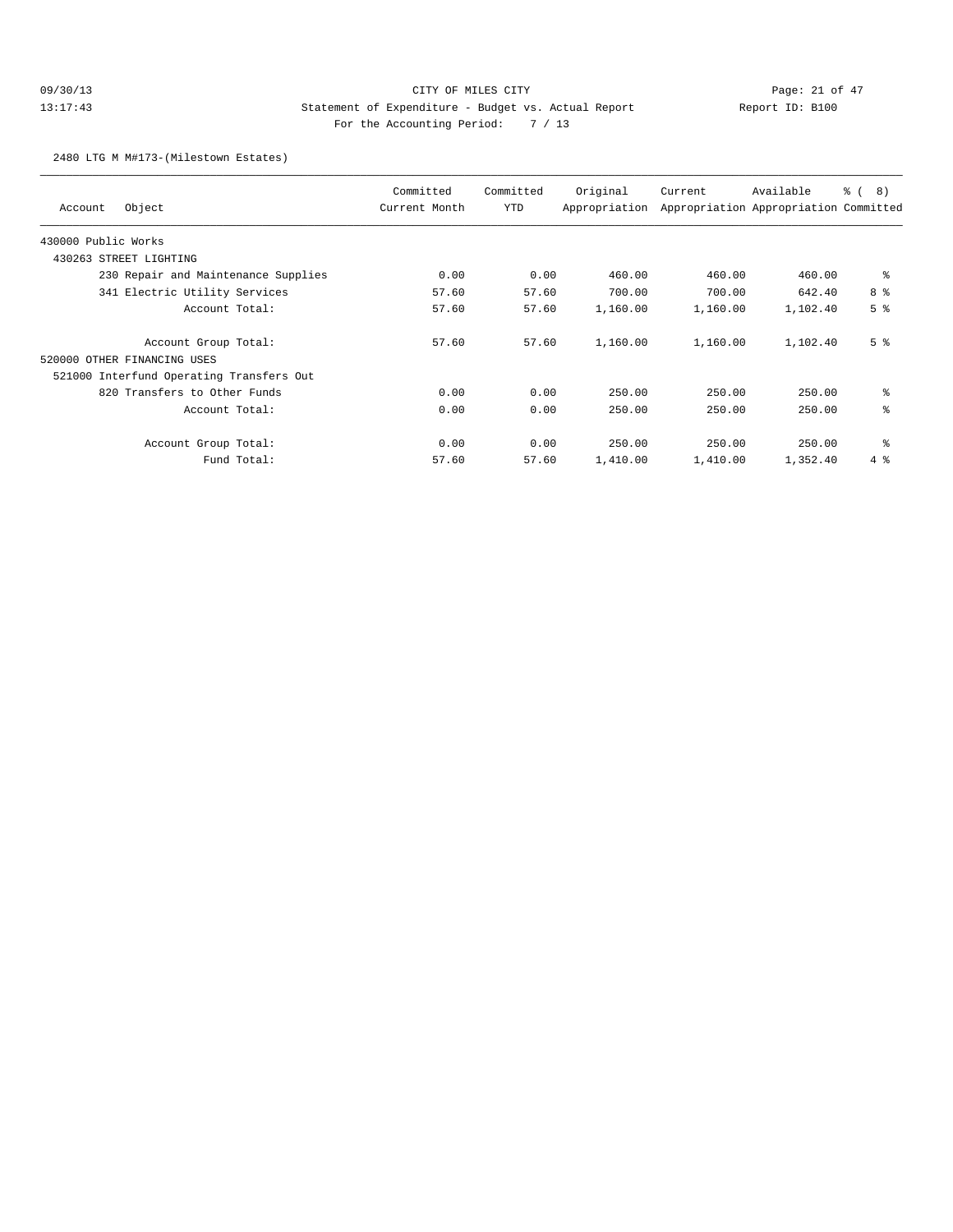## 09/30/13 Page: 21 of 47 13:17:43 Statement of Expenditure - Budget vs. Actual Report Changer Report ID: B100 For the Accounting Period: 7 / 13

2480 LTG M M#173-(Milestown Estates)

| Object<br>Account                        | Committed<br>Current Month | Committed<br>YTD | Original<br>Appropriation | Current  | Available<br>Appropriation Appropriation Committed | $\frac{6}{6}$ ( 8) |
|------------------------------------------|----------------------------|------------------|---------------------------|----------|----------------------------------------------------|--------------------|
| 430000 Public Works                      |                            |                  |                           |          |                                                    |                    |
| 430263 STREET LIGHTING                   |                            |                  |                           |          |                                                    |                    |
| 230 Repair and Maintenance Supplies      | 0.00                       | 0.00             | 460.00                    | 460.00   | 460.00                                             | ႜ                  |
| 341 Electric Utility Services            | 57.60                      | 57.60            | 700.00                    | 700.00   | 642.40                                             | 8 %                |
| Account Total:                           | 57.60                      | 57.60            | 1,160.00                  | 1,160.00 | 1,102.40                                           | 5 <sup>8</sup>     |
| Account Group Total:                     | 57.60                      | 57.60            | 1,160.00                  | 1,160.00 | 1,102.40                                           | 5 <sup>8</sup>     |
| 520000 OTHER FINANCING USES              |                            |                  |                           |          |                                                    |                    |
| 521000 Interfund Operating Transfers Out |                            |                  |                           |          |                                                    |                    |
| 820 Transfers to Other Funds             | 0.00                       | 0.00             | 250.00                    | 250.00   | 250.00                                             | နွ                 |
| Account Total:                           | 0.00                       | 0.00             | 250.00                    | 250.00   | 250.00                                             | နွ                 |
| Account Group Total:                     | 0.00                       | 0.00             | 250.00                    | 250.00   | 250.00                                             | နွ                 |
| Fund Total:                              | 57.60                      | 57.60            | 1,410.00                  | 1,410.00 | 1,352.40                                           | $4\degree$         |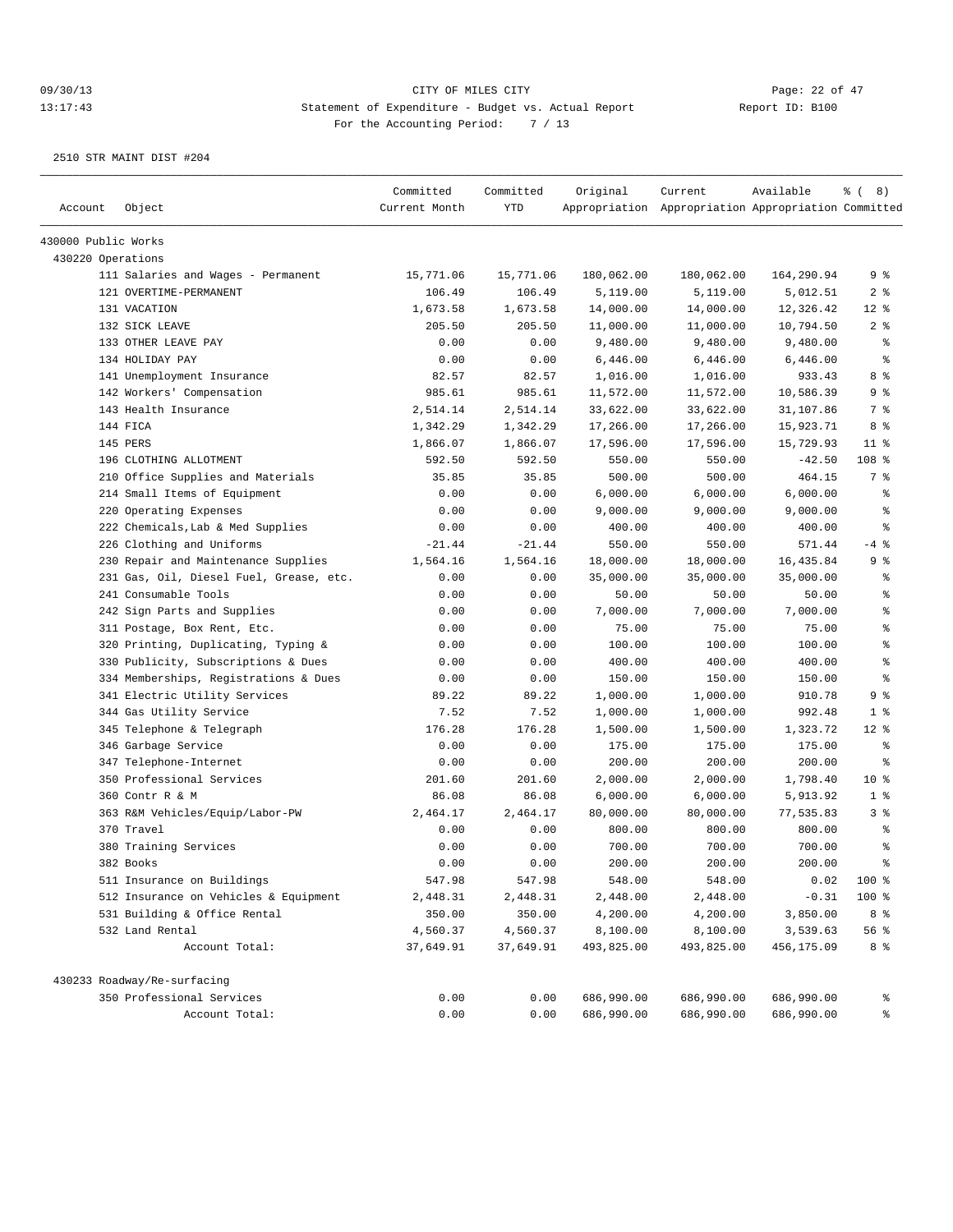| Account             | Object                                  | Committed<br>Current Month | Committed<br><b>YTD</b> | Original   | Current<br>Appropriation Appropriation Appropriation Committed | Available  | $\frac{6}{6}$ ( 8) |
|---------------------|-----------------------------------------|----------------------------|-------------------------|------------|----------------------------------------------------------------|------------|--------------------|
| 430000 Public Works |                                         |                            |                         |            |                                                                |            |                    |
| 430220 Operations   |                                         |                            |                         |            |                                                                |            |                    |
|                     | 111 Salaries and Wages - Permanent      | 15,771.06                  | 15,771.06               | 180,062.00 | 180,062.00                                                     | 164,290.94 | 9 %                |
|                     | 121 OVERTIME-PERMANENT                  | 106.49                     | 106.49                  | 5,119.00   | 5,119.00                                                       | 5,012.51   | 2 <sup>8</sup>     |
|                     | 131 VACATION                            | 1,673.58                   | 1,673.58                | 14,000.00  | 14,000.00                                                      | 12,326.42  | $12*$              |
|                     | 132 SICK LEAVE                          | 205.50                     | 205.50                  | 11,000.00  | 11,000.00                                                      | 10,794.50  | 2 <sup>8</sup>     |
|                     | 133 OTHER LEAVE PAY                     | 0.00                       | 0.00                    | 9,480.00   | 9,480.00                                                       | 9,480.00   | နွ                 |
|                     | 134 HOLIDAY PAY                         | 0.00                       | 0.00                    | 6,446.00   | 6,446.00                                                       | 6,446.00   | $\epsilon$         |
|                     | 141 Unemployment Insurance              | 82.57                      | 82.57                   | 1,016.00   | 1,016.00                                                       | 933.43     | 8 %                |
|                     | 142 Workers' Compensation               | 985.61                     | 985.61                  | 11,572.00  | 11,572.00                                                      | 10,586.39  | 9 %                |
|                     | 143 Health Insurance                    | 2,514.14                   | 2,514.14                | 33,622.00  | 33,622.00                                                      | 31,107.86  | 7 %                |
|                     | 144 FICA                                | 1,342.29                   | 1,342.29                | 17,266.00  | 17,266.00                                                      | 15,923.71  | 8 %                |
|                     | 145 PERS                                | 1,866.07                   | 1,866.07                | 17,596.00  | 17,596.00                                                      | 15,729.93  | $11$ %             |
|                     | 196 CLOTHING ALLOTMENT                  | 592.50                     | 592.50                  | 550.00     | 550.00                                                         | $-42.50$   | 108 %              |
|                     | 210 Office Supplies and Materials       | 35.85                      | 35.85                   | 500.00     | 500.00                                                         | 464.15     | 7 %                |
|                     | 214 Small Items of Equipment            | 0.00                       | 0.00                    | 6,000.00   | 6,000.00                                                       | 6,000.00   | နွ                 |
|                     | 220 Operating Expenses                  | 0.00                       | 0.00                    | 9,000.00   | 9,000.00                                                       | 9,000.00   | ి                  |
|                     | 222 Chemicals, Lab & Med Supplies       | 0.00                       | 0.00                    | 400.00     | 400.00                                                         | 400.00     | ి                  |
|                     | 226 Clothing and Uniforms               | $-21.44$                   | $-21.44$                | 550.00     | 550.00                                                         | 571.44     | $-4$ %             |
|                     | 230 Repair and Maintenance Supplies     | 1,564.16                   | 1,564.16                | 18,000.00  | 18,000.00                                                      | 16,435.84  | 9%                 |
|                     | 231 Gas, Oil, Diesel Fuel, Grease, etc. | 0.00                       | 0.00                    | 35,000.00  | 35,000.00                                                      | 35,000.00  | နွ                 |
|                     | 241 Consumable Tools                    | 0.00                       | 0.00                    | 50.00      | 50.00                                                          | 50.00      | ి                  |
|                     | 242 Sign Parts and Supplies             | 0.00                       | 0.00                    | 7,000.00   | 7,000.00                                                       | 7,000.00   | ి                  |
|                     | 311 Postage, Box Rent, Etc.             | 0.00                       | 0.00                    | 75.00      | 75.00                                                          | 75.00      | $\,$ %             |
|                     | 320 Printing, Duplicating, Typing &     | 0.00                       | 0.00                    | 100.00     | 100.00                                                         | 100.00     | န္                 |
|                     | 330 Publicity, Subscriptions & Dues     | 0.00                       | 0.00                    | 400.00     | 400.00                                                         | 400.00     | န္                 |
|                     | 334 Memberships, Registrations & Dues   | 0.00                       | 0.00                    | 150.00     | 150.00                                                         | 150.00     | န္                 |
|                     | 341 Electric Utility Services           | 89.22                      | 89.22                   | 1,000.00   | 1,000.00                                                       | 910.78     | 9 %                |
|                     | 344 Gas Utility Service                 | 7.52                       | 7.52                    | 1,000.00   | 1,000.00                                                       | 992.48     | 1 <sup>°</sup>     |
|                     | 345 Telephone & Telegraph               | 176.28                     | 176.28                  | 1,500.00   | 1,500.00                                                       | 1,323.72   | $12$ %             |
|                     | 346 Garbage Service                     | 0.00                       | 0.00                    | 175.00     | 175.00                                                         | 175.00     | နွ                 |
|                     | 347 Telephone-Internet                  | 0.00                       | 0.00                    | 200.00     | 200.00                                                         | 200.00     | နွ                 |
|                     | 350 Professional Services               | 201.60                     | 201.60                  | 2,000.00   | 2,000.00                                                       | 1,798.40   | 10 <sup>8</sup>    |
|                     | 360 Contr R & M                         | 86.08                      | 86.08                   | 6,000.00   | 6,000.00                                                       | 5,913.92   | 1 <sup>8</sup>     |
|                     | 363 R&M Vehicles/Equip/Labor-PW         | 2,464.17                   | 2,464.17                | 80,000.00  | 80,000.00                                                      | 77,535.83  | 3%                 |
|                     | 370 Travel                              | 0.00                       | 0.00                    | 800.00     | 800.00                                                         | 800.00     | နွ                 |
|                     | 380 Training Services                   | 0.00                       | 0.00                    | 700.00     | 700.00                                                         | 700.00     | န္                 |
|                     | 382 Books                               | 0.00                       | 0.00                    | 200.00     | 200.00                                                         | 200.00     | န္                 |
|                     | 511 Insurance on Buildings              | 547.98                     | 547.98                  | 548.00     | 548.00                                                         | 0.02       | 100 %              |
|                     | 512 Insurance on Vehicles & Equipment   | 2,448.31                   | 2,448.31                | 2,448.00   | 2,448.00                                                       | $-0.31$    | 100 %              |
|                     | 531 Building & Office Rental            | 350.00                     | 350.00                  | 4,200.00   | 4,200.00                                                       | 3,850.00   | 8 %                |
|                     | 532 Land Rental                         | 4,560.37                   | 4,560.37                | 8,100.00   | 8,100.00                                                       | 3,539.63   | 56 %               |
|                     | Account Total:                          | 37,649.91                  | 37,649.91               | 493,825.00 | 493,825.00                                                     | 456,175.09 | 8 %                |
|                     | 430233 Roadway/Re-surfacing             |                            |                         |            |                                                                |            |                    |
|                     | 350 Professional Services               | 0.00                       | 0.00                    | 686,990.00 | 686,990.00                                                     | 686,990.00 | ႜ                  |
|                     | Account Total:                          | 0.00                       | 0.00                    | 686,990.00 | 686,990.00                                                     | 686,990.00 | ್ಠಿ                |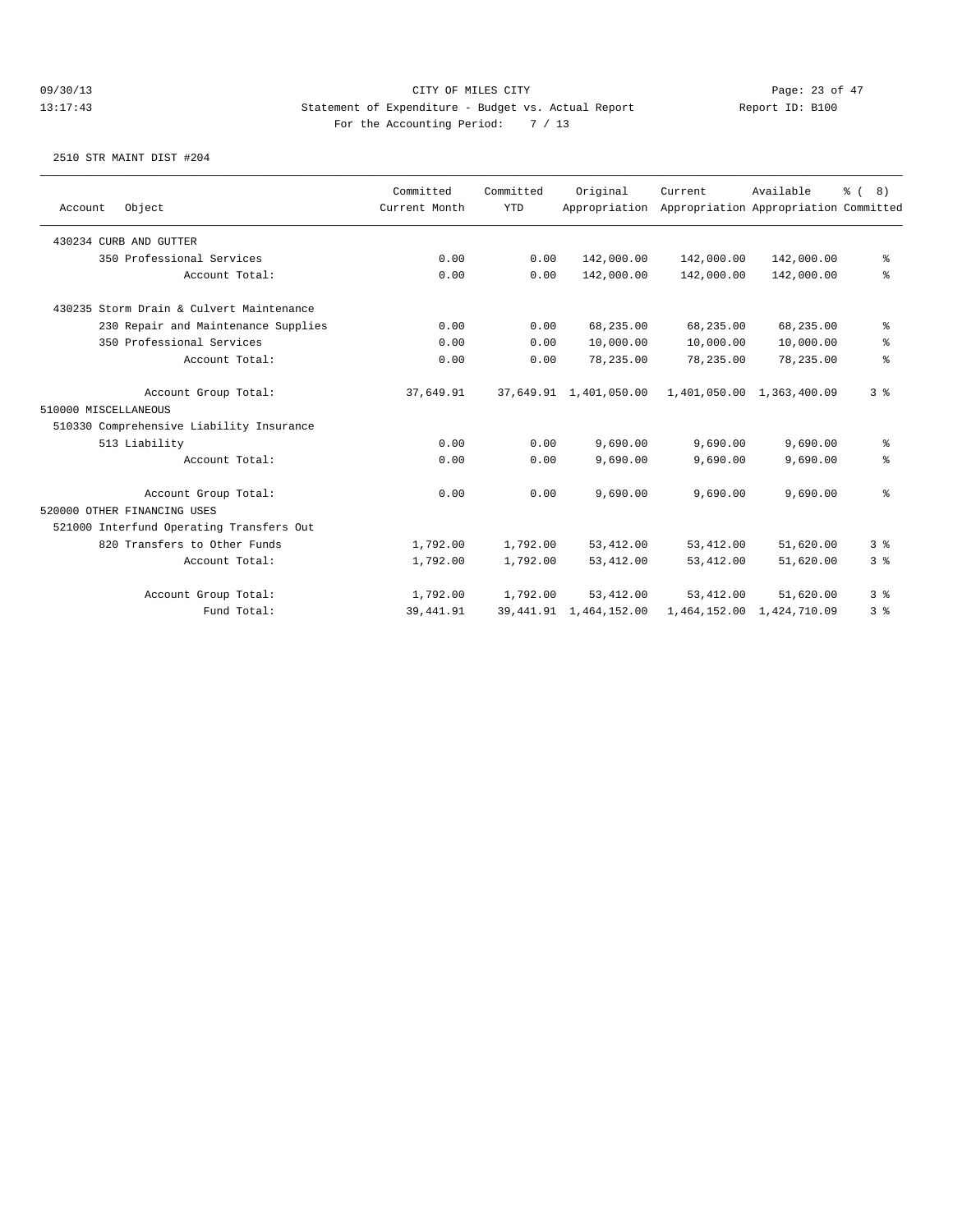|                      |                                          | Committed     | Committed  | Original                  | Current     | Available                             | % (8)          |
|----------------------|------------------------------------------|---------------|------------|---------------------------|-------------|---------------------------------------|----------------|
| Account              | Object                                   | Current Month | <b>YTD</b> | Appropriation             |             | Appropriation Appropriation Committed |                |
|                      | 430234 CURB AND GUTTER                   |               |            |                           |             |                                       |                |
|                      | 350 Professional Services                | 0.00          | 0.00       | 142,000.00                | 142,000.00  | 142,000.00                            | ႜ              |
|                      | Account Total:                           | 0.00          | 0.00       | 142,000.00                | 142,000.00  | 142,000.00                            | နွ             |
|                      | 430235 Storm Drain & Culvert Maintenance |               |            |                           |             |                                       |                |
|                      | 230 Repair and Maintenance Supplies      | 0.00          | 0.00       | 68,235.00                 | 68,235.00   | 68,235.00                             | နွ             |
|                      | 350 Professional Services                | 0.00          | 0.00       | 10,000.00                 | 10,000.00   | 10,000.00                             | နွ             |
|                      | Account Total:                           | 0.00          | 0.00       | 78,235.00                 | 78,235.00   | 78,235.00                             | န္             |
|                      | Account Group Total:                     | 37,649.91     |            | 37,649.91 1,401,050.00    |             | 1,401,050.00 1,363,400.09             | 3 <sup>8</sup> |
| 510000 MISCELLANEOUS |                                          |               |            |                           |             |                                       |                |
|                      | 510330 Comprehensive Liability Insurance |               |            |                           |             |                                       |                |
|                      | 513 Liability                            | 0.00          | 0.00       | 9,690.00                  | 9,690.00    | 9,690.00                              | ႜ              |
|                      | Account Total:                           | 0.00          | 0.00       | 9,690.00                  | 9,690.00    | 9,690.00                              | နွ             |
|                      | Account Group Total:                     | 0.00          | 0.00       | 9,690.00                  | 9,690.00    | 9,690.00                              | ៖              |
|                      | 520000 OTHER FINANCING USES              |               |            |                           |             |                                       |                |
|                      | 521000 Interfund Operating Transfers Out |               |            |                           |             |                                       |                |
|                      | 820 Transfers to Other Funds             | 1,792.00      | 1,792.00   | 53, 412.00                | 53,412.00   | 51,620.00                             | 3 <sup>8</sup> |
|                      | Account Total:                           | 1,792.00      | 1,792.00   | 53,412.00                 | 53, 412.00  | 51,620.00                             | 3 <sup>8</sup> |
|                      | Account Group Total:                     | 1,792.00      | 1,792.00   | 53, 412, 00               | 53, 412, 00 | 51,620.00                             | 3 <sup>8</sup> |
|                      | Fund Total:                              | 39, 441.91    |            | 39, 441.91 1, 464, 152.00 |             | 1,464,152.00 1,424,710.09             | 3 <sup>°</sup> |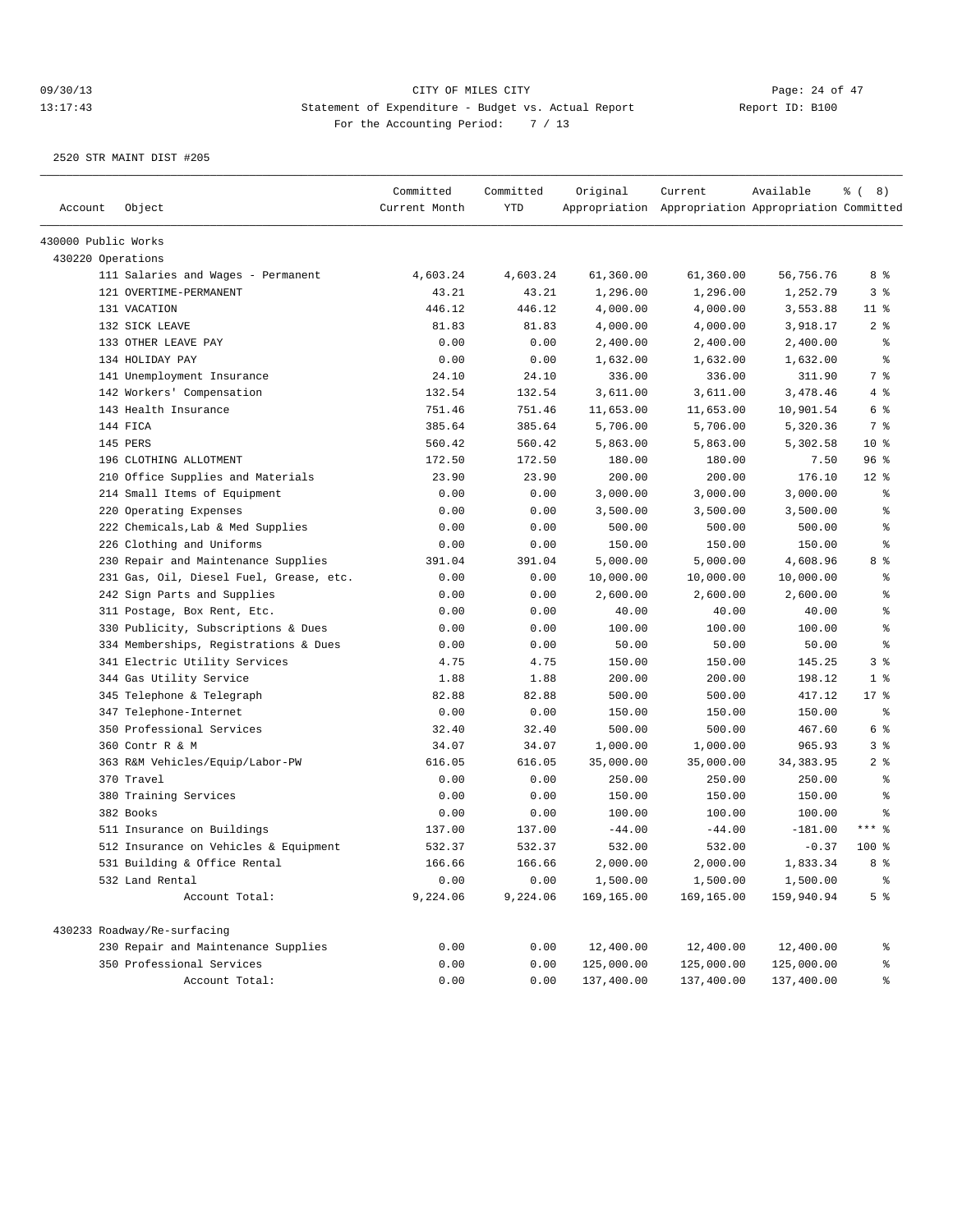| Account             | Object                                  | Committed<br>Current Month | Committed<br><b>YTD</b> | Original   | Current<br>Appropriation Appropriation Appropriation Committed | Available  | <sub>රී</sub> ( 8 )  |
|---------------------|-----------------------------------------|----------------------------|-------------------------|------------|----------------------------------------------------------------|------------|----------------------|
|                     |                                         |                            |                         |            |                                                                |            |                      |
| 430000 Public Works |                                         |                            |                         |            |                                                                |            |                      |
| 430220 Operations   |                                         |                            |                         |            |                                                                |            |                      |
|                     | 111 Salaries and Wages - Permanent      | 4,603.24                   | 4,603.24                | 61,360.00  | 61,360.00                                                      | 56,756.76  | 8 %                  |
|                     | 121 OVERTIME-PERMANENT                  | 43.21                      | 43.21                   | 1,296.00   | 1,296.00                                                       | 1,252.79   | 3%                   |
|                     | 131 VACATION                            | 446.12                     | 446.12                  | 4,000.00   | 4,000.00                                                       | 3,553.88   | $11$ %               |
|                     | 132 SICK LEAVE                          | 81.83                      | 81.83                   | 4,000.00   | 4,000.00                                                       | 3,918.17   | 2 <sup>°</sup>       |
|                     | 133 OTHER LEAVE PAY                     | 0.00                       | 0.00                    | 2,400.00   | 2,400.00                                                       | 2,400.00   | နွ                   |
|                     | 134 HOLIDAY PAY                         | 0.00                       | 0.00                    | 1,632.00   | 1,632.00                                                       | 1,632.00   | $\epsilon$           |
|                     | 141 Unemployment Insurance              | 24.10                      | 24.10                   | 336.00     | 336.00                                                         | 311.90     | 7 %                  |
|                     | 142 Workers' Compensation               | 132.54                     | 132.54                  | 3,611.00   | 3,611.00                                                       | 3,478.46   | 4%                   |
|                     | 143 Health Insurance                    | 751.46                     | 751.46                  | 11,653.00  | 11,653.00                                                      | 10,901.54  | 6 %                  |
|                     | 144 FICA                                | 385.64                     | 385.64                  | 5,706.00   | 5,706.00                                                       | 5,320.36   | 7 %                  |
|                     | 145 PERS                                | 560.42                     | 560.42                  | 5,863.00   | 5,863.00                                                       | 5,302.58   | $10*$                |
|                     | 196 CLOTHING ALLOTMENT                  | 172.50                     | 172.50                  | 180.00     | 180.00                                                         | 7.50       | 96%                  |
|                     | 210 Office Supplies and Materials       | 23.90                      | 23.90                   | 200.00     | 200.00                                                         | 176.10     | $12*$                |
|                     | 214 Small Items of Equipment            | 0.00                       | 0.00                    | 3,000.00   | 3,000.00                                                       | 3,000.00   | $\epsilon$           |
|                     | 220 Operating Expenses                  | 0.00                       | 0.00                    | 3,500.00   | 3,500.00                                                       | 3,500.00   | နွ                   |
|                     | 222 Chemicals, Lab & Med Supplies       | 0.00                       | 0.00                    | 500.00     | 500.00                                                         | 500.00     | $\epsilon$           |
|                     | 226 Clothing and Uniforms               | 0.00                       | 0.00                    | 150.00     | 150.00                                                         | 150.00     | $\epsilon$           |
|                     | 230 Repair and Maintenance Supplies     | 391.04                     | 391.04                  | 5,000.00   | 5,000.00                                                       | 4,608.96   | 8 %                  |
|                     | 231 Gas, Oil, Diesel Fuel, Grease, etc. | 0.00                       | 0.00                    | 10,000.00  | 10,000.00                                                      | 10,000.00  | နွ                   |
|                     | 242 Sign Parts and Supplies             | 0.00                       | 0.00                    | 2,600.00   | 2,600.00                                                       | 2,600.00   | $\epsilon$           |
|                     | 311 Postage, Box Rent, Etc.             | 0.00                       | 0.00                    | 40.00      | 40.00                                                          | 40.00      | န့                   |
|                     | 330 Publicity, Subscriptions & Dues     | 0.00                       | 0.00                    | 100.00     | 100.00                                                         | 100.00     | $\epsilon$           |
|                     | 334 Memberships, Registrations & Dues   | 0.00                       | 0.00                    | 50.00      | 50.00                                                          | 50.00      | $\epsilon$           |
|                     | 341 Electric Utility Services           | 4.75                       | 4.75                    | 150.00     | 150.00                                                         | 145.25     | 3 <sup>8</sup>       |
|                     | 344 Gas Utility Service                 | 1.88                       | 1.88                    | 200.00     | 200.00                                                         | 198.12     | 1 <sup>8</sup>       |
|                     | 345 Telephone & Telegraph               | 82.88                      | 82.88                   | 500.00     | 500.00                                                         | 417.12     | $17*$                |
|                     | 347 Telephone-Internet                  | 0.00                       | 0.00                    | 150.00     | 150.00                                                         | 150.00     | နွ                   |
|                     | 350 Professional Services               | 32.40                      | 32.40                   | 500.00     | 500.00                                                         | 467.60     | 6 %                  |
|                     | 360 Contr R & M                         | 34.07                      | 34.07                   | 1,000.00   | 1,000.00                                                       | 965.93     | 3 <sup>°</sup>       |
|                     | 363 R&M Vehicles/Equip/Labor-PW         | 616.05                     | 616.05                  | 35,000.00  | 35,000.00                                                      | 34, 383.95 | $2$ %                |
|                     | 370 Travel                              | 0.00                       | 0.00                    | 250.00     | 250.00                                                         | 250.00     | နွ                   |
|                     | 380 Training Services                   | 0.00                       | 0.00                    | 150.00     | 150.00                                                         | 150.00     | $\epsilon$           |
|                     | 382 Books                               | 0.00                       | 0.00                    | 100.00     | 100.00                                                         | 100.00     | နွ                   |
|                     | 511 Insurance on Buildings              | 137.00                     | 137.00                  | $-44.00$   | $-44.00$                                                       | $-181.00$  | $***$ $%$            |
|                     | 512 Insurance on Vehicles & Equipment   | 532.37                     | 532.37                  | 532.00     | 532.00                                                         | $-0.37$    | $100$ %              |
|                     | 531 Building & Office Rental            | 166.66                     | 166.66                  | 2,000.00   | 2,000.00                                                       | 1,833.34   | 8 %                  |
|                     | 532 Land Rental                         | 0.00                       | 0.00                    | 1,500.00   | 1,500.00                                                       | 1,500.00   | $\,^{\rm o}_{\rm o}$ |
|                     | Account Total:                          | 9,224.06                   | 9,224.06                | 169,165.00 | 169,165.00                                                     | 159,940.94 | 5 <sup>°</sup>       |
|                     | 430233 Roadway/Re-surfacing             |                            |                         |            |                                                                |            |                      |
|                     | 230 Repair and Maintenance Supplies     | 0.00                       | 0.00                    | 12,400.00  | 12,400.00                                                      | 12,400.00  | ್ಠಿ                  |
|                     | 350 Professional Services               | 0.00                       | 0.00                    | 125,000.00 | 125,000.00                                                     | 125,000.00 | ್ಠಿ                  |
|                     | Account Total:                          | 0.00                       | 0.00                    | 137,400.00 | 137,400.00                                                     | 137,400.00 | နွ                   |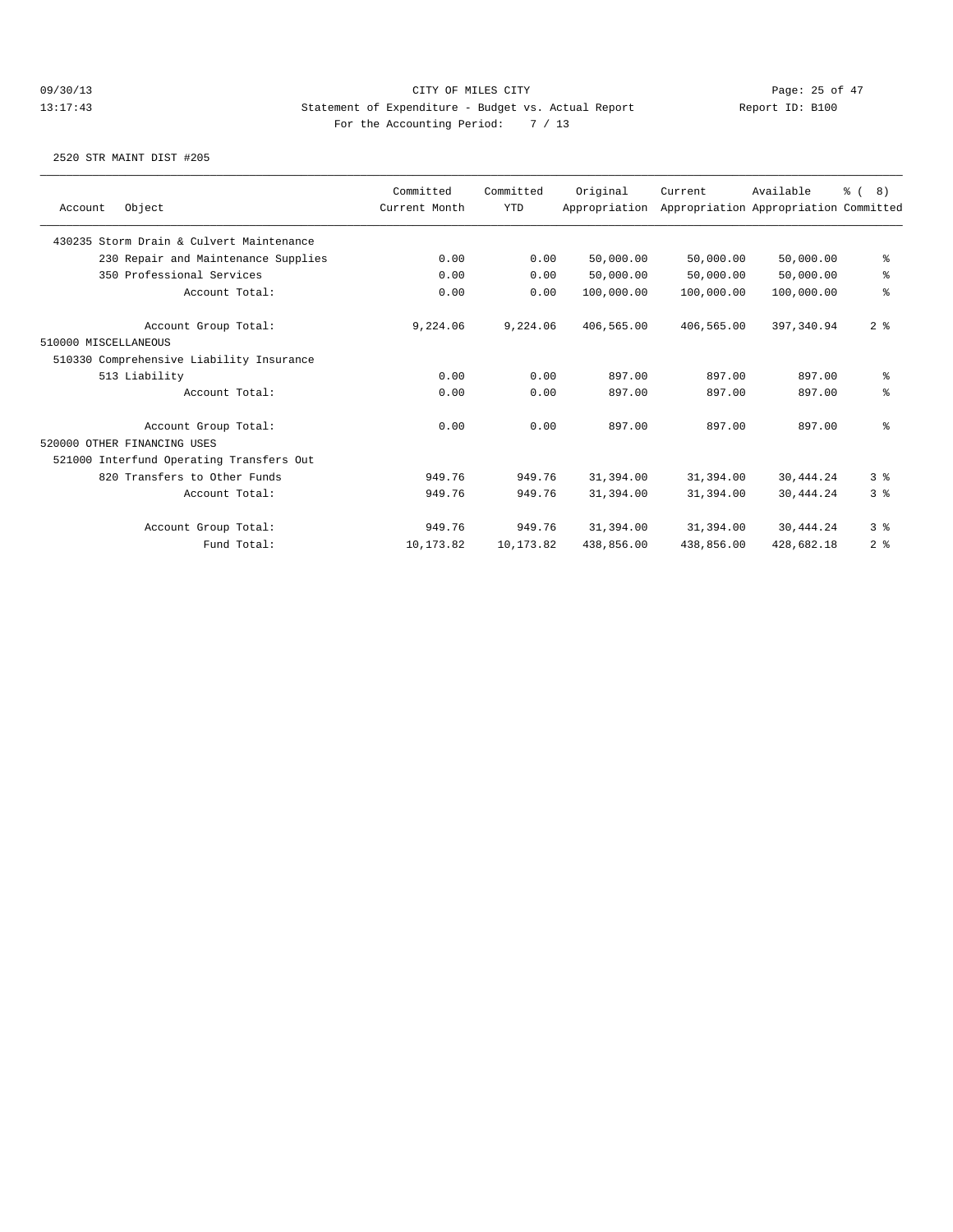| Object<br>Account                        | Committed<br>Current Month | Committed<br><b>YTD</b> | Original<br>Appropriation | Current    | Available<br>Appropriation Appropriation Committed | $\frac{6}{6}$ ( 8) |
|------------------------------------------|----------------------------|-------------------------|---------------------------|------------|----------------------------------------------------|--------------------|
|                                          |                            |                         |                           |            |                                                    |                    |
| 430235 Storm Drain & Culvert Maintenance |                            |                         |                           |            |                                                    |                    |
| 230 Repair and Maintenance Supplies      | 0.00                       | 0.00                    | 50,000.00                 | 50,000.00  | 50,000.00                                          | နွ                 |
| 350 Professional Services                | 0.00                       | 0.00                    | 50,000.00                 | 50,000.00  | 50,000.00                                          | နွ                 |
| Account Total:                           | 0.00                       | 0.00                    | 100,000.00                | 100,000.00 | 100,000.00                                         | ៖                  |
| Account Group Total:                     | 9,224.06                   | 9,224.06                | 406,565.00                | 406,565.00 | 397,340.94                                         | 2 <sup>8</sup>     |
| 510000 MISCELLANEOUS                     |                            |                         |                           |            |                                                    |                    |
| 510330 Comprehensive Liability Insurance |                            |                         |                           |            |                                                    |                    |
| 513 Liability                            | 0.00                       | 0.00                    | 897.00                    | 897.00     | 897.00                                             | နွ                 |
| Account Total:                           | 0.00                       | 0.00                    | 897.00                    | 897.00     | 897.00                                             | နွ                 |
| Account Group Total:                     | 0.00                       | 0.00                    | 897.00                    | 897.00     | 897.00                                             | ៖                  |
| 520000 OTHER FINANCING USES              |                            |                         |                           |            |                                                    |                    |
| 521000 Interfund Operating Transfers Out |                            |                         |                           |            |                                                    |                    |
| 820 Transfers to Other Funds             | 949.76                     | 949.76                  | 31,394.00                 | 31,394.00  | 30,444.24                                          | 3%                 |
| Account Total:                           | 949.76                     | 949.76                  | 31,394.00                 | 31,394.00  | 30,444.24                                          | 3 <sup>8</sup>     |
| Account Group Total:                     | 949.76                     | 949.76                  | 31,394.00                 | 31,394.00  | 30,444.24                                          | 3 <sup>8</sup>     |
| Fund Total:                              | 10,173.82                  | 10,173.82               | 438,856.00                | 438,856.00 | 428,682.18                                         | 2 <sup>8</sup>     |
|                                          |                            |                         |                           |            |                                                    |                    |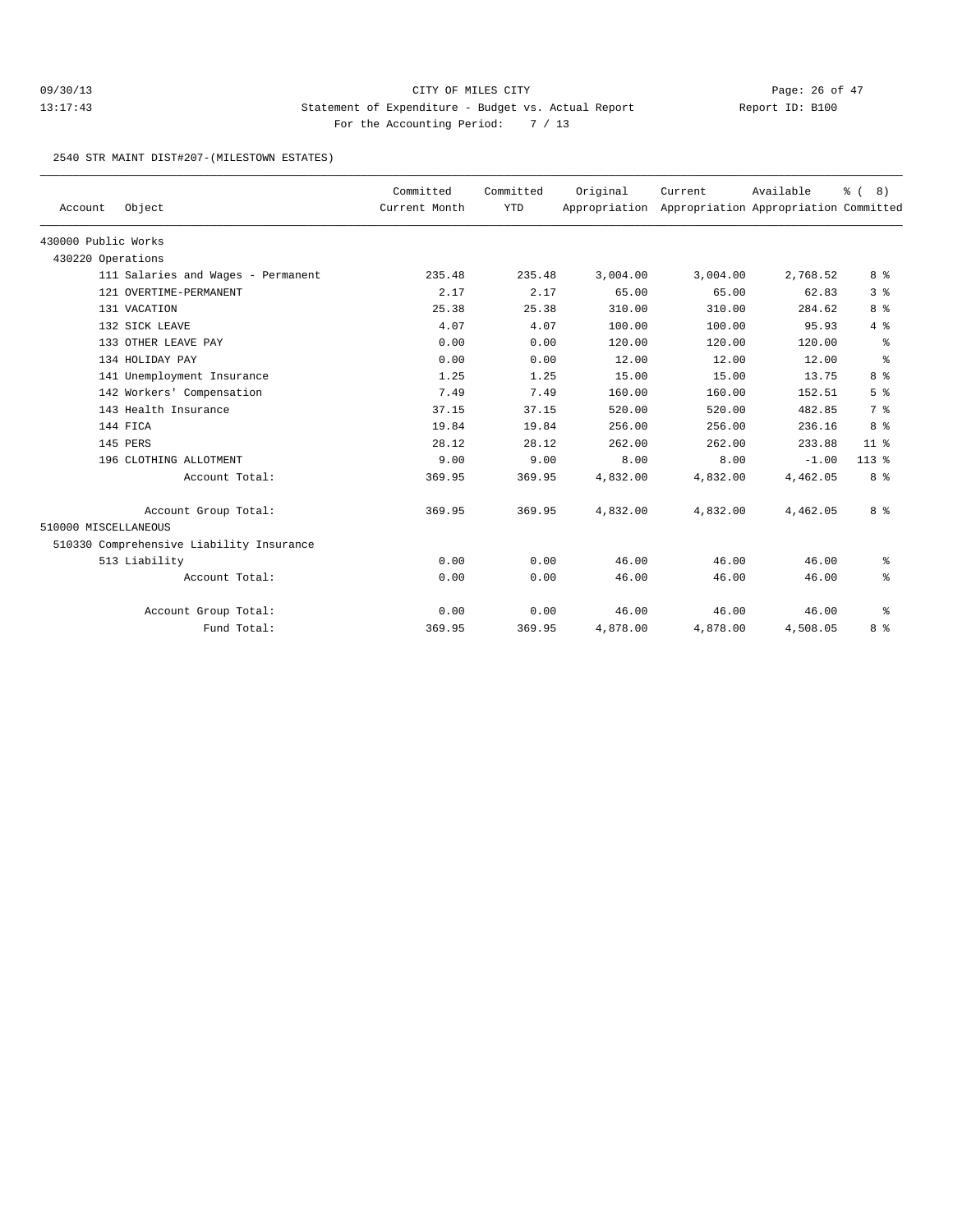## 09/30/13 Page: 26 of 47 13:17:43 Statement of Expenditure - Budget vs. Actual Report Changery Report ID: B100 For the Accounting Period: 7 / 13

2540 STR MAINT DIST#207-(MILESTOWN ESTATES)

| Account              | Object                                   | Committed<br>Current Month | Committed<br><b>YTD</b> | Original<br>Appropriation | Current  | Available<br>Appropriation Appropriation Committed | % (8)          |
|----------------------|------------------------------------------|----------------------------|-------------------------|---------------------------|----------|----------------------------------------------------|----------------|
| 430000 Public Works  |                                          |                            |                         |                           |          |                                                    |                |
| 430220 Operations    |                                          |                            |                         |                           |          |                                                    |                |
|                      | 111 Salaries and Wages - Permanent       | 235.48                     | 235.48                  | 3,004.00                  | 3,004.00 | 2,768.52                                           | 8 %            |
|                      | 121 OVERTIME-PERMANENT                   | 2.17                       | 2.17                    | 65.00                     | 65.00    | 62.83                                              | 3%             |
|                      | 131 VACATION                             | 25.38                      | 25.38                   | 310.00                    | 310.00   | 284.62                                             | 8 %            |
|                      | 132 SICK LEAVE                           | 4.07                       | 4.07                    | 100.00                    | 100.00   | 95.93                                              | $4\degree$     |
|                      | 133 OTHER LEAVE PAY                      | 0.00                       | 0.00                    | 120.00                    | 120.00   | 120.00                                             | $\epsilon$     |
|                      | 134 HOLIDAY PAY                          | 0.00                       | 0.00                    | 12.00                     | 12.00    | 12.00                                              | နွ             |
|                      | 141 Unemployment Insurance               | 1.25                       | 1.25                    | 15.00                     | 15.00    | 13.75                                              | 8 %            |
|                      | 142 Workers' Compensation                | 7.49                       | 7.49                    | 160.00                    | 160.00   | 152.51                                             | 5 <sup>8</sup> |
|                      | 143 Health Insurance                     | 37.15                      | 37.15                   | 520.00                    | 520.00   | 482.85                                             | 7 %            |
|                      | 144 FICA                                 | 19.84                      | 19.84                   | 256.00                    | 256.00   | 236.16                                             | 8 %            |
|                      | 145 PERS                                 | 28.12                      | 28.12                   | 262.00                    | 262.00   | 233.88                                             | $11$ %         |
|                      | 196 CLOTHING ALLOTMENT                   | 9.00                       | 9.00                    | 8.00                      | 8.00     | $-1.00$                                            | $113*$         |
|                      | Account Total:                           | 369.95                     | 369.95                  | 4,832.00                  | 4,832.00 | 4,462.05                                           | 8 %            |
|                      | Account Group Total:                     | 369.95                     | 369.95                  | 4,832.00                  | 4,832.00 | 4,462.05                                           | 8 %            |
| 510000 MISCELLANEOUS |                                          |                            |                         |                           |          |                                                    |                |
|                      | 510330 Comprehensive Liability Insurance |                            |                         |                           |          |                                                    |                |
|                      | 513 Liability                            | 0.00                       | 0.00                    | 46.00                     | 46.00    | 46.00                                              | နွ             |
|                      | Account Total:                           | 0.00                       | 0.00                    | 46.00                     | 46.00    | 46.00                                              | နွ             |
|                      | Account Group Total:                     | 0.00                       | 0.00                    | 46.00                     | 46.00    | 46.00                                              | ႜ              |
|                      | Fund Total:                              | 369.95                     | 369.95                  | 4,878.00                  | 4,878.00 | 4,508.05                                           | 8 %            |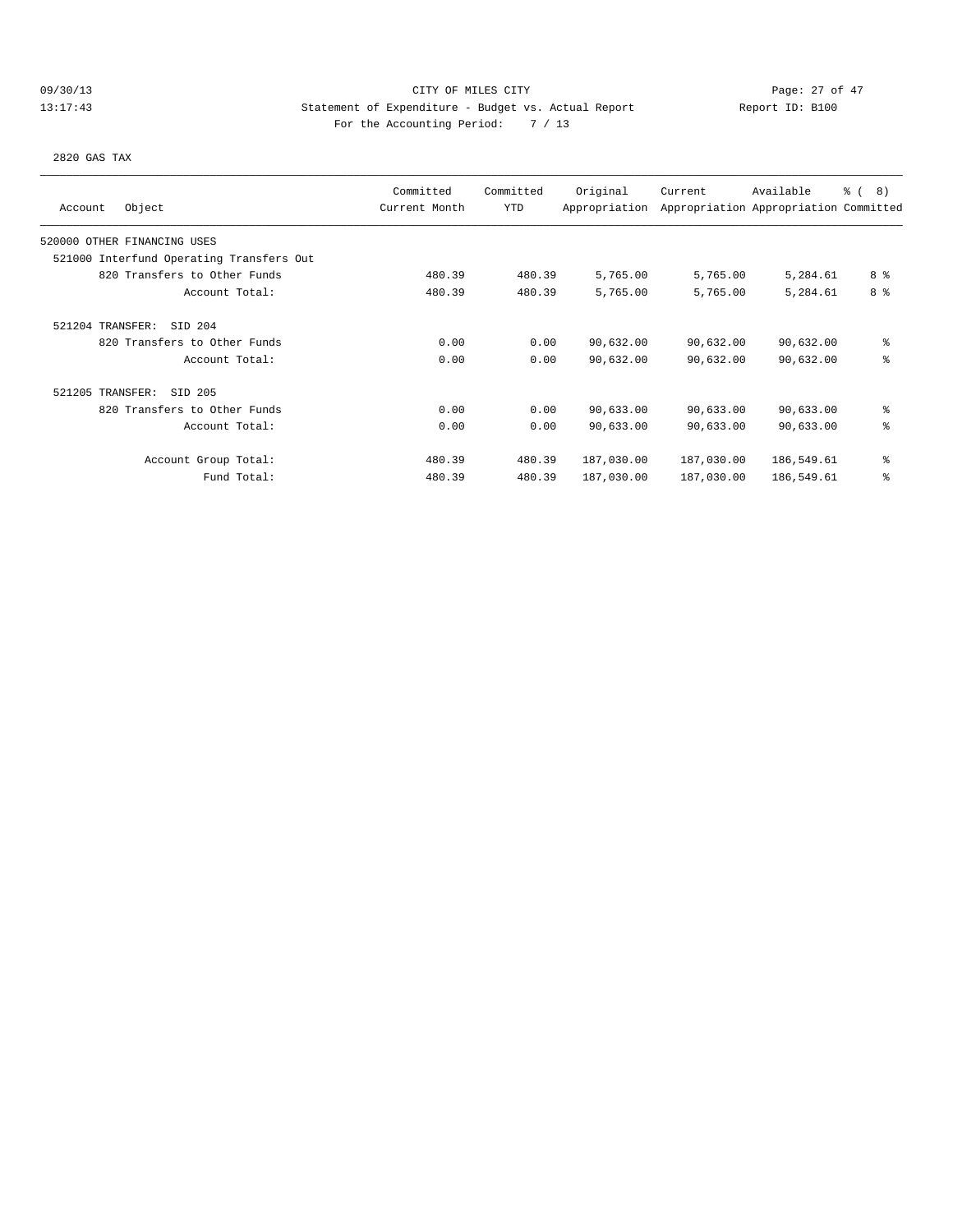# 09/30/13 Page: 27 of 47 13:17:43 Statement of Expenditure - Budget vs. Actual Report Changer Report ID: B100 For the Accounting Period: 7 / 13

2820 GAS TAX

|                                          | Committed     | Committed | Original      | Current    | Available                             | <u>ေ</u> (<br>8) |
|------------------------------------------|---------------|-----------|---------------|------------|---------------------------------------|------------------|
| Object<br>Account                        | Current Month | YTD       | Appropriation |            | Appropriation Appropriation Committed |                  |
| 520000 OTHER FINANCING USES              |               |           |               |            |                                       |                  |
| 521000 Interfund Operating Transfers Out |               |           |               |            |                                       |                  |
| 820 Transfers to Other Funds             | 480.39        | 480.39    | 5,765.00      | 5,765.00   | 5,284.61                              | 8 %              |
| Account Total:                           | 480.39        | 480.39    | 5,765.00      | 5,765.00   | 5,284.61                              | 8 <sup>8</sup>   |
| SID 204<br>521204 TRANSFER:              |               |           |               |            |                                       |                  |
| 820 Transfers to Other Funds             | 0.00          | 0.00      | 90,632.00     | 90,632.00  | 90,632.00                             | နွ               |
| Account Total:                           | 0.00          | 0.00      | 90,632.00     | 90,632.00  | 90,632.00                             | နွ               |
| 521205 TRANSFER:<br>SID 205              |               |           |               |            |                                       |                  |
| 820 Transfers to Other Funds             | 0.00          | 0.00      | 90,633.00     | 90,633.00  | 90,633.00                             | နွ               |
| Account Total:                           | 0.00          | 0.00      | 90,633.00     | 90,633.00  | 90,633.00                             | နွ               |
| Account Group Total:                     | 480.39        | 480.39    | 187,030.00    | 187,030.00 | 186,549.61                            | နွ               |
| Fund Total:                              | 480.39        | 480.39    | 187,030.00    | 187,030.00 | 186,549.61                            | န္               |
|                                          |               |           |               |            |                                       |                  |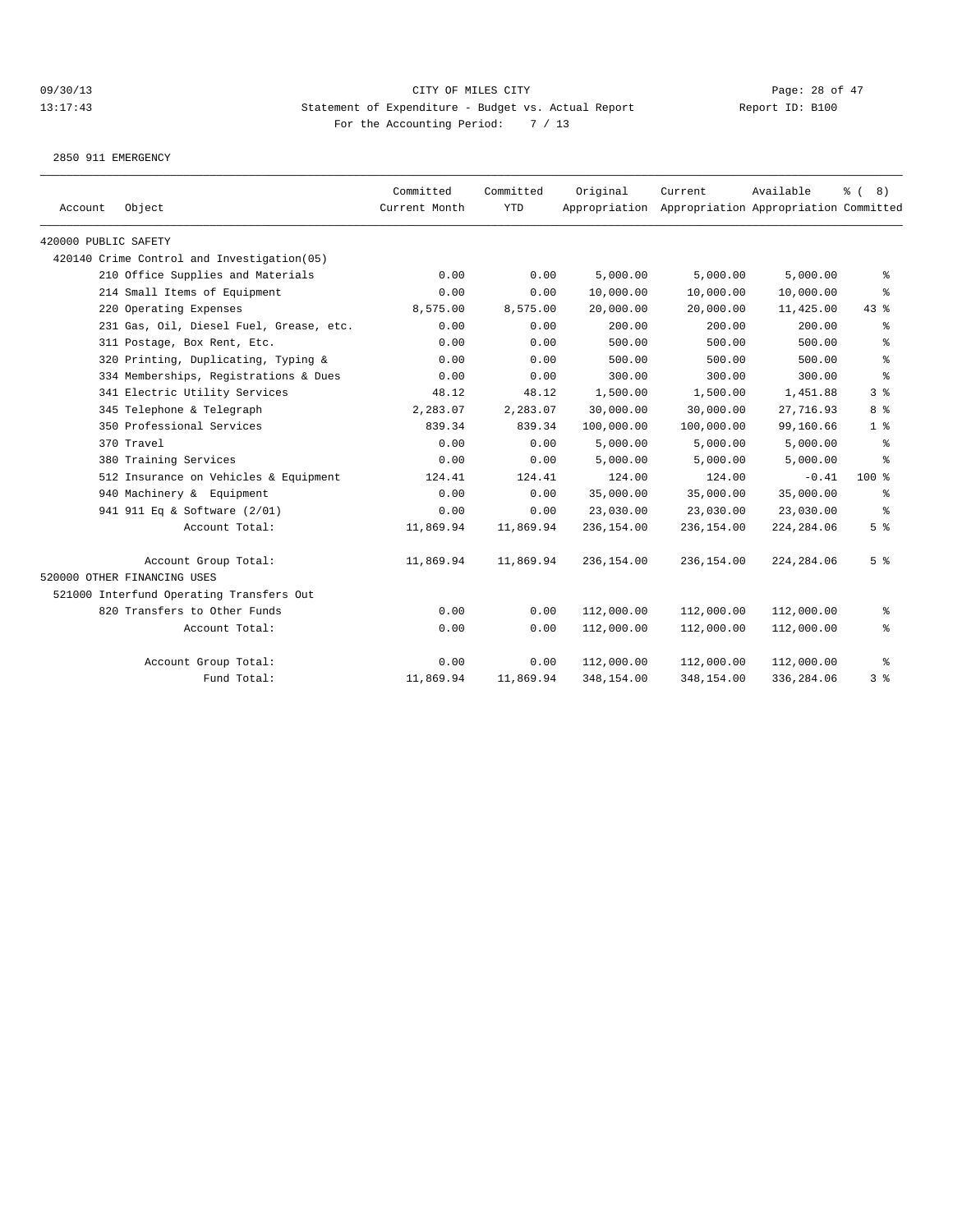2850 911 EMERGENCY

| Object<br>Account                          | Committed<br>Current Month | Committed<br><b>YTD</b> | Original<br>Appropriation | Current    | Available<br>Appropriation Appropriation Committed | <b>%</b> (<br>8) |
|--------------------------------------------|----------------------------|-------------------------|---------------------------|------------|----------------------------------------------------|------------------|
| 420000 PUBLIC SAFETY                       |                            |                         |                           |            |                                                    |                  |
| 420140 Crime Control and Investigation(05) |                            |                         |                           |            |                                                    |                  |
| 210 Office Supplies and Materials          | 0.00                       | 0.00                    | 5,000.00                  | 5,000.00   | 5,000.00                                           | နွ               |
| 214 Small Items of Equipment               | 0.00                       | 0.00                    | 10,000.00                 | 10,000.00  | 10,000.00                                          | ႜ                |
| 220 Operating Expenses                     | 8,575.00                   | 8,575.00                | 20,000.00                 | 20,000.00  | 11,425.00                                          | $43$ %           |
| 231 Gas, Oil, Diesel Fuel, Grease, etc.    | 0.00                       | 0.00                    | 200.00                    | 200.00     | 200.00                                             | ႜ                |
| 311 Postage, Box Rent, Etc.                | 0.00                       | 0.00                    | 500.00                    | 500.00     | 500.00                                             | ి                |
| 320 Printing, Duplicating, Typing &        | 0.00                       | 0.00                    | 500.00                    | 500.00     | 500.00                                             | ి                |
| 334 Memberships, Registrations & Dues      | 0.00                       | 0.00                    | 300.00                    | 300.00     | 300.00                                             | နွ               |
| 341 Electric Utility Services              | 48.12                      | 48.12                   | 1,500.00                  | 1,500.00   | 1,451.88                                           | 3%               |
| 345 Telephone & Telegraph                  | 2,283.07                   | 2,283.07                | 30,000.00                 | 30,000.00  | 27,716.93                                          | 8 %              |
| 350 Professional Services                  | 839.34                     | 839.34                  | 100,000.00                | 100,000.00 | 99,160.66                                          | $1 \,$ %         |
| 370 Travel                                 | 0.00                       | 0.00                    | 5,000.00                  | 5,000.00   | 5,000.00                                           | ႜ                |
| 380 Training Services                      | 0.00                       | 0.00                    | 5,000.00                  | 5,000.00   | 5,000.00                                           | ႜ                |
| 512 Insurance on Vehicles & Equipment      | 124.41                     | 124.41                  | 124.00                    | 124.00     | $-0.41$                                            | $100$ %          |
| 940 Machinery & Equipment                  | 0.00                       | 0.00                    | 35,000.00                 | 35,000.00  | 35,000.00                                          | ႜ                |
| 941 911 Eq & Software (2/01)               | 0.00                       | 0.00                    | 23,030.00                 | 23,030.00  | 23,030.00                                          | နွ               |
| Account Total:                             | 11,869.94                  | 11,869.94               | 236,154.00                | 236,154.00 | 224, 284.06                                        | 5 <sup>8</sup>   |
| Account Group Total:                       | 11,869.94                  | 11,869.94               | 236,154.00                | 236,154.00 | 224, 284.06                                        | 5 <sup>8</sup>   |
| 520000 OTHER FINANCING USES                |                            |                         |                           |            |                                                    |                  |
| 521000 Interfund Operating Transfers Out   |                            |                         |                           |            |                                                    |                  |
| 820 Transfers to Other Funds               | 0.00                       | 0.00                    | 112,000.00                | 112,000.00 | 112,000.00                                         | ွေ               |
| Account Total:                             | 0.00                       | 0.00                    | 112,000.00                | 112,000.00 | 112,000.00                                         | နွ               |
| Account Group Total:                       | 0.00                       | 0.00                    | 112,000.00                | 112,000.00 | 112,000.00                                         | ႜ                |
| Fund Total:                                | 11,869.94                  | 11,869.94               | 348,154.00                | 348,154.00 | 336,284.06                                         | 3%               |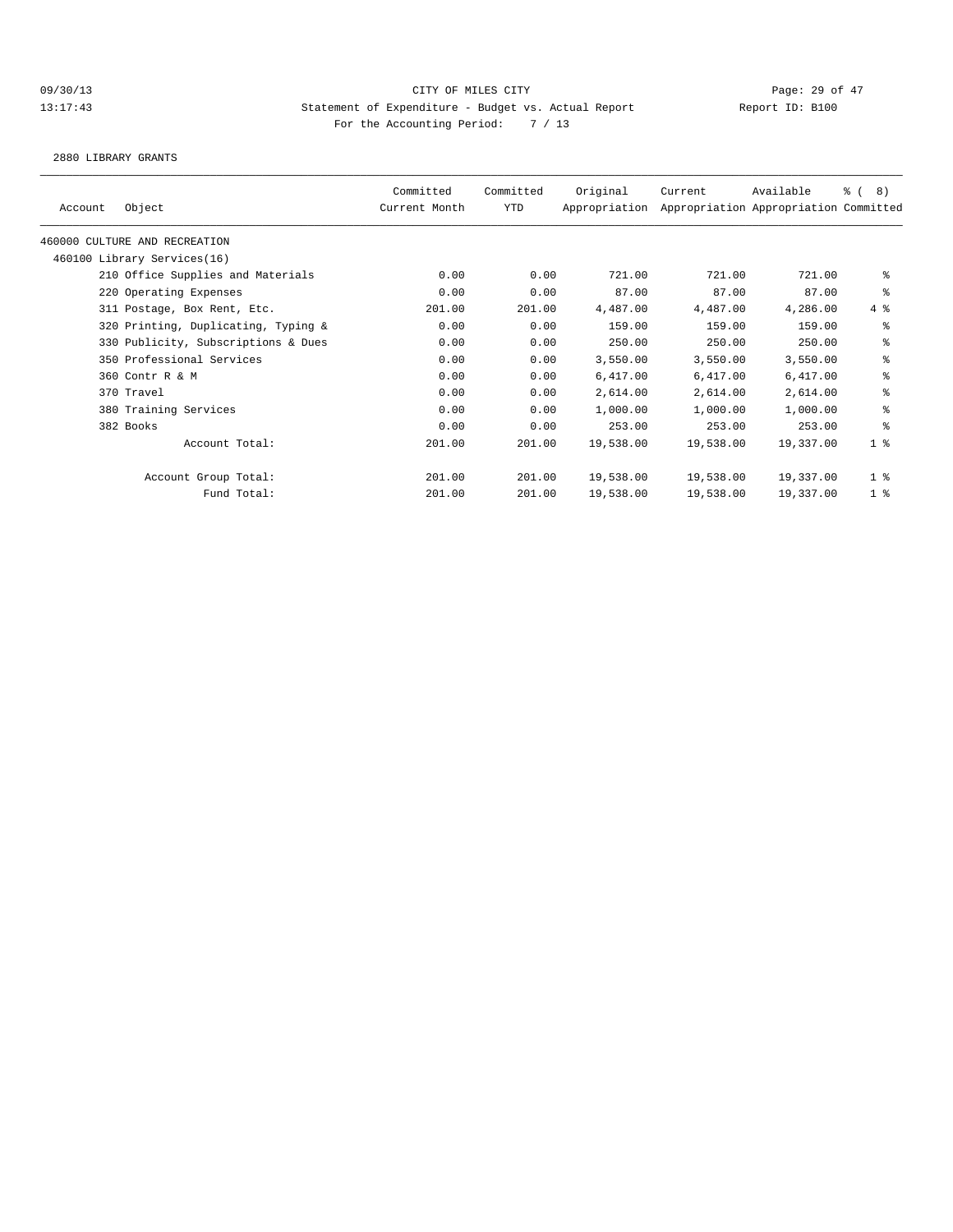2880 LIBRARY GRANTS

|         |                                     | Committed     | Committed  | Original      | Current   | Available                             | 8)<br>$\frac{6}{6}$ ( |
|---------|-------------------------------------|---------------|------------|---------------|-----------|---------------------------------------|-----------------------|
| Account | Object                              | Current Month | <b>YTD</b> | Appropriation |           | Appropriation Appropriation Committed |                       |
|         | 460000 CULTURE AND RECREATION       |               |            |               |           |                                       |                       |
|         | 460100 Library Services(16)         |               |            |               |           |                                       |                       |
|         | 210 Office Supplies and Materials   | 0.00          | 0.00       | 721.00        | 721.00    | 721.00                                | နွ                    |
|         | 220 Operating Expenses              | 0.00          | 0.00       | 87.00         | 87.00     | 87.00                                 | နွ                    |
|         | 311 Postage, Box Rent, Etc.         | 201.00        | 201.00     | 4,487.00      | 4,487.00  | 4,286.00                              | 4%                    |
|         | 320 Printing, Duplicating, Typing & | 0.00          | 0.00       | 159.00        | 159.00    | 159.00                                | နွ                    |
|         | 330 Publicity, Subscriptions & Dues | 0.00          | 0.00       | 250.00        | 250.00    | 250.00                                | နွ                    |
|         | 350 Professional Services           | 0.00          | 0.00       | 3,550.00      | 3,550.00  | 3,550.00                              | နွ                    |
|         | 360 Contr R & M                     | 0.00          | 0.00       | 6,417.00      | 6,417.00  | 6,417.00                              | နွ                    |
|         | 370 Travel                          | 0.00          | 0.00       | 2,614.00      | 2,614.00  | 2,614.00                              | ៖                     |
|         | 380 Training Services               | 0.00          | 0.00       | 1,000.00      | 1,000.00  | 1,000.00                              | နွ                    |
|         | 382 Books                           | 0.00          | 0.00       | 253.00        | 253.00    | 253.00                                | ి                     |
|         | Account Total:                      | 201.00        | 201.00     | 19,538.00     | 19,538.00 | 19,337.00                             | 1 <sup>8</sup>        |
|         | Account Group Total:                | 201.00        | 201.00     | 19,538.00     | 19,538.00 | 19,337.00                             | 1 <sup>8</sup>        |
|         | Fund Total:                         | 201.00        | 201.00     | 19,538.00     | 19,538.00 | 19,337.00                             | 1 <sup>8</sup>        |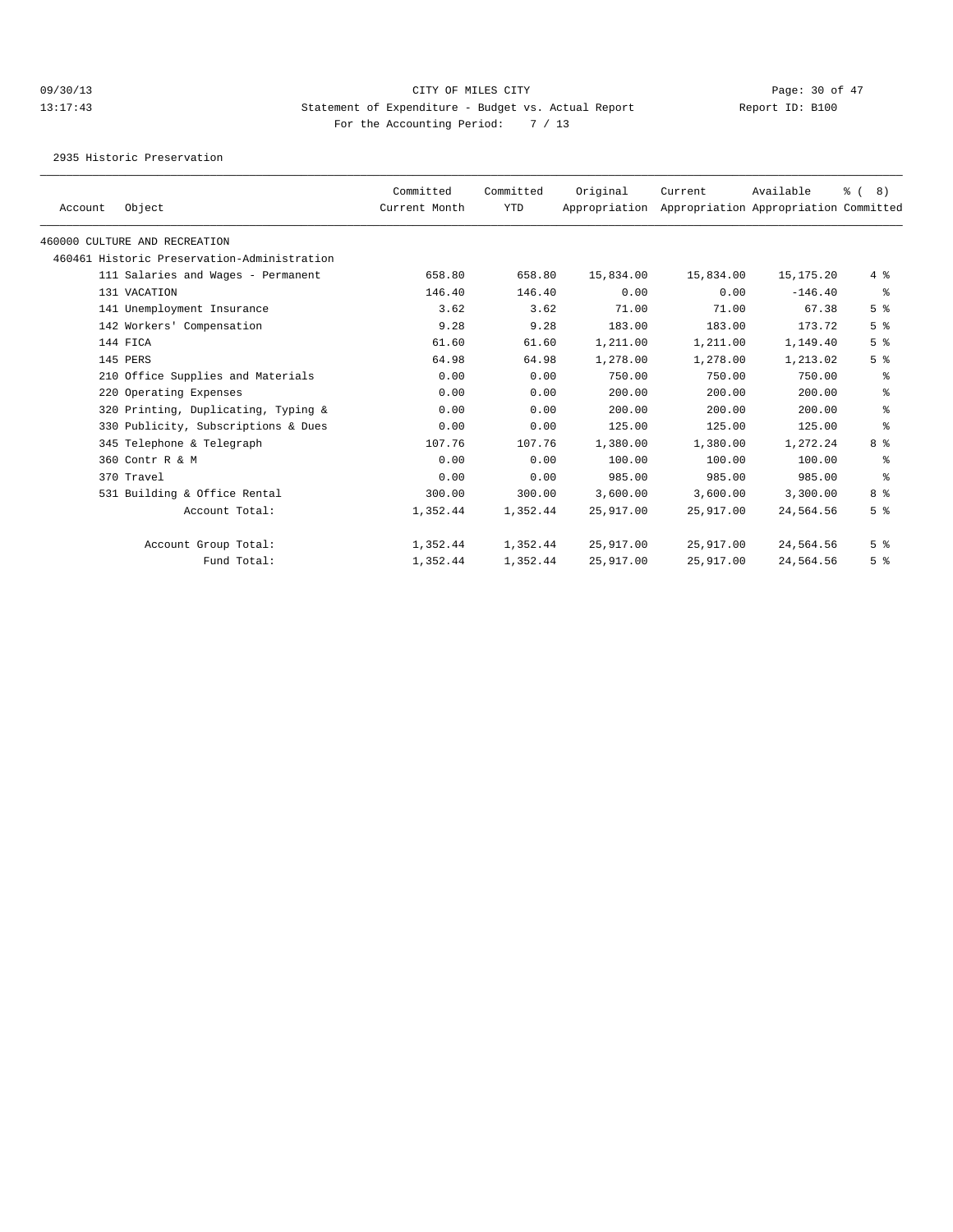2935 Historic Preservation

|         |                                             | Committed     | Committed | Original      | Current   | Available                             | $\frac{6}{6}$ ( 8) |
|---------|---------------------------------------------|---------------|-----------|---------------|-----------|---------------------------------------|--------------------|
| Account | Object                                      | Current Month | YTD       | Appropriation |           | Appropriation Appropriation Committed |                    |
|         | 460000 CULTURE AND RECREATION               |               |           |               |           |                                       |                    |
|         | 460461 Historic Preservation-Administration |               |           |               |           |                                       |                    |
|         | 111 Salaries and Wages - Permanent          | 658.80        | 658.80    | 15,834.00     | 15,834.00 | 15, 175. 20                           | 4%                 |
|         | 131 VACATION                                | 146.40        | 146.40    | 0.00          | 0.00      | $-146.40$                             | ွေ                 |
|         | 141 Unemployment Insurance                  | 3.62          | 3.62      | 71.00         | 71.00     | 67.38                                 | 5 <sup>°</sup>     |
|         | 142 Workers' Compensation                   | 9.28          | 9.28      | 183.00        | 183.00    | 173.72                                | 5 <sup>8</sup>     |
|         | 144 FICA                                    | 61.60         | 61.60     | 1,211.00      | 1,211.00  | 1,149.40                              | 5 <sup>8</sup>     |
|         | 145 PERS                                    | 64.98         | 64.98     | 1,278.00      | 1,278.00  | 1,213.02                              | 5 <sup>8</sup>     |
|         | 210 Office Supplies and Materials           | 0.00          | 0.00      | 750.00        | 750.00    | 750.00                                | နွ                 |
|         | 220 Operating Expenses                      | 0.00          | 0.00      | 200.00        | 200.00    | 200.00                                | နွ                 |
|         | 320 Printing, Duplicating, Typing &         | 0.00          | 0.00      | 200.00        | 200.00    | 200.00                                | နွ                 |
|         | 330 Publicity, Subscriptions & Dues         | 0.00          | 0.00      | 125.00        | 125.00    | 125.00                                | $\epsilon$         |
|         | 345 Telephone & Telegraph                   | 107.76        | 107.76    | 1,380.00      | 1,380.00  | 1,272.24                              | 8 %                |
|         | 360 Contr R & M                             | 0.00          | 0.00      | 100.00        | 100.00    | 100.00                                | ႜ                  |
|         | 370 Travel                                  | 0.00          | 0.00      | 985.00        | 985.00    | 985.00                                | $\epsilon$         |
|         | 531 Building & Office Rental                | 300.00        | 300.00    | 3,600.00      | 3,600.00  | 3,300.00                              | 8 %                |
|         | Account Total:                              | 1,352.44      | 1,352.44  | 25,917.00     | 25,917.00 | 24,564.56                             | 5 <sup>8</sup>     |
|         | Account Group Total:                        | 1,352.44      | 1,352.44  | 25,917.00     | 25,917.00 | 24,564.56                             | 5 <sup>8</sup>     |
|         | Fund Total:                                 | 1,352.44      | 1,352.44  | 25,917.00     | 25,917.00 | 24,564.56                             | 5 <sup>8</sup>     |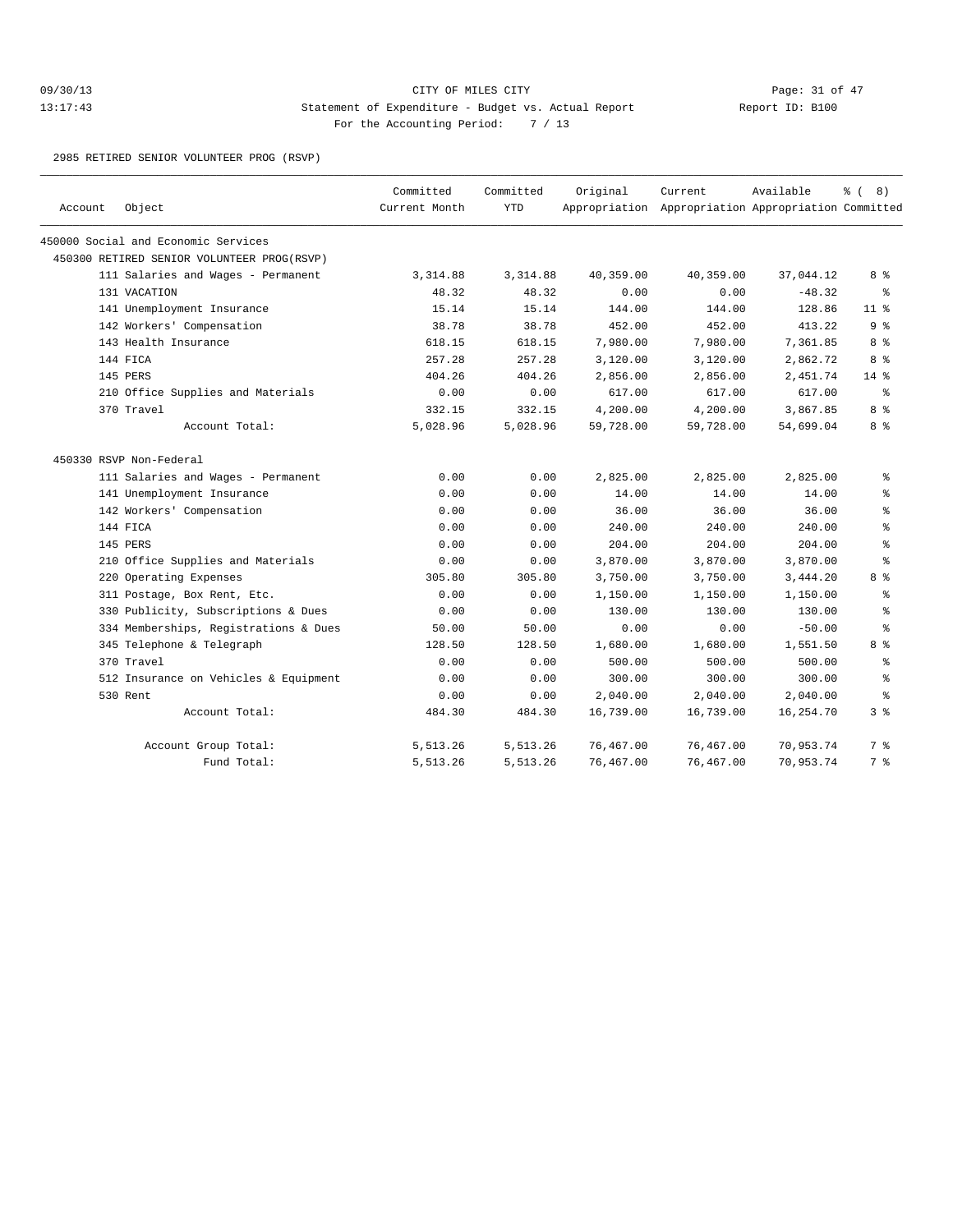## 09/30/13 Page: 31 of 47 13:17:43 Statement of Expenditure - Budget vs. Actual Report Changer Report ID: B100 For the Accounting Period: 7 / 13

2985 RETIRED SENIOR VOLUNTEER PROG (RSVP)

| Account | Object                                     | Committed<br>Current Month | Committed<br><b>YTD</b> | Original  | Current<br>Appropriation Appropriation Appropriation Committed | Available | $\frac{6}{6}$ ( 8) |
|---------|--------------------------------------------|----------------------------|-------------------------|-----------|----------------------------------------------------------------|-----------|--------------------|
|         | 450000 Social and Economic Services        |                            |                         |           |                                                                |           |                    |
|         | 450300 RETIRED SENIOR VOLUNTEER PROG(RSVP) |                            |                         |           |                                                                |           |                    |
|         | 111 Salaries and Wages - Permanent         | 3,314.88                   | 3, 314.88               | 40,359.00 | 40,359.00                                                      | 37,044.12 | 8 %                |
|         | 131 VACATION                               | 48.32                      | 48.32                   | 0.00      | 0.00                                                           | $-48.32$  | ႜೢ                 |
|         | 141 Unemployment Insurance                 | 15.14                      | 15.14                   | 144.00    | 144.00                                                         | 128.86    | 11 <sup>8</sup>    |
|         | 142 Workers' Compensation                  | 38.78                      | 38.78                   | 452.00    | 452.00                                                         | 413.22    | 9 %                |
|         | 143 Health Insurance                       | 618.15                     | 618.15                  | 7,980.00  | 7,980.00                                                       | 7,361.85  | 8 %                |
|         | 144 FICA                                   | 257.28                     | 257.28                  | 3,120.00  | 3,120.00                                                       | 2,862.72  | 8 %                |
|         | 145 PERS                                   | 404.26                     | 404.26                  | 2,856.00  | 2,856.00                                                       | 2,451.74  | $14*$              |
|         | 210 Office Supplies and Materials          | 0.00                       | 0.00                    | 617.00    | 617.00                                                         | 617.00    | နွ                 |
|         | 370 Travel                                 | 332.15                     | 332.15                  | 4,200.00  | 4,200.00                                                       | 3,867.85  | 8 %                |
|         | Account Total:                             | 5,028.96                   | 5,028.96                | 59,728.00 | 59,728.00                                                      | 54,699.04 | 8 %                |
|         | 450330 RSVP Non-Federal                    |                            |                         |           |                                                                |           |                    |
|         | 111 Salaries and Wages - Permanent         | 0.00                       | 0.00                    | 2,825.00  | 2,825.00                                                       | 2,825.00  | ి                  |
|         | 141 Unemployment Insurance                 | 0.00                       | 0.00                    | 14.00     | 14.00                                                          | 14.00     | နွ                 |
|         | 142 Workers' Compensation                  | 0.00                       | 0.00                    | 36.00     | 36.00                                                          | 36.00     | န္                 |
|         | 144 FICA                                   | 0.00                       | 0.00                    | 240.00    | 240.00                                                         | 240.00    | ి                  |
|         | 145 PERS                                   | 0.00                       | 0.00                    | 204.00    | 204.00                                                         | 204.00    | ి                  |
|         | 210 Office Supplies and Materials          | 0.00                       | 0.00                    | 3,870.00  | 3,870.00                                                       | 3,870.00  | ి                  |
|         | 220 Operating Expenses                     | 305.80                     | 305.80                  | 3,750.00  | 3,750.00                                                       | 3,444.20  | 8 %                |
|         | 311 Postage, Box Rent, Etc.                | 0.00                       | 0.00                    | 1,150.00  | 1,150.00                                                       | 1,150.00  | ి                  |
|         | 330 Publicity, Subscriptions & Dues        | 0.00                       | 0.00                    | 130.00    | 130.00                                                         | 130.00    | ి                  |
|         | 334 Memberships, Registrations & Dues      | 50.00                      | 50.00                   | 0.00      | 0.00                                                           | $-50.00$  | $\approx$          |
|         | 345 Telephone & Telegraph                  | 128.50                     | 128.50                  | 1,680.00  | 1,680.00                                                       | 1,551.50  | 8 %                |
|         | 370 Travel                                 | 0.00                       | 0.00                    | 500.00    | 500.00                                                         | 500.00    | ి                  |
|         | 512 Insurance on Vehicles & Equipment      | 0.00                       | 0.00                    | 300.00    | 300.00                                                         | 300.00    | ి                  |
|         | 530 Rent                                   | 0.00                       | 0.00                    | 2,040.00  | 2,040.00                                                       | 2,040.00  | ి                  |
|         | Account Total:                             | 484.30                     | 484.30                  | 16,739.00 | 16,739.00                                                      | 16,254.70 | 38                 |
|         | Account Group Total:                       | 5,513.26                   | 5,513.26                | 76,467.00 | 76,467.00                                                      | 70,953.74 | 7 %                |
|         | Fund Total:                                | 5,513.26                   | 5,513.26                | 76,467.00 | 76,467.00                                                      | 70,953.74 | 7 %                |
|         |                                            |                            |                         |           |                                                                |           |                    |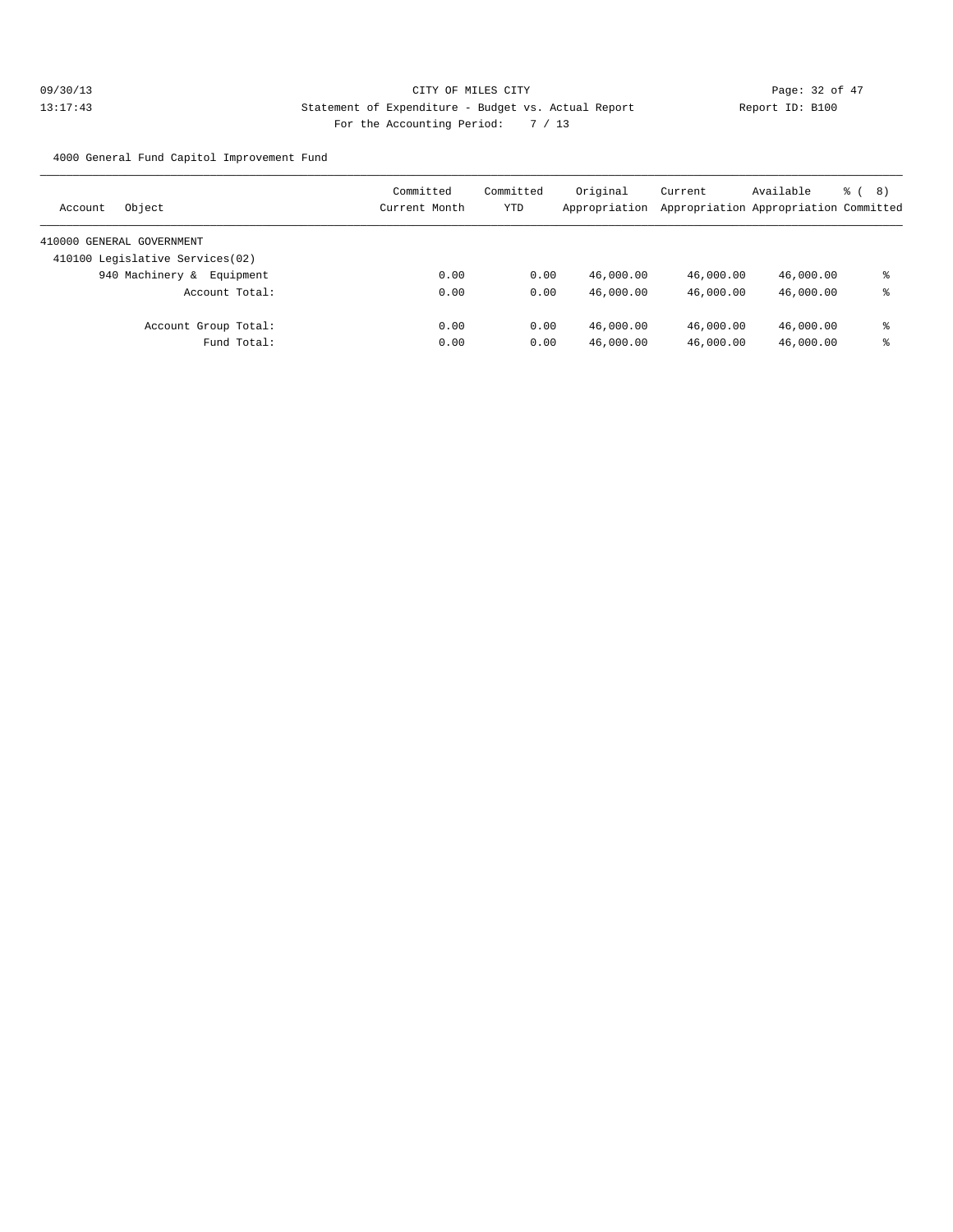4000 General Fund Capitol Improvement Fund

| Committed<br>Current Month | YTD | Appropriation | Current                                  | Available | る (<br>(8)                                                                                                                                    |
|----------------------------|-----|---------------|------------------------------------------|-----------|-----------------------------------------------------------------------------------------------------------------------------------------------|
|                            |     |               |                                          |           |                                                                                                                                               |
|                            |     |               |                                          |           |                                                                                                                                               |
| 0.00                       |     | 46,000.00     |                                          |           | ႜ                                                                                                                                             |
| 0.00                       |     | 46,000.00     |                                          |           | ႜ                                                                                                                                             |
| 0.00                       |     | 46,000.00     |                                          |           | ႜ                                                                                                                                             |
| 0.00                       |     | 46,000.00     |                                          |           | ႜ                                                                                                                                             |
|                            |     | Committed     | Original<br>0.00<br>0.00<br>0.00<br>0.00 |           | Appropriation Appropriation Committed<br>46,000.00<br>46,000.00<br>46,000.00<br>46,000.00<br>46,000.00<br>46,000.00<br>46,000.00<br>46,000.00 |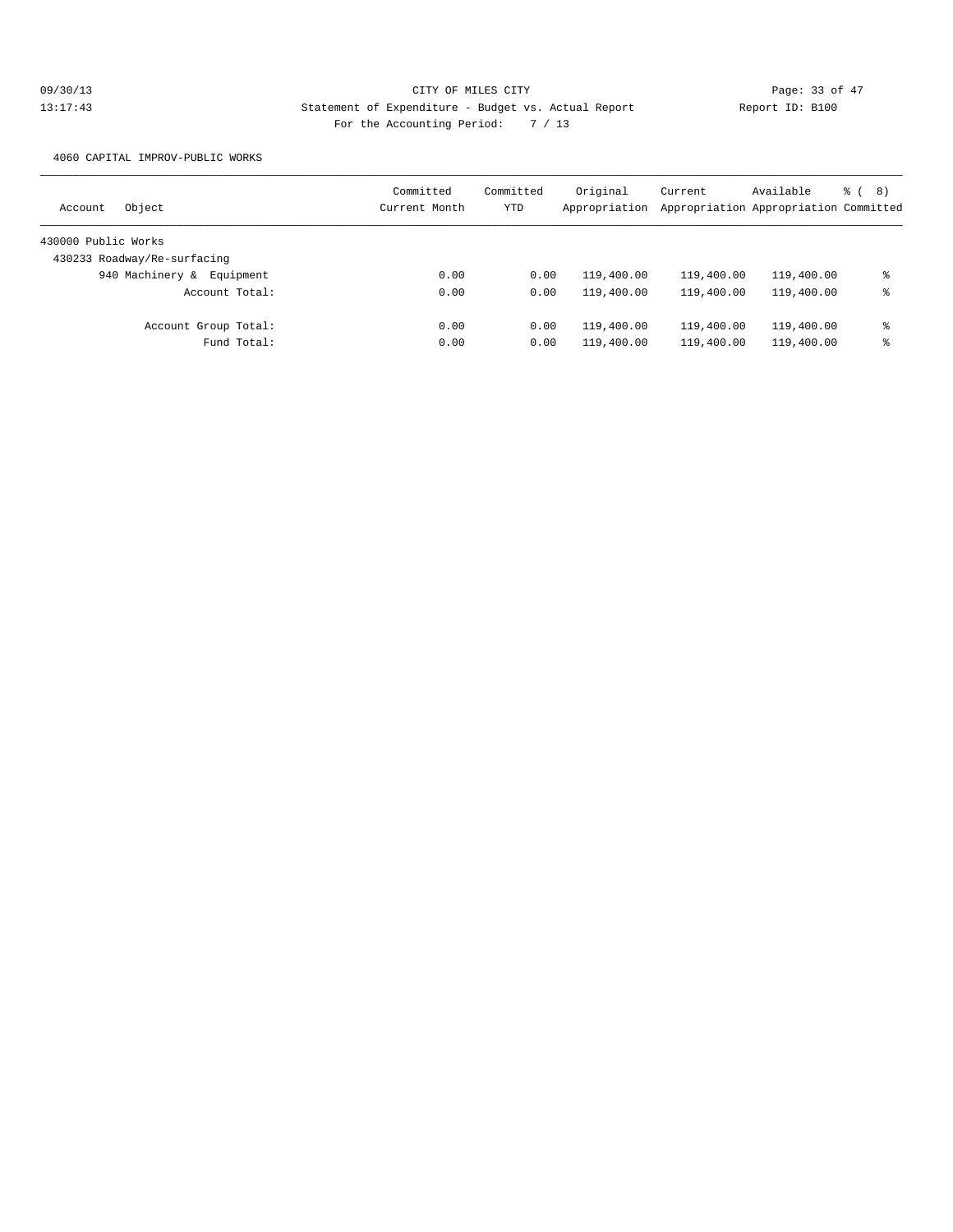4060 CAPITAL IMPROV-PUBLIC WORKS

| Object<br>Account            | Committed<br>Current Month | Committed<br>YTD | Original<br>Appropriation | Current    | Available<br>Appropriation Appropriation Committed | <sub>රි</sub> ( 8 ) |
|------------------------------|----------------------------|------------------|---------------------------|------------|----------------------------------------------------|---------------------|
| 430000 Public Works          |                            |                  |                           |            |                                                    |                     |
| 430233 Roadway/Re-surfacing  |                            |                  |                           |            |                                                    |                     |
| 940 Machinery &<br>Equipment | 0.00                       | 0.00             | 119,400.00                | 119,400.00 | 119,400.00                                         | ႜ                   |
| Account Total:               | 0.00                       | 0.00             | 119,400.00                | 119,400.00 | 119,400.00                                         | ႜ                   |
| Account Group Total:         | 0.00                       | 0.00             | 119,400.00                | 119,400.00 | 119,400.00                                         | ႜ                   |
| Fund Total:                  | 0.00                       | 0.00             | 119,400.00                | 119,400.00 | 119,400.00                                         | ႜ                   |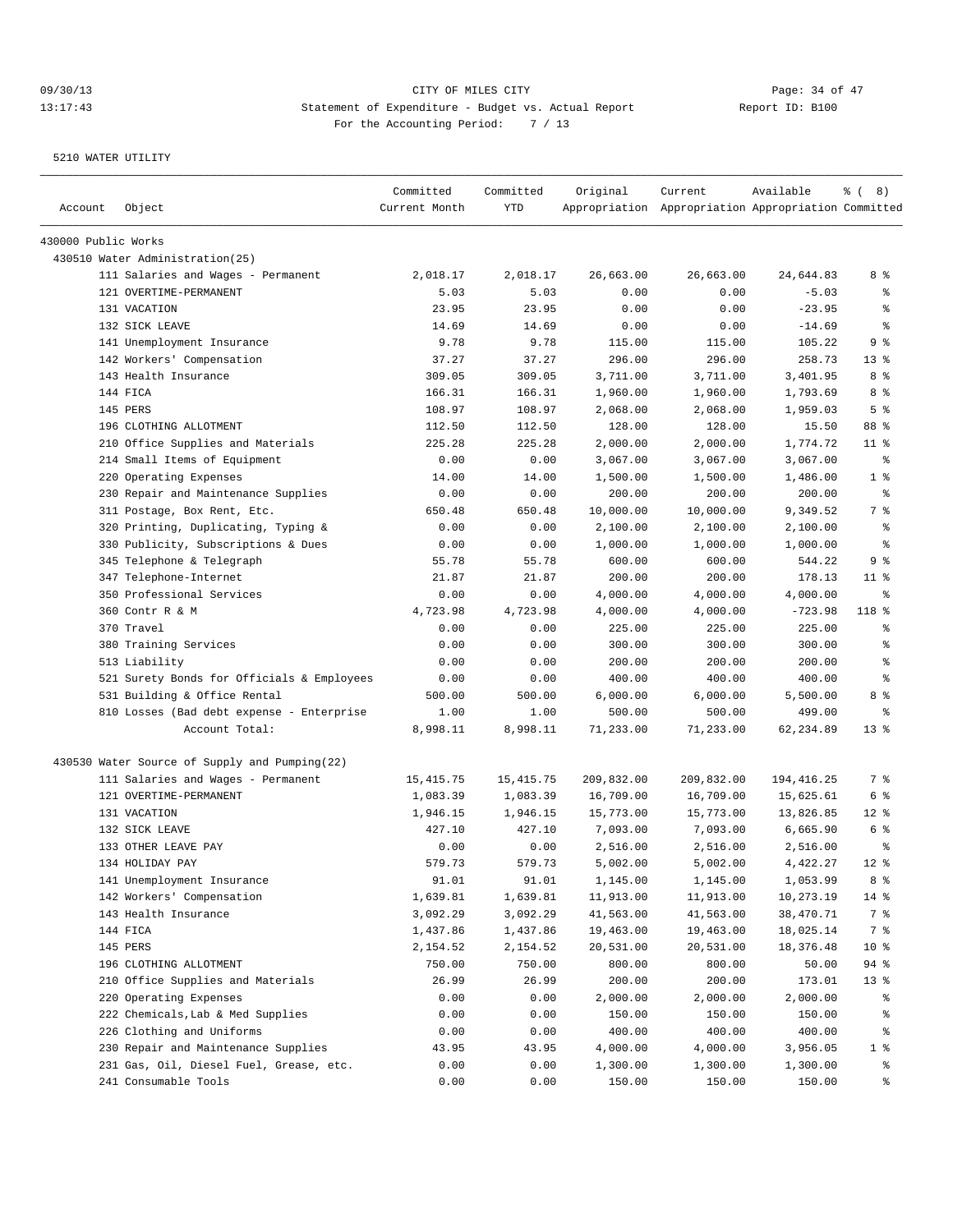| Account             | Object                                        | Committed<br>Current Month | Committed<br>YTD | Original   | Current<br>Appropriation Appropriation Appropriation Committed | Available   | $\frac{6}{6}$ ( 8) |
|---------------------|-----------------------------------------------|----------------------------|------------------|------------|----------------------------------------------------------------|-------------|--------------------|
| 430000 Public Works |                                               |                            |                  |            |                                                                |             |                    |
|                     | 430510 Water Administration(25)               |                            |                  |            |                                                                |             |                    |
|                     | 111 Salaries and Wages - Permanent            | 2,018.17                   | 2,018.17         | 26,663.00  | 26,663.00                                                      | 24,644.83   | 8 %                |
|                     | 121 OVERTIME-PERMANENT                        | 5.03                       | 5.03             | 0.00       | 0.00                                                           | $-5.03$     | နွ                 |
|                     | 131 VACATION                                  | 23.95                      | 23.95            | 0.00       | 0.00                                                           | $-23.95$    | ి                  |
|                     | 132 SICK LEAVE                                | 14.69                      | 14.69            | 0.00       | 0.00                                                           | $-14.69$    | ి                  |
|                     | 141 Unemployment Insurance                    | 9.78                       | 9.78             | 115.00     | 115.00                                                         | 105.22      | 9 %                |
|                     | 142 Workers' Compensation                     | 37.27                      | 37.27            | 296.00     | 296.00                                                         | 258.73      | $13*$              |
|                     | 143 Health Insurance                          | 309.05                     | 309.05           | 3,711.00   | 3,711.00                                                       | 3,401.95    | 8 %                |
|                     | 144 FICA                                      | 166.31                     | 166.31           | 1,960.00   | 1,960.00                                                       | 1,793.69    | 8 %                |
|                     | 145 PERS                                      | 108.97                     | 108.97           | 2,068.00   | 2,068.00                                                       | 1,959.03    | 5 <sup>°</sup>     |
|                     | 196 CLOTHING ALLOTMENT                        | 112.50                     | 112.50           | 128.00     | 128.00                                                         | 15.50       | 88 %               |
|                     | 210 Office Supplies and Materials             | 225.28                     | 225.28           | 2,000.00   | 2,000.00                                                       | 1,774.72    | $11$ %             |
|                     | 214 Small Items of Equipment                  | 0.00                       | 0.00             | 3,067.00   | 3,067.00                                                       | 3,067.00    | နွ                 |
|                     | 220 Operating Expenses                        | 14.00                      | 14.00            | 1,500.00   | 1,500.00                                                       | 1,486.00    | 1 <sup>°</sup>     |
|                     | 230 Repair and Maintenance Supplies           | 0.00                       | 0.00             | 200.00     | 200.00                                                         | 200.00      | ್ಠಿ                |
|                     | 311 Postage, Box Rent, Etc.                   | 650.48                     | 650.48           | 10,000.00  | 10,000.00                                                      | 9,349.52    | 7 %                |
|                     | 320 Printing, Duplicating, Typing &           | 0.00                       | 0.00             | 2,100.00   | 2,100.00                                                       | 2,100.00    | ႜ                  |
|                     | 330 Publicity, Subscriptions & Dues           | 0.00                       | 0.00             | 1,000.00   | 1,000.00                                                       | 1,000.00    | နွ                 |
|                     | 345 Telephone & Telegraph                     | 55.78                      | 55.78            | 600.00     | 600.00                                                         | 544.22      | 9 %                |
|                     | 347 Telephone-Internet                        | 21.87                      | 21.87            | 200.00     | 200.00                                                         | 178.13      | $11$ %             |
|                     | 350 Professional Services                     | 0.00                       | 0.00             | 4,000.00   | 4,000.00                                                       | 4,000.00    | နွ                 |
|                     | 360 Contr R & M                               | 4,723.98                   | 4,723.98         | 4,000.00   | 4,000.00                                                       | $-723.98$   | 118 %              |
|                     | 370 Travel                                    | 0.00                       | 0.00             | 225.00     | 225.00                                                         | 225.00      | န္                 |
|                     | 380 Training Services                         | 0.00                       | 0.00             | 300.00     | 300.00                                                         | 300.00      | ి                  |
|                     | 513 Liability                                 | 0.00                       | 0.00             | 200.00     | 200.00                                                         | 200.00      | ి                  |
|                     | 521 Surety Bonds for Officials & Employees    | 0.00                       | 0.00             | 400.00     | 400.00                                                         | 400.00      | ి                  |
|                     | 531 Building & Office Rental                  | 500.00                     | 500.00           | 6,000.00   | 6,000.00                                                       | 5,500.00    | 8 %                |
|                     | 810 Losses (Bad debt expense - Enterprise     | 1.00                       | 1.00             | 500.00     | 500.00                                                         | 499.00      | နွ                 |
|                     | Account Total:                                | 8,998.11                   | 8,998.11         | 71,233.00  | 71,233.00                                                      | 62,234.89   | $13*$              |
|                     | 430530 Water Source of Supply and Pumping(22) |                            |                  |            |                                                                |             |                    |
|                     | 111 Salaries and Wages - Permanent            | 15, 415.75                 | 15, 415.75       | 209,832.00 | 209,832.00                                                     | 194, 416.25 | 7 %                |
|                     | 121 OVERTIME-PERMANENT                        | 1,083.39                   | 1,083.39         | 16,709.00  | 16,709.00                                                      | 15,625.61   | 6 %                |
|                     | 131 VACATION                                  | 1,946.15                   | 1,946.15         | 15,773.00  | 15,773.00                                                      | 13,826.85   | $12$ %             |
|                     | 132 SICK LEAVE                                | 427.10                     | 427.10           | 7,093.00   | 7,093.00                                                       | 6,665.90    | 6 %                |
|                     | 133 OTHER LEAVE PAY                           | 0.00                       | 0.00             | 2,516.00   | 2,516.00                                                       | 2,516.00    | ి                  |
|                     | 134 HOLIDAY PAY                               | 579.73                     | 579.73           | 5,002.00   | 5,002.00                                                       | 4,422.27    | $12*$              |
|                     | 141 Unemployment Insurance                    | 91.01                      | 91.01            | 1,145.00   | 1,145.00                                                       | 1,053.99    | 8 %                |
|                     | 142 Workers' Compensation                     | 1,639.81                   | 1,639.81         | 11,913.00  | 11,913.00                                                      | 10,273.19   | $14$ %             |
|                     | 143 Health Insurance                          | 3,092.29                   | 3,092.29         | 41,563.00  | 41,563.00                                                      | 38,470.71   | 7 %                |
|                     | 144 FICA                                      | 1,437.86                   | 1,437.86         | 19,463.00  | 19,463.00                                                      | 18,025.14   | 7 %                |
|                     | 145 PERS                                      | 2,154.52                   | 2,154.52         | 20,531.00  | 20,531.00                                                      | 18,376.48   | 10 <sup>°</sup>    |
|                     | 196 CLOTHING ALLOTMENT                        | 750.00                     | 750.00           | 800.00     | 800.00                                                         | 50.00       | 94 %               |
|                     | 210 Office Supplies and Materials             | 26.99                      | 26.99            | 200.00     | 200.00                                                         | 173.01      | 13 <sub>8</sub>    |
|                     | 220 Operating Expenses                        | 0.00                       | 0.00             | 2,000.00   | 2,000.00                                                       | 2,000.00    | ៖                  |
|                     | 222 Chemicals, Lab & Med Supplies             | 0.00                       | 0.00             | 150.00     | 150.00                                                         | 150.00      | ိင                 |
|                     | 226 Clothing and Uniforms                     | 0.00                       | 0.00             | 400.00     | 400.00                                                         | 400.00      | ွေ                 |
|                     | 230 Repair and Maintenance Supplies           | 43.95                      | 43.95            | 4,000.00   | 4,000.00                                                       | 3,956.05    | 1 <sup>°</sup>     |
|                     | 231 Gas, Oil, Diesel Fuel, Grease, etc.       | 0.00                       | 0.00             | 1,300.00   | 1,300.00                                                       | 1,300.00    | ွေ                 |
|                     | 241 Consumable Tools                          | 0.00                       | 0.00             | 150.00     | 150.00                                                         | 150.00      | ್ಠಿ                |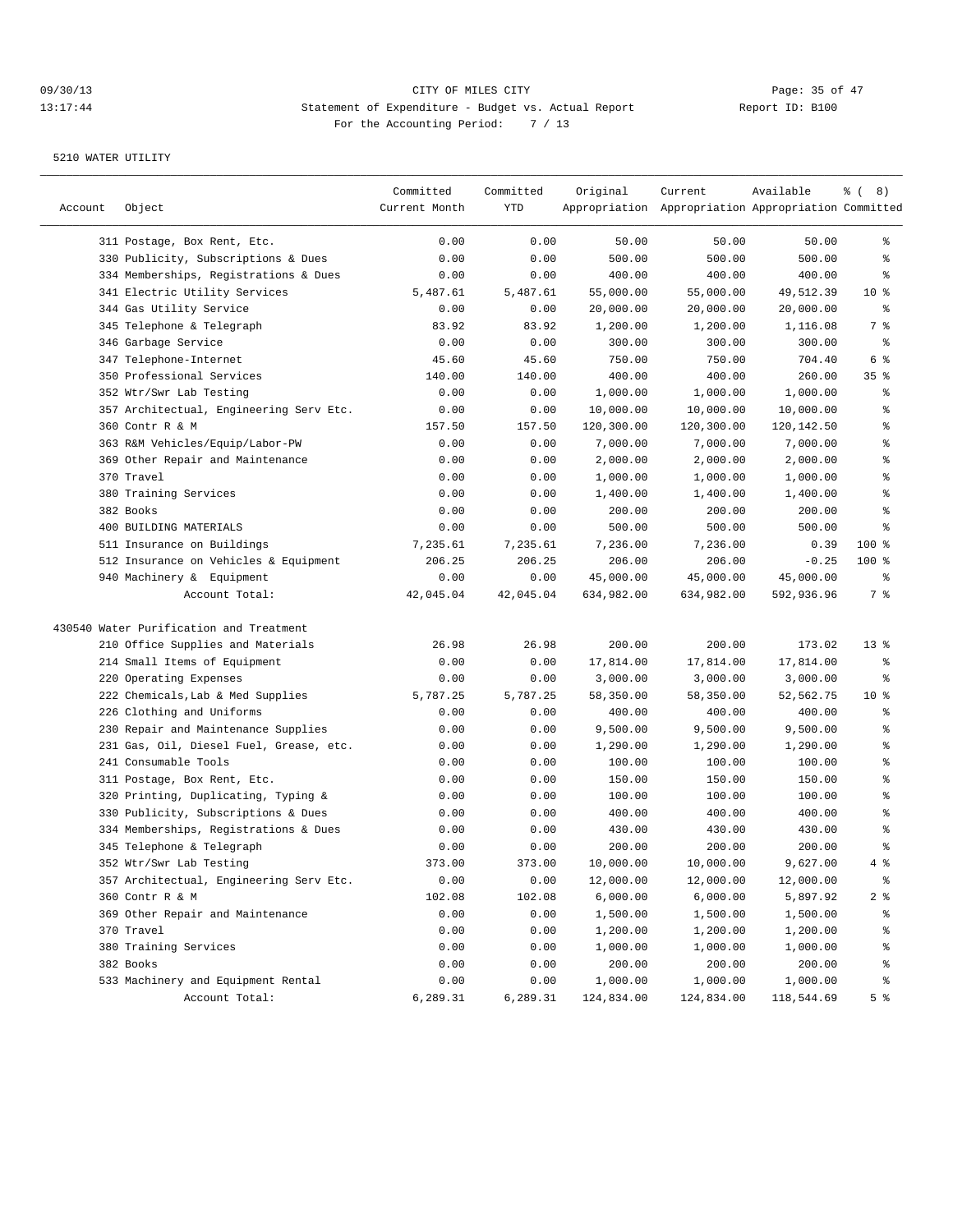## 09/30/13 Page: 35 of 47 13:17:44 Statement of Expenditure - Budget vs. Actual Report Changer Report ID: B100 For the Accounting Period: 7 / 13

|         |                                         | Committed     | Committed | Original   | Current                                             | Available  | <sub>ර</sub> ි (8)       |
|---------|-----------------------------------------|---------------|-----------|------------|-----------------------------------------------------|------------|--------------------------|
| Account | Object                                  | Current Month | YTD       |            | Appropriation Appropriation Appropriation Committed |            |                          |
|         | 311 Postage, Box Rent, Etc.             | 0.00          | 0.00      | 50.00      | 50.00                                               | 50.00      | ွေ                       |
|         | 330 Publicity, Subscriptions & Dues     | 0.00          | 0.00      | 500.00     | 500.00                                              | 500.00     | ి                        |
|         | 334 Memberships, Registrations & Dues   | 0.00          | 0.00      | 400.00     | 400.00                                              | 400.00     | ႜ                        |
|         | 341 Electric Utility Services           | 5,487.61      | 5,487.61  | 55,000.00  | 55,000.00                                           | 49,512.39  | $10*$                    |
|         | 344 Gas Utility Service                 | 0.00          | 0.00      | 20,000.00  | 20,000.00                                           | 20,000.00  | နွ                       |
|         | 345 Telephone & Telegraph               | 83.92         | 83.92     | 1,200.00   | 1,200.00                                            | 1,116.08   | 7 %                      |
|         | 346 Garbage Service                     | 0.00          | 0.00      | 300.00     | 300.00                                              | 300.00     | နွ                       |
|         | 347 Telephone-Internet                  | 45.60         | 45.60     | 750.00     | 750.00                                              | 704.40     | 6 %                      |
|         | 350 Professional Services               | 140.00        | 140.00    | 400.00     | 400.00                                              | 260.00     | 35 <sup>8</sup>          |
|         | 352 Wtr/Swr Lab Testing                 | 0.00          | 0.00      | 1,000.00   | 1,000.00                                            | 1,000.00   | န္                       |
|         | 357 Architectual, Engineering Serv Etc. | 0.00          | 0.00      | 10,000.00  | 10,000.00                                           | 10,000.00  | န္                       |
|         | 360 Contr R & M                         | 157.50        | 157.50    | 120,300.00 | 120,300.00                                          | 120,142.50 | ి                        |
|         | 363 R&M Vehicles/Equip/Labor-PW         | 0.00          | 0.00      | 7,000.00   | 7,000.00                                            | 7,000.00   | န္                       |
|         | 369 Other Repair and Maintenance        | 0.00          | 0.00      | 2,000.00   | 2,000.00                                            | 2,000.00   | န္                       |
|         | 370 Travel                              | 0.00          | 0.00      | 1,000.00   | 1,000.00                                            | 1,000.00   | $\,$ %                   |
|         | 380 Training Services                   | 0.00          | 0.00      | 1,400.00   | 1,400.00                                            | 1,400.00   | $\,$ %                   |
|         | 382 Books                               | 0.00          | 0.00      | 200.00     | 200.00                                              | 200.00     | ి                        |
|         | 400 BUILDING MATERIALS                  | 0.00          | 0.00      | 500.00     | 500.00                                              | 500.00     | ి                        |
|         | 511 Insurance on Buildings              | 7,235.61      | 7,235.61  | 7,236.00   | 7,236.00                                            | 0.39       | 100 %                    |
|         | 512 Insurance on Vehicles & Equipment   | 206.25        | 206.25    | 206.00     | 206.00                                              | $-0.25$    | $100$ %                  |
|         | 940 Machinery & Equipment               | 0.00          | 0.00      | 45,000.00  | 45,000.00                                           | 45,000.00  | ႜ                        |
|         | Account Total:                          | 42,045.04     | 42,045.04 | 634,982.00 | 634,982.00                                          | 592,936.96 | 7 %                      |
|         | 430540 Water Purification and Treatment |               |           |            |                                                     |            |                          |
|         | 210 Office Supplies and Materials       | 26.98         | 26.98     | 200.00     | 200.00                                              | 173.02     | $13*$                    |
|         | 214 Small Items of Equipment            | 0.00          | 0.00      | 17,814.00  | 17,814.00                                           | 17,814.00  | ႜ                        |
|         | 220 Operating Expenses                  | 0.00          | 0.00      | 3,000.00   | 3,000.00                                            | 3,000.00   | နွ                       |
|         | 222 Chemicals, Lab & Med Supplies       | 5,787.25      | 5,787.25  | 58,350.00  | 58,350.00                                           | 52,562.75  | $10*$                    |
|         | 226 Clothing and Uniforms               | 0.00          | 0.00      | 400.00     | 400.00                                              | 400.00     | န္                       |
|         | 230 Repair and Maintenance Supplies     | 0.00          | 0.00      | 9,500.00   | 9,500.00                                            | 9,500.00   | န္                       |
|         | 231 Gas, Oil, Diesel Fuel, Grease, etc. | 0.00          | 0.00      | 1,290.00   | 1,290.00                                            | 1,290.00   | န္                       |
|         | 241 Consumable Tools                    | 0.00          | 0.00      | 100.00     | 100.00                                              | 100.00     | ి                        |
|         | 311 Postage, Box Rent, Etc.             | 0.00          | 0.00      | 150.00     | 150.00                                              | 150.00     | န္                       |
|         | 320 Printing, Duplicating, Typing &     | 0.00          | 0.00      | 100.00     | 100.00                                              | 100.00     | န္                       |
| 330     | Publicity, Subscriptions & Dues         | 0.00          | 0.00      | 400.00     | 400.00                                              | 400.00     | $\,$ %                   |
|         | 334 Memberships, Registrations & Dues   | 0.00          | 0.00      | 430.00     | 430.00                                              | 430.00     | န္                       |
|         | 345 Telephone & Telegraph               | 0.00          | 0.00      | 200.00     | 200.00                                              | 200.00     | ి                        |
|         | 352 Wtr/Swr Lab Testing                 | 373.00        | 373.00    | 10,000.00  | 10,000.00                                           | 9,627.00   | 4%                       |
|         | 357 Architectual, Engineering Serv Etc. | 0.00          | 0.00      | 12,000.00  | 12,000.00                                           | 12,000.00  | ႜૢ                       |
|         | 360 Contr R & M                         | 102.08        | 102.08    | 6,000.00   | 6,000.00                                            | 5,897.92   | 2 <sub>8</sub>           |
|         | 369 Other Repair and Maintenance        | 0.00          | 0.00      | 1,500.00   | 1,500.00                                            | 1,500.00   | န္စ                      |
|         | 370 Travel                              | 0.00          | 0.00      | 1,200.00   | 1,200.00                                            | 1,200.00   | $\,{}^{\circ}\!\!\delta$ |
|         | 380 Training Services                   | 0.00          | 0.00      | 1,000.00   | 1,000.00                                            | 1,000.00   | ိင                       |
|         | 382 Books                               | 0.00          | 0.00      | 200.00     | 200.00                                              | 200.00     | ိန                       |
|         | 533 Machinery and Equipment Rental      | 0.00          | 0.00      | 1,000.00   | 1,000.00                                            | 1,000.00   | ိင                       |
|         | Account Total:                          | 6,289.31      | 6,289.31  | 124,834.00 | 124,834.00                                          | 118,544.69 | 5 <sup>8</sup>           |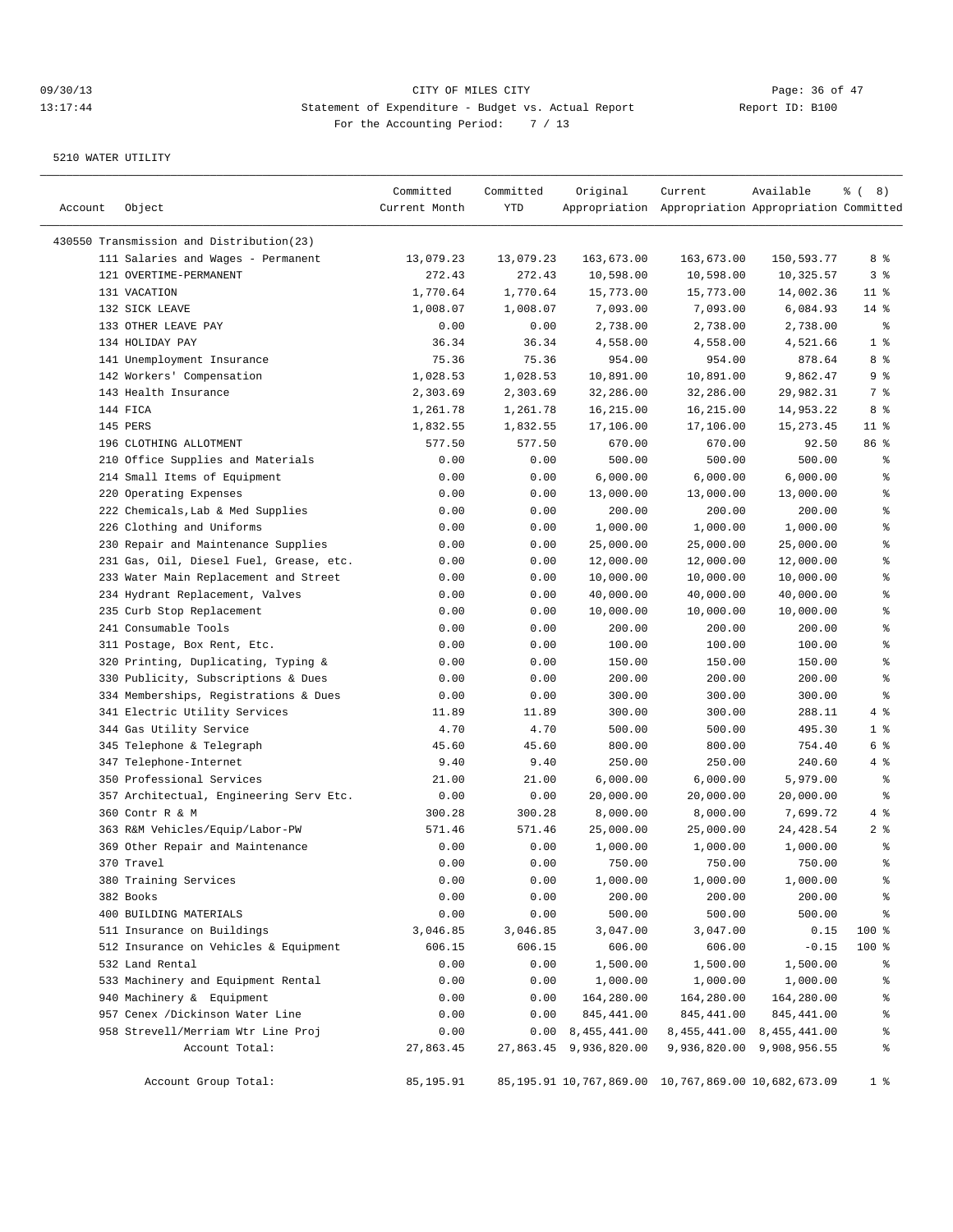| Account | Object                                                       | Committed<br>Current Month | Committed<br>YTD    | Original                  | Current<br>Appropriation Appropriation Appropriation Committed | Available                     | <sub>ර</sub> ි (8)                       |
|---------|--------------------------------------------------------------|----------------------------|---------------------|---------------------------|----------------------------------------------------------------|-------------------------------|------------------------------------------|
|         |                                                              |                            |                     |                           |                                                                |                               |                                          |
|         | 430550 Transmission and Distribution(23)                     | 13,079.23                  |                     |                           |                                                                |                               | 8 %                                      |
|         | 111 Salaries and Wages - Permanent<br>121 OVERTIME-PERMANENT | 272.43                     | 13,079.23<br>272.43 | 163,673.00<br>10,598.00   | 163,673.00<br>10,598.00                                        | 150,593.77<br>10,325.57       | 3%                                       |
|         | 131 VACATION                                                 | 1,770.64                   | 1,770.64            | 15,773.00                 | 15,773.00                                                      | 14,002.36                     | $11$ %                                   |
|         | 132 SICK LEAVE                                               | 1,008.07                   | 1,008.07            | 7,093.00                  | 7,093.00                                                       | 6,084.93                      | $14*$                                    |
|         | 133 OTHER LEAVE PAY                                          | 0.00                       | 0.00                | 2,738.00                  | 2,738.00                                                       | 2,738.00                      | ್ಠಿ                                      |
|         | 134 HOLIDAY PAY                                              | 36.34                      | 36.34               | 4,558.00                  | 4,558.00                                                       | 4,521.66                      | 1 <sup>°</sup>                           |
|         | 141 Unemployment Insurance                                   | 75.36                      | 75.36               | 954.00                    | 954.00                                                         | 878.64                        | 8 %                                      |
|         | 142 Workers' Compensation                                    | 1,028.53                   | 1,028.53            | 10,891.00                 | 10,891.00                                                      | 9,862.47                      | 9%                                       |
|         | 143 Health Insurance                                         | 2,303.69                   | 2,303.69            | 32,286.00                 | 32,286.00                                                      | 29,982.31                     | 7 %                                      |
|         | 144 FICA                                                     | 1,261.78                   | 1,261.78            | 16,215.00                 | 16,215.00                                                      | 14,953.22                     | 8 %                                      |
|         | 145 PERS                                                     | 1,832.55                   | 1,832.55            | 17,106.00                 | 17,106.00                                                      | 15, 273.45                    | $11$ %                                   |
|         | 196 CLOTHING ALLOTMENT                                       | 577.50                     | 577.50              | 670.00                    | 670.00                                                         | 92.50                         | 86 %                                     |
|         | 210 Office Supplies and Materials                            | 0.00                       | 0.00                | 500.00                    | 500.00                                                         | 500.00                        | န္                                       |
|         | 214 Small Items of Equipment                                 | 0.00                       | 0.00                | 6,000.00                  | 6,000.00                                                       | 6,000.00                      | န္                                       |
|         | 220 Operating Expenses                                       | 0.00                       | 0.00                | 13,000.00                 | 13,000.00                                                      | 13,000.00                     | န္                                       |
|         | 222 Chemicals, Lab & Med Supplies                            | 0.00                       | 0.00                | 200.00                    | 200.00                                                         | 200.00                        | ి                                        |
|         | 226 Clothing and Uniforms                                    | 0.00                       | 0.00                | 1,000.00                  | 1,000.00                                                       | 1,000.00                      | န္                                       |
|         | 230 Repair and Maintenance Supplies                          | 0.00                       | 0.00                | 25,000.00                 | 25,000.00                                                      | 25,000.00                     | န္                                       |
|         | 231 Gas, Oil, Diesel Fuel, Grease, etc.                      | 0.00                       | 0.00                | 12,000.00                 | 12,000.00                                                      | 12,000.00                     | န္                                       |
|         | 233 Water Main Replacement and Street                        | 0.00                       | 0.00                | 10,000.00                 | 10,000.00                                                      | 10,000.00                     | န္                                       |
|         | 234 Hydrant Replacement, Valves                              | 0.00                       | 0.00                | 40,000.00                 | 40,000.00                                                      | 40,000.00                     | ి                                        |
|         | 235 Curb Stop Replacement                                    | 0.00                       | 0.00                | 10,000.00                 | 10,000.00                                                      | 10,000.00                     | န္                                       |
|         | 241 Consumable Tools                                         | 0.00                       | 0.00                | 200.00                    | 200.00                                                         | 200.00                        | န္                                       |
|         | 311 Postage, Box Rent, Etc.                                  | 0.00                       | 0.00                | 100.00                    | 100.00                                                         | 100.00                        | $\, \raisebox{0.6ex}{\scriptsize{*}} \,$ |
|         | 320 Printing, Duplicating, Typing &                          | 0.00                       | 0.00                | 150.00                    | 150.00                                                         | 150.00                        | န္                                       |
|         | 330 Publicity, Subscriptions & Dues                          | 0.00                       | 0.00                | 200.00                    | 200.00                                                         | 200.00                        | ి                                        |
|         | 334 Memberships, Registrations & Dues                        | 0.00                       | 0.00                | 300.00                    | 300.00                                                         | 300.00                        | န္                                       |
|         | 341 Electric Utility Services                                | 11.89                      | 11.89               | 300.00                    | 300.00                                                         | 288.11                        | 4 %                                      |
|         | 344 Gas Utility Service                                      | 4.70                       | 4.70                | 500.00                    | 500.00                                                         | 495.30                        | 1 <sup>°</sup>                           |
|         | 345 Telephone & Telegraph                                    | 45.60                      | 45.60               | 800.00                    | 800.00                                                         | 754.40                        | 6 %                                      |
|         | 347 Telephone-Internet                                       | 9.40                       | 9.40                | 250.00                    | 250.00                                                         | 240.60                        | 4%                                       |
|         | 350 Professional Services                                    | 21.00                      | 21.00               | 6,000.00                  | 6,000.00                                                       | 5,979.00                      | နွ                                       |
|         | 357 Architectual, Engineering Serv Etc.                      | 0.00                       | 0.00                | 20,000.00                 | 20,000.00                                                      | 20,000.00                     | နွ                                       |
|         | 360 Contr R & M                                              | 300.28                     | 300.28              | 8,000.00                  | 8,000.00                                                       | 7,699.72                      | 4 %                                      |
|         | 363 R&M Vehicles/Equip/Labor-PW                              | 571.46                     | 571.46              | 25,000.00                 | 25,000.00                                                      | 24,428.54                     | 2 <sub>8</sub>                           |
|         | 369 Other Repair and Maintenance                             | 0.00                       | 0.00                | 1,000.00                  | 1,000.00                                                       | 1,000.00                      | ್ಠಿ                                      |
|         | 370 Travel                                                   | 0.00                       | 0.00                | 750.00                    | 750.00                                                         | 750.00                        | ి                                        |
|         | 380 Training Services                                        | 0.00                       | 0.00                | 1,000.00                  | 1,000.00                                                       | 1,000.00                      | ိန                                       |
|         | 382 Books                                                    | 0.00                       | 0.00                | 200.00                    | 200.00                                                         | 200.00                        | န္                                       |
|         | 400 BUILDING MATERIALS                                       | 0.00                       | 0.00                | 500.00                    | 500.00                                                         | 500.00                        | $\frac{6}{3}$                            |
|         | 511 Insurance on Buildings                                   | 3,046.85                   | 3,046.85            | 3,047.00                  | 3,047.00                                                       | 0.15                          | 100 %                                    |
|         | 512 Insurance on Vehicles & Equipment                        | 606.15                     | 606.15              | 606.00                    | 606.00                                                         | $-0.15$                       | 100 %                                    |
|         | 532 Land Rental                                              | 0.00                       | 0.00                | 1,500.00                  | 1,500.00                                                       | 1,500.00                      | ိန                                       |
|         | 533 Machinery and Equipment Rental                           | 0.00                       | 0.00                | 1,000.00                  | 1,000.00                                                       | 1,000.00                      | ႜ                                        |
|         | 940 Machinery & Equipment                                    | 0.00                       | 0.00                | 164,280.00                | 164,280.00                                                     | 164,280.00                    | ိင                                       |
|         | 957 Cenex /Dickinson Water Line                              | 0.00                       | 0.00                | 845,441.00                | 845,441.00                                                     | 845,441.00                    | န္                                       |
|         | 958 Strevell/Merriam Wtr Line Proj                           | 0.00                       |                     | $0.00 \quad 8,455,441.00$ |                                                                | 8, 455, 441.00 8, 455, 441.00 | ိင                                       |
|         | Account Total:                                               | 27,863.45                  |                     | 27,863.45 9,936,820.00    |                                                                | 9,936,820.00 9,908,956.55     | န္                                       |
|         | Account Group Total:                                         | 85,195.91                  |                     |                           | 85, 195. 91 10, 767, 869. 00 10, 767, 869. 00 10, 682, 673. 09 |                               | 1 <sup>8</sup>                           |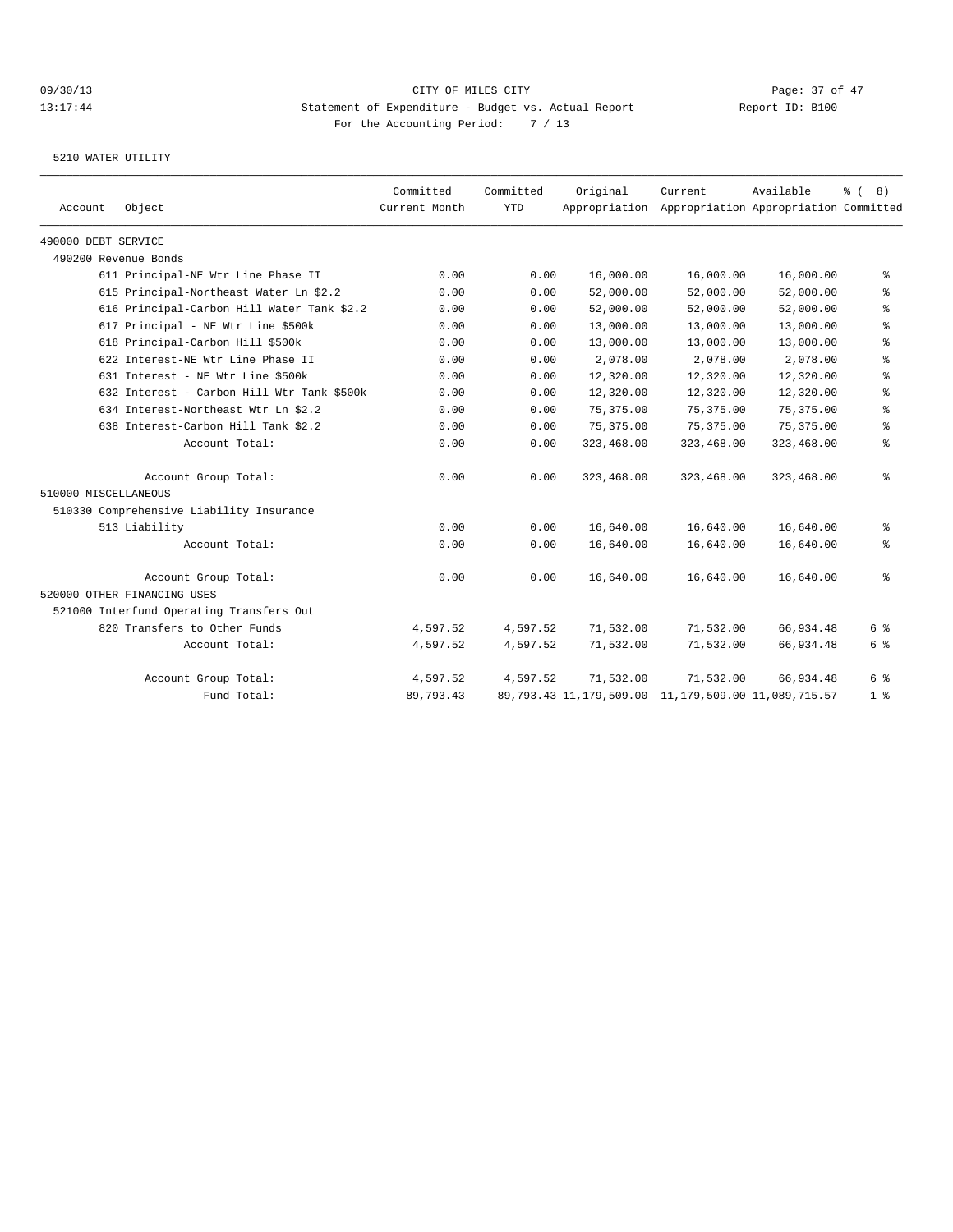|                      |                                            | Committed     | Committed  | Original                                                       | Current                                             | Available  | $\frac{6}{6}$ (<br>8)                    |
|----------------------|--------------------------------------------|---------------|------------|----------------------------------------------------------------|-----------------------------------------------------|------------|------------------------------------------|
| Account              | Object                                     | Current Month | <b>YTD</b> |                                                                | Appropriation Appropriation Appropriation Committed |            |                                          |
| 490000 DEBT SERVICE  |                                            |               |            |                                                                |                                                     |            |                                          |
|                      | 490200 Revenue Bonds                       |               |            |                                                                |                                                     |            |                                          |
|                      | 611 Principal-NE Wtr Line Phase II         | 0.00          | 0.00       | 16,000.00                                                      | 16,000.00                                           | 16,000.00  | နွ                                       |
|                      | 615 Principal-Northeast Water Ln \$2.2     | 0.00          | 0.00       | 52,000.00                                                      | 52,000.00                                           | 52,000.00  | နွ                                       |
|                      | 616 Principal-Carbon Hill Water Tank \$2.2 | 0.00          | 0.00       | 52,000.00                                                      | 52,000.00                                           | 52,000.00  | ៖                                        |
|                      | 617 Principal - NE Wtr Line \$500k         | 0.00          | 0.00       | 13,000.00                                                      | 13,000.00                                           | 13,000.00  | $\, \raisebox{0.6ex}{\scriptsize{*}} \,$ |
|                      | 618 Principal-Carbon Hill \$500k           | 0.00          | 0.00       | 13,000.00                                                      | 13,000.00                                           | 13,000.00  | $\, \raisebox{0.6ex}{\scriptsize{*}} \,$ |
|                      | 622 Interest-NE Wtr Line Phase II          | 0.00          | 0.00       | 2,078.00                                                       | 2,078.00                                            | 2,078.00   | နွ                                       |
|                      | 631 Interest - NE Wtr Line \$500k          | 0.00          | 0.00       | 12,320.00                                                      | 12,320.00                                           | 12,320.00  | နွ                                       |
|                      | 632 Interest - Carbon Hill Wtr Tank \$500k | 0.00          | 0.00       | 12,320.00                                                      | 12,320.00                                           | 12,320.00  | နွ                                       |
|                      | 634 Interest-Northeast Wtr Ln \$2.2        | 0.00          | 0.00       | 75, 375, 00                                                    | 75, 375, 00                                         | 75,375.00  | နွ                                       |
|                      | 638 Interest-Carbon Hill Tank \$2.2        | 0.00          | 0.00       | 75, 375.00                                                     | 75,375.00                                           | 75,375.00  | နွ                                       |
|                      | Account Total:                             | 0.00          | 0.00       | 323,468.00                                                     | 323,468.00                                          | 323,468.00 | နွ                                       |
|                      | Account Group Total:                       | 0.00          | 0.00       | 323,468.00                                                     | 323,468.00                                          | 323,468.00 | နွ                                       |
| 510000 MISCELLANEOUS |                                            |               |            |                                                                |                                                     |            |                                          |
|                      | 510330 Comprehensive Liability Insurance   |               |            |                                                                |                                                     |            |                                          |
|                      | 513 Liability                              | 0.00          | 0.00       | 16,640.00                                                      | 16,640.00                                           | 16,640.00  | နွ                                       |
|                      | Account Total:                             | 0.00          | 0.00       | 16,640.00                                                      | 16,640.00                                           | 16,640.00  | နွ                                       |
|                      | Account Group Total:                       | 0.00          | 0.00       | 16,640.00                                                      | 16,640.00                                           | 16,640.00  | နွ                                       |
|                      | 520000 OTHER FINANCING USES                |               |            |                                                                |                                                     |            |                                          |
|                      | 521000 Interfund Operating Transfers Out   |               |            |                                                                |                                                     |            |                                          |
|                      | 820 Transfers to Other Funds               | 4,597.52      | 4,597.52   | 71,532.00                                                      | 71,532.00                                           | 66,934.48  | 6 %                                      |
|                      | Account Total:                             | 4,597.52      | 4,597.52   | 71,532.00                                                      | 71,532.00                                           | 66,934.48  | 6 %                                      |
|                      | Account Group Total:                       | 4,597.52      | 4,597.52   | 71,532.00                                                      | 71,532.00                                           | 66,934.48  | 6 %                                      |
|                      | Fund Total:                                | 89,793.43     |            | 89, 793. 43 11, 179, 509. 00 11, 179, 509. 00 11, 089, 715. 57 |                                                     |            | 1 <sup>8</sup>                           |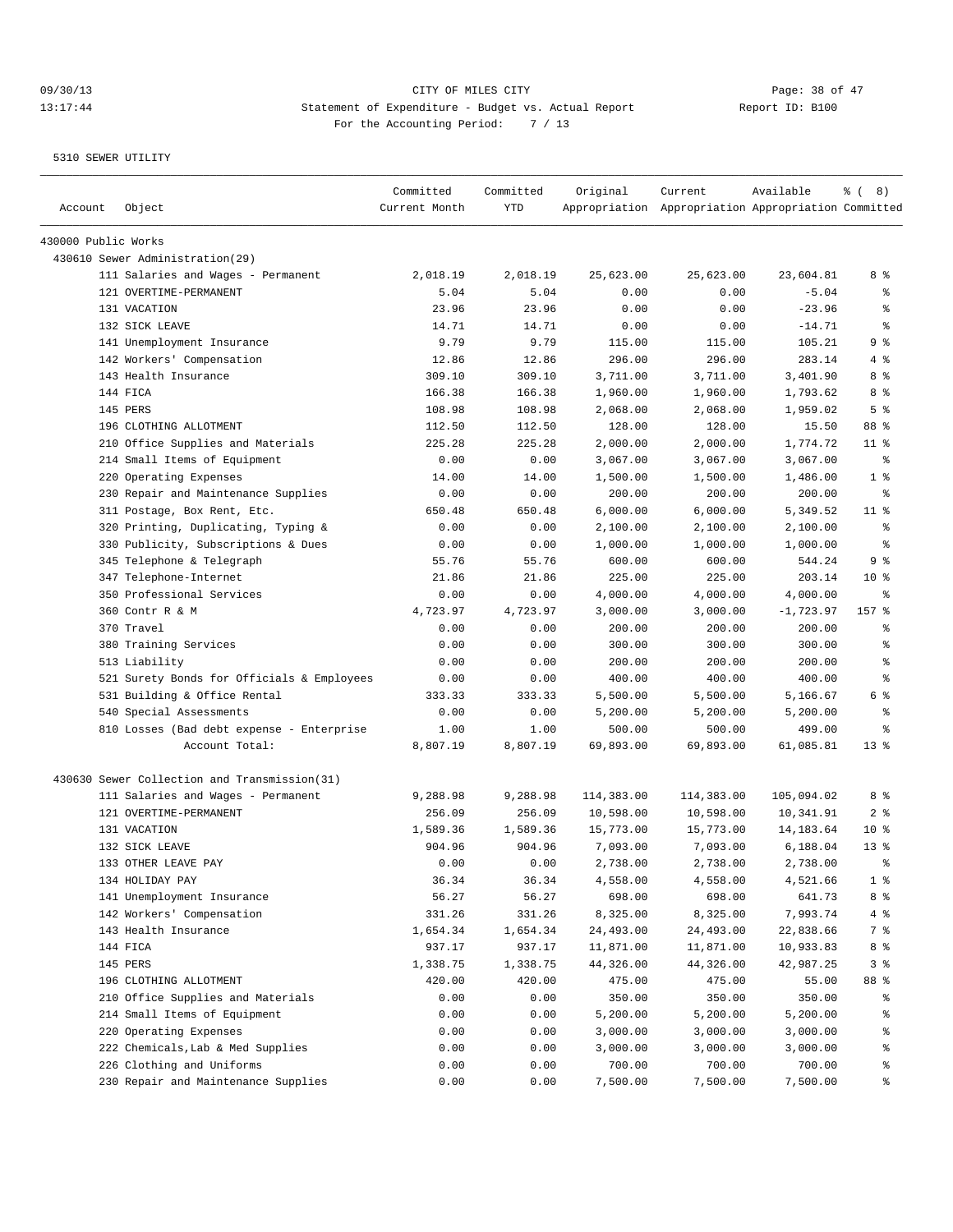| Account             | Object                                       | Committed<br>Current Month | Committed<br>YTD | Original   | Current<br>Appropriation Appropriation Appropriation Committed | Available    | $\frac{6}{6}$ ( 8) |
|---------------------|----------------------------------------------|----------------------------|------------------|------------|----------------------------------------------------------------|--------------|--------------------|
| 430000 Public Works |                                              |                            |                  |            |                                                                |              |                    |
|                     | 430610 Sewer Administration(29)              |                            |                  |            |                                                                |              |                    |
|                     | 111 Salaries and Wages - Permanent           | 2,018.19                   | 2,018.19         | 25,623.00  | 25,623.00                                                      | 23,604.81    | 8 %                |
|                     | 121 OVERTIME-PERMANENT                       | 5.04                       | 5.04             | 0.00       | 0.00                                                           | $-5.04$      | ್ಠಿ                |
|                     | 131 VACATION                                 | 23.96                      | 23.96            | 0.00       | 0.00                                                           | $-23.96$     | ి                  |
|                     | 132 SICK LEAVE                               | 14.71                      | 14.71            | 0.00       | 0.00                                                           | $-14.71$     | ి                  |
|                     | 141 Unemployment Insurance                   | 9.79                       | 9.79             | 115.00     | 115.00                                                         | 105.21       | 9 <sup>°</sup>     |
|                     | 142 Workers' Compensation                    | 12.86                      | 12.86            | 296.00     | 296.00                                                         | 283.14       | 4%                 |
|                     | 143 Health Insurance                         | 309.10                     | 309.10           | 3,711.00   | 3,711.00                                                       | 3,401.90     | 8 %                |
|                     | 144 FICA                                     | 166.38                     | 166.38           | 1,960.00   | 1,960.00                                                       | 1,793.62     | 8 %                |
|                     | 145 PERS                                     | 108.98                     | 108.98           | 2,068.00   | 2,068.00                                                       | 1,959.02     | 5 <sup>°</sup>     |
|                     | 196 CLOTHING ALLOTMENT                       | 112.50                     | 112.50           | 128.00     | 128.00                                                         | 15.50        | 88 %               |
|                     | 210 Office Supplies and Materials            | 225.28                     | 225.28           | 2,000.00   | 2,000.00                                                       | 1,774.72     | $11$ %             |
|                     | 214 Small Items of Equipment                 | 0.00                       | 0.00             | 3,067.00   | 3,067.00                                                       | 3,067.00     | နွ                 |
|                     | 220 Operating Expenses                       | 14.00                      | 14.00            | 1,500.00   | 1,500.00                                                       | 1,486.00     | 1 <sup>°</sup>     |
|                     | 230 Repair and Maintenance Supplies          | 0.00                       | 0.00             | 200.00     | 200.00                                                         | 200.00       | ႜ                  |
|                     | 311 Postage, Box Rent, Etc.                  | 650.48                     | 650.48           | 6,000.00   | 6,000.00                                                       | 5,349.52     | $11$ %             |
|                     | 320 Printing, Duplicating, Typing &          | 0.00                       | 0.00             | 2,100.00   | 2,100.00                                                       | 2,100.00     | ႜ                  |
|                     | 330 Publicity, Subscriptions & Dues          | 0.00                       | 0.00             | 1,000.00   | 1,000.00                                                       | 1,000.00     | နွ                 |
|                     | 345 Telephone & Telegraph                    | 55.76                      | 55.76            | 600.00     | 600.00                                                         | 544.24       | 9%                 |
|                     | 347 Telephone-Internet                       | 21.86                      | 21.86            | 225.00     | 225.00                                                         | 203.14       | $10*$              |
|                     | 350 Professional Services                    | 0.00                       | 0.00             | 4,000.00   | 4,000.00                                                       | 4,000.00     | နွ                 |
|                     | 360 Contr R & M                              | 4,723.97                   | 4,723.97         | 3,000.00   | 3,000.00                                                       | $-1, 723.97$ | 157 %              |
|                     | 370 Travel                                   | 0.00                       | 0.00             | 200.00     | 200.00                                                         | 200.00       | န္                 |
|                     | 380 Training Services                        | 0.00                       | 0.00             | 300.00     | 300.00                                                         | 300.00       | ి                  |
|                     | 513 Liability                                | 0.00                       | 0.00             | 200.00     | 200.00                                                         | 200.00       | ి                  |
|                     | 521 Surety Bonds for Officials & Employees   | 0.00                       | 0.00             | 400.00     | 400.00                                                         | 400.00       | ి                  |
|                     | 531 Building & Office Rental                 | 333.33                     | 333.33           | 5,500.00   | 5,500.00                                                       | 5,166.67     | 6 %                |
|                     | 540 Special Assessments                      | 0.00                       | 0.00             | 5,200.00   | 5,200.00                                                       | 5,200.00     | $\,{}^{\circ}\!$   |
|                     | 810 Losses (Bad debt expense - Enterprise    | 1.00                       | 1.00             | 500.00     | 500.00                                                         | 499.00       | ႜ                  |
|                     | Account Total:                               | 8,807.19                   | 8,807.19         | 69,893.00  | 69,893.00                                                      | 61,085.81    | $13*$              |
|                     | 430630 Sewer Collection and Transmission(31) |                            |                  |            |                                                                |              |                    |
|                     | 111 Salaries and Wages - Permanent           | 9,288.98                   | 9,288.98         | 114,383.00 | 114,383.00                                                     | 105,094.02   | 8 %                |
|                     | 121 OVERTIME-PERMANENT                       | 256.09                     | 256.09           | 10,598.00  | 10,598.00                                                      | 10,341.91    | 2 <sup>8</sup>     |
|                     | 131 VACATION                                 | 1,589.36                   | 1,589.36         | 15,773.00  | 15,773.00                                                      | 14, 183.64   | $10*$              |
|                     | 132 SICK LEAVE                               | 904.96                     | 904.96           | 7,093.00   | 7,093.00                                                       | 6,188.04     | $13*$              |
|                     | 133 OTHER LEAVE PAY                          | 0.00                       | 0.00             | 2,738.00   | 2,738.00                                                       | 2,738.00     | ÷                  |
|                     | 134 HOLIDAY PAY                              | 36.34                      | 36.34            | 4,558.00   | 4,558.00                                                       | 4,521.66     | 1 <sup>8</sup>     |
|                     | 141 Unemployment Insurance                   | 56.27                      | 56.27            | 698.00     | 698.00                                                         | 641.73       | 8 %                |
|                     | 142 Workers' Compensation                    | 331.26                     | 331.26           | 8,325.00   | 8,325.00                                                       | 7,993.74     | $4\degree$         |
|                     | 143 Health Insurance                         | 1,654.34                   | 1,654.34         | 24,493.00  | 24,493.00                                                      | 22,838.66    | 7 %                |
|                     | 144 FICA                                     | 937.17                     | 937.17           | 11,871.00  | 11,871.00                                                      | 10,933.83    | 8 %                |
|                     | 145 PERS                                     | 1,338.75                   | 1,338.75         | 44,326.00  | 44,326.00                                                      | 42,987.25    | 3 %                |
|                     | 196 CLOTHING ALLOTMENT                       | 420.00                     | 420.00           | 475.00     | 475.00                                                         | 55.00        | 88 %               |
|                     | 210 Office Supplies and Materials            | 0.00                       | 0.00             | 350.00     | 350.00                                                         | 350.00       | ွေ                 |
|                     | 214 Small Items of Equipment                 | 0.00                       | 0.00             | 5,200.00   | 5,200.00                                                       | 5,200.00     | ႜွ                 |
|                     | 220 Operating Expenses                       | 0.00                       | 0.00             | 3,000.00   | 3,000.00                                                       | 3,000.00     | ႜွ                 |
|                     | 222 Chemicals, Lab & Med Supplies            | 0.00                       | 0.00             | 3,000.00   | 3,000.00                                                       | 3,000.00     | ိင                 |
|                     | 226 Clothing and Uniforms                    | 0.00                       | 0.00             | 700.00     | 700.00                                                         | 700.00       | ွေ                 |
|                     | 230 Repair and Maintenance Supplies          | 0.00                       | 0.00             | 7,500.00   | 7,500.00                                                       | 7,500.00     | ွေ                 |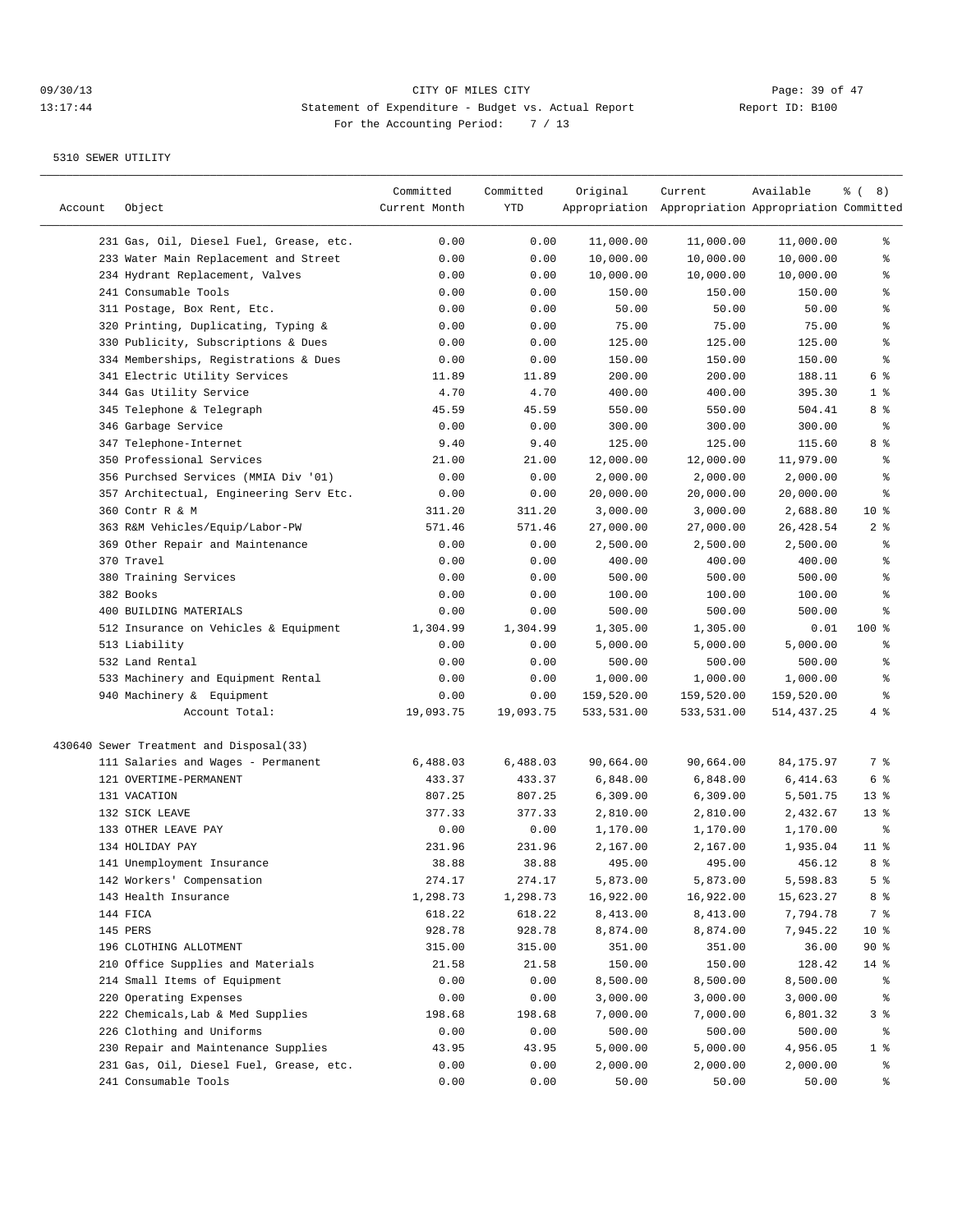## 09/30/13 Page: 39 of 47 13:17:44 Statement of Expenditure - Budget vs. Actual Report Changer Report ID: B100 For the Accounting Period: 7 / 13

| Account | Object                                                                   | Committed<br>Current Month | Committed<br>YTD | Original            | Current<br>Appropriation Appropriation Appropriation Committed | Available              | <sub>ර</sub> ි (8) |
|---------|--------------------------------------------------------------------------|----------------------------|------------------|---------------------|----------------------------------------------------------------|------------------------|--------------------|
|         |                                                                          |                            |                  |                     |                                                                |                        |                    |
|         | 231 Gas, Oil, Diesel Fuel, Grease, etc.                                  | 0.00                       | 0.00             | 11,000.00           | 11,000.00                                                      | 11,000.00              | ွေ<br>ి            |
|         | 233 Water Main Replacement and Street<br>234 Hydrant Replacement, Valves | 0.00<br>0.00               | 0.00<br>0.00     | 10,000.00           | 10,000.00<br>10,000.00                                         | 10,000.00<br>10,000.00 | န္                 |
|         | 241 Consumable Tools                                                     | 0.00                       | 0.00             | 10,000.00<br>150.00 | 150.00                                                         |                        | န္                 |
|         |                                                                          |                            |                  | 50.00               | 50.00                                                          | 150.00                 | $\,$ %             |
|         | 311 Postage, Box Rent, Etc.<br>320 Printing, Duplicating, Typing &       | 0.00                       | 0.00             |                     |                                                                | 50.00                  | $\,$ %             |
|         | 330 Publicity, Subscriptions & Dues                                      | 0.00                       | 0.00             | 75.00               | 75.00                                                          | 75.00                  | $\,$ $\,$ $\,$     |
|         |                                                                          | 0.00<br>0.00               | 0.00<br>0.00     | 125.00<br>150.00    | 125.00                                                         | 125.00                 | န္                 |
|         | 334 Memberships, Registrations & Dues                                    | 11.89                      |                  | 200.00              | 150.00<br>200.00                                               | 150.00<br>188.11       | 6 %                |
|         | 341 Electric Utility Services<br>344 Gas Utility Service                 | 4.70                       | 11.89<br>4.70    | 400.00              | 400.00                                                         | 395.30                 | 1 <sup>°</sup>     |
|         | 345 Telephone & Telegraph                                                |                            |                  |                     |                                                                |                        | 8 %                |
|         |                                                                          | 45.59<br>0.00              | 45.59<br>0.00    | 550.00              | 550.00                                                         | 504.41                 | နွ                 |
|         | 346 Garbage Service                                                      | 9.40                       | 9.40             | 300.00<br>125.00    | 300.00                                                         | 300.00                 | 8 %                |
|         | 347 Telephone-Internet<br>350 Professional Services                      | 21.00                      |                  | 12,000.00           | 125.00<br>12,000.00                                            | 115.60                 | န္                 |
|         |                                                                          |                            | 21.00            |                     |                                                                | 11,979.00<br>2,000.00  | န္                 |
|         | 356 Purchsed Services (MMIA Div '01)                                     | 0.00                       | 0.00             | 2,000.00            | 2,000.00                                                       |                        |                    |
|         | 357 Architectual, Engineering Serv Etc.                                  | 0.00                       | 0.00             | 20,000.00           | 20,000.00                                                      | 20,000.00              | ి                  |
|         | 360 Contr R & M                                                          | 311.20                     | 311.20           | 3,000.00            | 3,000.00                                                       | 2,688.80               | $10*$              |
|         | 363 R&M Vehicles/Equip/Labor-PW                                          | 571.46                     | 571.46           | 27,000.00           | 27,000.00                                                      | 26,428.54              | 2 <sup>°</sup>     |
|         | 369 Other Repair and Maintenance                                         | 0.00                       | 0.00             | 2,500.00            | 2,500.00                                                       | 2,500.00               | န္                 |
|         | 370 Travel                                                               | 0.00                       | 0.00             | 400.00              | 400.00                                                         | 400.00                 | န္                 |
|         | 380 Training Services                                                    | 0.00                       | 0.00             | 500.00              | 500.00                                                         | 500.00                 | န္                 |
|         | 382 Books                                                                | 0.00                       | 0.00             | 100.00              | 100.00                                                         | 100.00                 | ి                  |
|         | 400 BUILDING MATERIALS                                                   | 0.00                       | 0.00             | 500.00              | 500.00                                                         | 500.00                 | နွ                 |
|         | 512 Insurance on Vehicles & Equipment                                    | 1,304.99                   | 1,304.99         | 1,305.00            | 1,305.00                                                       | 0.01                   | $100$ %            |
|         | 513 Liability                                                            | 0.00                       | 0.00             | 5,000.00            | 5,000.00                                                       | 5,000.00               | န္                 |
|         | 532 Land Rental                                                          | 0.00                       | 0.00             | 500.00              | 500.00                                                         | 500.00                 | ి                  |
|         | 533 Machinery and Equipment Rental                                       | 0.00                       | 0.00             | 1,000.00            | 1,000.00                                                       | 1,000.00               | ి                  |
|         | 940 Machinery & Equipment                                                | 0.00                       | 0.00             | 159,520.00          | 159,520.00                                                     | 159,520.00             | ႜွ                 |
|         | Account Total:                                                           | 19,093.75                  | 19,093.75        | 533,531.00          | 533,531.00                                                     | 514,437.25             | 4%                 |
|         | 430640 Sewer Treatment and Disposal(33)                                  |                            |                  |                     |                                                                |                        |                    |
|         | 111 Salaries and Wages - Permanent                                       | 6,488.03                   | 6,488.03         | 90,664.00           | 90,664.00                                                      | 84,175.97              | 7 %                |
|         | 121 OVERTIME-PERMANENT                                                   | 433.37                     | 433.37           | 6,848.00            | 6,848.00                                                       | 6,414.63               | 6 %                |
|         | 131 VACATION                                                             | 807.25                     | 807.25           | 6,309.00            | 6,309.00                                                       | 5,501.75               | 13 <sup>8</sup>    |
|         | 132 SICK LEAVE                                                           | 377.33                     | 377.33           | 2,810.00            | 2,810.00                                                       | 2,432.67               | $13*$              |
|         | 133 OTHER LEAVE PAY                                                      | 0.00                       | 0.00             | 1,170.00            | 1,170.00                                                       | 1,170.00               | ႜ                  |
|         | 134 HOLIDAY PAY                                                          | 231.96                     | 231.96           | 2,167.00            | 2,167.00                                                       | 1,935.04               | $11$ %             |
|         | 141 Unemployment Insurance                                               | 38.88                      | 38.88            | 495.00              | 495.00                                                         | 456.12                 | 8 %                |
|         | 142 Workers' Compensation                                                | 274.17                     | 274.17           | 5,873.00            | 5,873.00                                                       | 5,598.83               | 5 %                |
|         | 143 Health Insurance                                                     | 1,298.73                   | 1,298.73         | 16,922.00           | 16,922.00                                                      | 15,623.27              | 8 %                |
|         | 144 FICA                                                                 | 618.22                     | 618.22           | 8,413.00            | 8,413.00                                                       | 7,794.78               | 7 %                |
|         | 145 PERS                                                                 | 928.78                     | 928.78           | 8,874.00            | 8,874.00                                                       | 7,945.22               | 10 <sup>°</sup>    |
|         | 196 CLOTHING ALLOTMENT                                                   | 315.00                     | 315.00           | 351.00              | 351.00                                                         | 36.00                  | $90*$              |
|         | 210 Office Supplies and Materials                                        | 21.58                      | 21.58            | 150.00              | 150.00                                                         | 128.42                 | $14$ %             |
|         | 214 Small Items of Equipment                                             | 0.00                       | 0.00             | 8,500.00            | 8,500.00                                                       | 8,500.00               | ႜૢ                 |
|         | 220 Operating Expenses                                                   | 0.00                       | 0.00             | 3,000.00            | 3,000.00                                                       | 3,000.00               | ి                  |
|         | 222 Chemicals, Lab & Med Supplies                                        | 198.68                     | 198.68           | 7,000.00            | 7,000.00                                                       | 6,801.32               | 3 %                |
|         | 226 Clothing and Uniforms                                                | 0.00                       | 0.00             | 500.00              | 500.00                                                         | 500.00                 | ွေ                 |
|         | 230 Repair and Maintenance Supplies                                      | 43.95                      | 43.95            | 5,000.00            | 5,000.00                                                       | 4,956.05               | 1 <sup>8</sup>     |
|         | 231 Gas, Oil, Diesel Fuel, Grease, etc.                                  | 0.00                       | 0.00             | 2,000.00            | 2,000.00                                                       | 2,000.00               | ွေ                 |
|         | 241 Consumable Tools                                                     | 0.00                       | 0.00             | 50.00               | 50.00                                                          | 50.00                  | ွေ                 |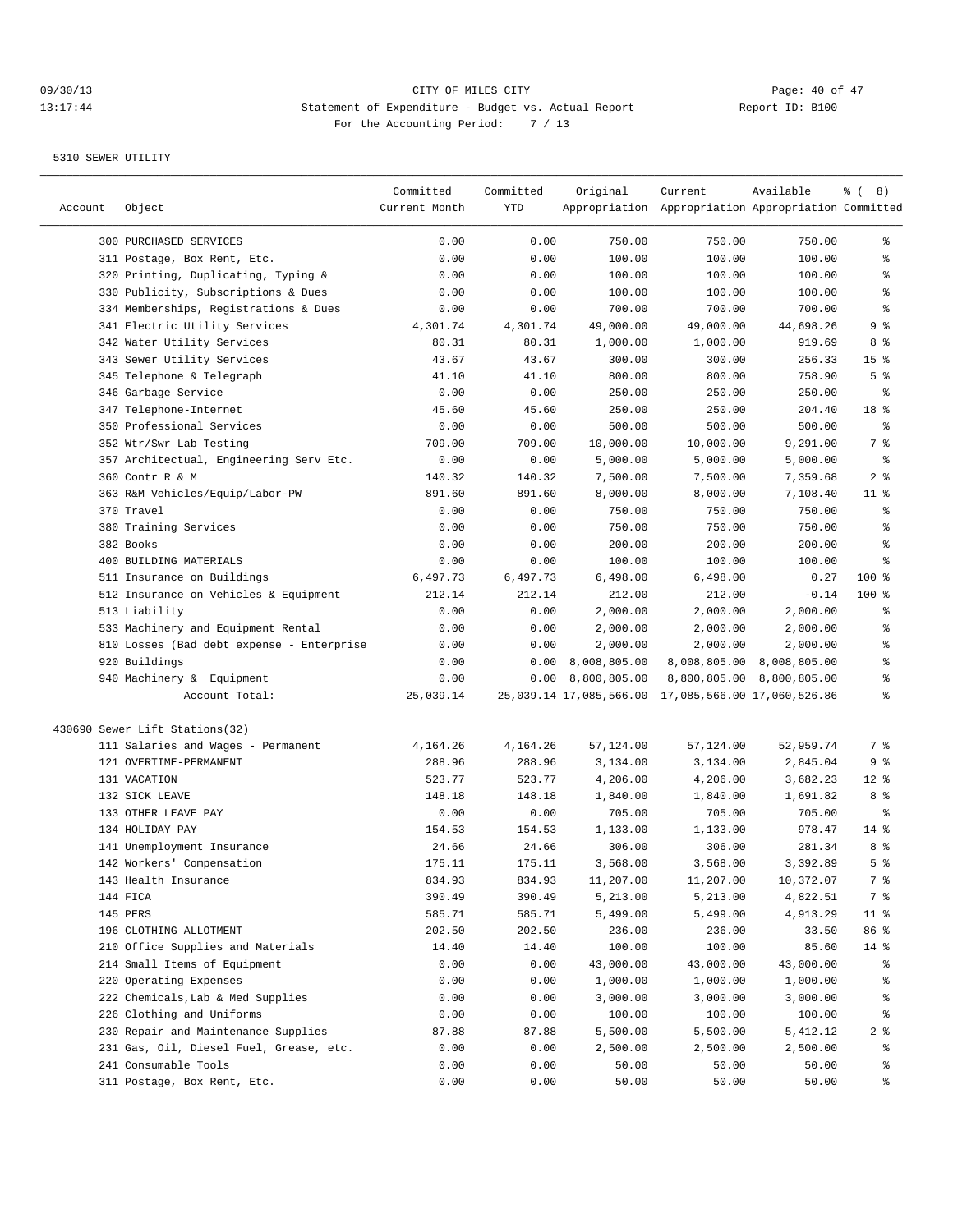|         |                                           | Committed     | Committed | Original                | Current                                             | Available                 | <sub>ර</sub> ි (8) |
|---------|-------------------------------------------|---------------|-----------|-------------------------|-----------------------------------------------------|---------------------------|--------------------|
| Account | Object                                    | Current Month | YTD       |                         | Appropriation Appropriation Appropriation Committed |                           |                    |
|         | 300 PURCHASED SERVICES                    | 0.00          | 0.00      | 750.00                  | 750.00                                              | 750.00                    | ွေ                 |
|         | 311 Postage, Box Rent, Etc.               | 0.00          | 0.00      | 100.00                  | 100.00                                              | 100.00                    | ి                  |
|         | 320 Printing, Duplicating, Typing &       | 0.00          | 0.00      | 100.00                  | 100.00                                              | 100.00                    | ႜွ                 |
|         | 330 Publicity, Subscriptions & Dues       | 0.00          | 0.00      | 100.00                  | 100.00                                              | 100.00                    | န္                 |
|         | 334 Memberships, Registrations & Dues     | 0.00          | 0.00      | 700.00                  | 700.00                                              | 700.00                    | န္                 |
|         | 341 Electric Utility Services             | 4,301.74      | 4,301.74  | 49,000.00               | 49,000.00                                           | 44,698.26                 | 9 %                |
|         | 342 Water Utility Services                | 80.31         | 80.31     | 1,000.00                | 1,000.00                                            | 919.69                    | 8 %                |
|         | 343 Sewer Utility Services                | 43.67         | 43.67     | 300.00                  | 300.00                                              | 256.33                    | 15 <sup>°</sup>    |
|         | 345 Telephone & Telegraph                 | 41.10         | 41.10     | 800.00                  | 800.00                                              | 758.90                    | 5 <sup>°</sup>     |
|         | 346 Garbage Service                       | 0.00          | 0.00      | 250.00                  | 250.00                                              | 250.00                    | ႜ                  |
|         | 347 Telephone-Internet                    | 45.60         | 45.60     | 250.00                  | 250.00                                              | 204.40                    | 18 %               |
|         | 350 Professional Services                 | 0.00          | 0.00      | 500.00                  | 500.00                                              | 500.00                    | နွ                 |
|         | 352 Wtr/Swr Lab Testing                   | 709.00        | 709.00    | 10,000.00               | 10,000.00                                           | 9,291.00                  | 7 %                |
|         | 357 Architectual, Engineering Serv Etc.   | 0.00          | 0.00      | 5,000.00                | 5,000.00                                            | 5,000.00                  | နွ                 |
|         | 360 Contr R & M                           | 140.32        | 140.32    | 7,500.00                | 7,500.00                                            | 7,359.68                  | 2 <sup>8</sup>     |
|         | 363 R&M Vehicles/Equip/Labor-PW           | 891.60        | 891.60    | 8,000.00                | 8,000.00                                            | 7,108.40                  | $11$ %             |
|         | 370 Travel                                | 0.00          | 0.00      | 750.00                  | 750.00                                              | 750.00                    | န္                 |
|         | 380 Training Services                     | 0.00          | 0.00      | 750.00                  | 750.00                                              | 750.00                    | နွ                 |
|         | 382 Books                                 | 0.00          | 0.00      | 200.00                  | 200.00                                              | 200.00                    | $\,{}^{\circ}\!$   |
|         | 400 BUILDING MATERIALS                    | 0.00          | 0.00      | 100.00                  | 100.00                                              | 100.00                    | ి                  |
|         | 511 Insurance on Buildings                | 6,497.73      | 6,497.73  | 6,498.00                | 6,498.00                                            | 0.27                      | 100 %              |
|         | 512 Insurance on Vehicles & Equipment     | 212.14        | 212.14    | 212.00                  | 212.00                                              | $-0.14$                   | $100$ %            |
|         | 513 Liability                             | 0.00          | 0.00      | 2,000.00                | 2,000.00                                            | 2,000.00                  | ႜ                  |
|         | 533 Machinery and Equipment Rental        | 0.00          | 0.00      | 2,000.00                | 2,000.00                                            | 2,000.00                  | န္                 |
|         | 810 Losses (Bad debt expense - Enterprise | 0.00          | 0.00      | 2,000.00                | 2,000.00                                            | 2,000.00                  | န္                 |
|         | 920 Buildings                             | 0.00          | 0.00      | 8,008,805.00            |                                                     | 8,008,805.00 8,008,805.00 | ి                  |
|         | 940 Machinery & Equipment                 | 0.00          | 0.00      | 8,800,805.00            |                                                     | 8,800,805.00 8,800,805.00 | ి                  |
|         | Account Total:                            | 25,039.14     |           | 25,039.14 17,085,566.00 | 17,085,566.00 17,060,526.86                         |                           | ి                  |
|         | 430690 Sewer Lift Stations(32)            |               |           |                         |                                                     |                           |                    |
|         | 111 Salaries and Wages - Permanent        | 4,164.26      | 4,164.26  | 57,124.00               | 57,124.00                                           | 52,959.74                 | 7 %                |
|         | 121 OVERTIME-PERMANENT                    | 288.96        | 288.96    | 3,134.00                | 3,134.00                                            | 2,845.04                  | 9 %                |
|         | 131 VACATION                              | 523.77        | 523.77    | 4,206.00                | 4,206.00                                            | 3,682.23                  | $12*$              |
|         | 132 SICK LEAVE                            | 148.18        | 148.18    | 1,840.00                | 1,840.00                                            | 1,691.82                  | 8 %                |
|         | 133 OTHER LEAVE PAY                       | 0.00          | 0.00      | 705.00                  | 705.00                                              | 705.00                    | နွ                 |
|         | 134 HOLIDAY PAY                           | 154.53        | 154.53    | 1,133.00                | 1,133.00                                            | 978.47                    | $14$ %             |
|         | 141 Unemployment Insurance                | 24.66         | 24.66     | 306.00                  | 306.00                                              | 281.34                    | 8 %                |
|         | 142 Workers' Compensation                 | 175.11        | 175.11    | 3,568.00                | 3,568.00                                            | 3,392.89                  | 5 <sup>8</sup>     |
|         | 143 Health Insurance                      | 834.93        | 834.93    | 11,207.00               | 11,207.00                                           | 10,372.07                 | 7 %                |
|         | 144 FICA                                  | 390.49        | 390.49    | 5,213.00                | 5,213.00                                            | 4,822.51                  | 7 %                |
|         | 145 PERS                                  | 585.71        | 585.71    | 5,499.00                | 5,499.00                                            | 4,913.29                  | 11 <sub>8</sub>    |
|         | 196 CLOTHING ALLOTMENT                    | 202.50        | 202.50    | 236.00                  | 236.00                                              | 33.50                     | 86 %               |
|         | 210 Office Supplies and Materials         | 14.40         | 14.40     | 100.00                  | 100.00                                              | 85.60                     | $14$ %             |
|         | 214 Small Items of Equipment              | 0.00          | 0.00      | 43,000.00               | 43,000.00                                           | 43,000.00                 | ိင                 |
|         | 220 Operating Expenses                    | 0.00          | 0.00      | 1,000.00                | 1,000.00                                            | 1,000.00                  | ိင                 |
|         | 222 Chemicals, Lab & Med Supplies         | 0.00          | 0.00      | 3,000.00                | 3,000.00                                            | 3,000.00                  | ွေ                 |
|         | 226 Clothing and Uniforms                 | 0.00          | 0.00      | 100.00                  | 100.00                                              | 100.00                    | ွေ                 |
|         | 230 Repair and Maintenance Supplies       | 87.88         | 87.88     | 5,500.00                | 5,500.00                                            | 5,412.12                  | 2 <sub>8</sub>     |
|         | 231 Gas, Oil, Diesel Fuel, Grease, etc.   | 0.00          | 0.00      | 2,500.00                | 2,500.00                                            | 2,500.00                  | ွေ                 |
|         | 241 Consumable Tools                      | 0.00          | 0.00      | 50.00                   | 50.00                                               | 50.00                     | ွေ                 |
|         | 311 Postage, Box Rent, Etc.               | 0.00          | 0.00      | 50.00                   | 50.00                                               | 50.00                     | ွေ                 |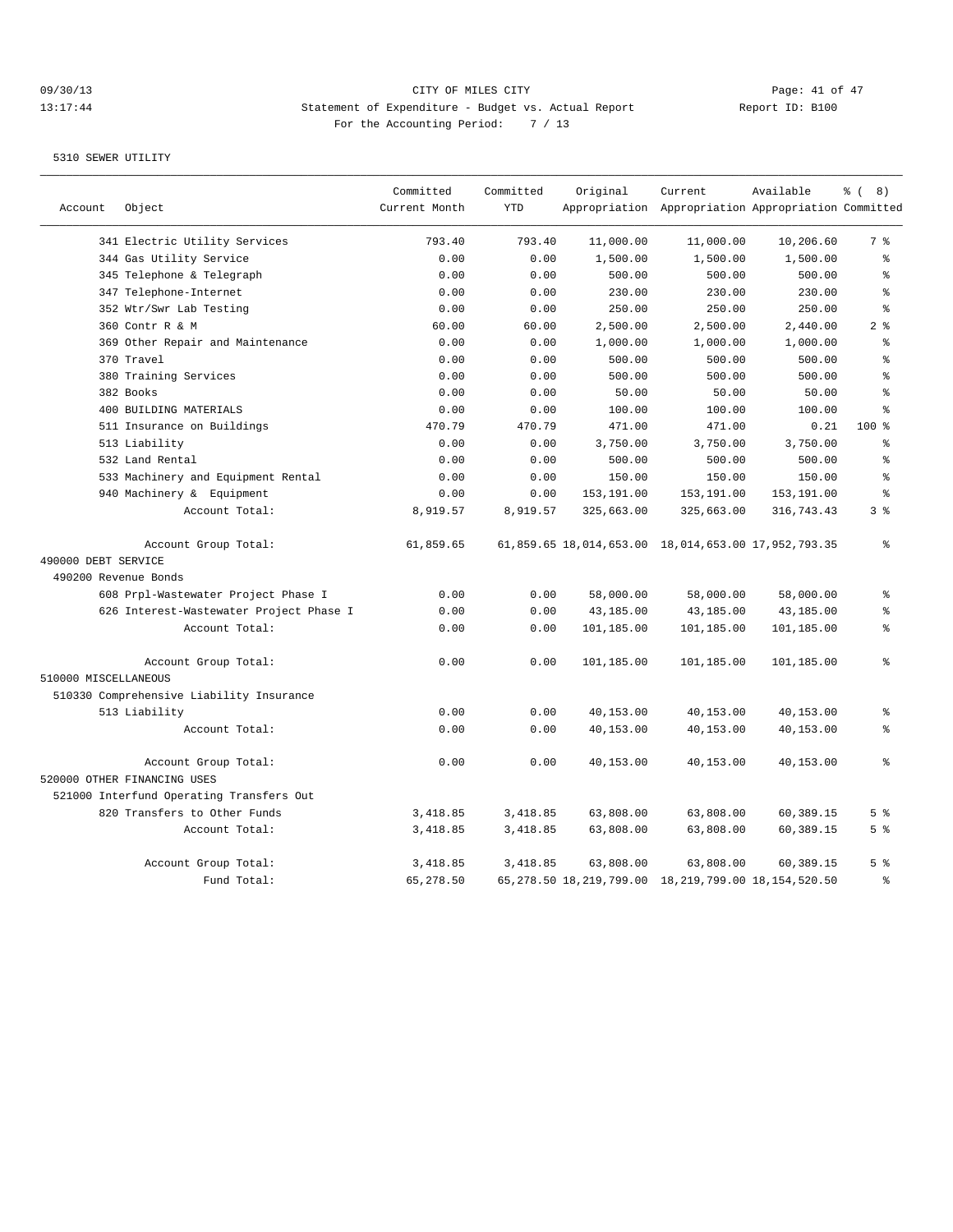## 09/30/13 Page: 41 of 47 13:17:44 Statement of Expenditure - Budget vs. Actual Report Changer Report ID: B100 For the Accounting Period: 7 / 13

|                      |                                          | Committed     | Committed  | Original   | Current                                                    | Available  | $\frac{6}{6}$ ( 8) |
|----------------------|------------------------------------------|---------------|------------|------------|------------------------------------------------------------|------------|--------------------|
| Account              | Object                                   | Current Month | <b>YTD</b> |            | Appropriation Appropriation Appropriation Committed        |            |                    |
|                      | 341 Electric Utility Services            | 793.40        | 793.40     | 11,000.00  | 11,000.00                                                  | 10,206.60  | 7 %                |
|                      | 344 Gas Utility Service                  | 0.00          | 0.00       | 1,500.00   | 1,500.00                                                   | 1,500.00   | ి                  |
|                      | 345 Telephone & Telegraph                | 0.00          | 0.00       | 500.00     | 500.00                                                     | 500.00     | န္                 |
|                      | 347 Telephone-Internet                   | 0.00          | 0.00       | 230.00     | 230.00                                                     | 230.00     | $\approx$          |
|                      | 352 Wtr/Swr Lab Testing                  | 0.00          | 0.00       | 250.00     | 250.00                                                     | 250.00     | $\approx$          |
|                      | 360 Contr R & M                          | 60.00         | 60.00      | 2,500.00   | 2,500.00                                                   | 2,440.00   | 2 <sup>8</sup>     |
|                      | 369 Other Repair and Maintenance         | 0.00          | 0.00       | 1,000.00   | 1,000.00                                                   | 1,000.00   | န္                 |
|                      | 370 Travel                               | 0.00          | 0.00       | 500.00     | 500.00                                                     | 500.00     | န္                 |
|                      | 380 Training Services                    | 0.00          | 0.00       | 500.00     | 500.00                                                     | 500.00     | န္                 |
|                      | 382 Books                                | 0.00          | 0.00       | 50.00      | 50.00                                                      | 50.00      | $\approx$          |
|                      | 400 BUILDING MATERIALS                   | 0.00          | 0.00       | 100.00     | 100.00                                                     | 100.00     | $\approx$          |
|                      | 511 Insurance on Buildings               | 470.79        | 470.79     | 471.00     | 471.00                                                     | 0.21       | 100 %              |
|                      | 513 Liability                            | 0.00          | 0.00       | 3,750.00   | 3,750.00                                                   | 3,750.00   | န္                 |
|                      | 532 Land Rental                          | 0.00          | 0.00       | 500.00     | 500.00                                                     | 500.00     | ి                  |
|                      | 533 Machinery and Equipment Rental       | 0.00          | 0.00       | 150.00     | 150.00                                                     | 150.00     | န္                 |
|                      | 940 Machinery & Equipment                | 0.00          | 0.00       | 153,191.00 | 153,191.00                                                 | 153,191.00 | $\approx$          |
|                      | Account Total:                           | 8,919.57      | 8,919.57   | 325,663.00 | 325,663.00                                                 | 316,743.43 | 3 <sup>8</sup>     |
|                      | Account Group Total:                     | 61,859.65     |            |            | 61,859.65 18,014,653.00 18,014,653.00 17,952,793.35        |            | ٥R                 |
| 490000 DEBT SERVICE  |                                          |               |            |            |                                                            |            |                    |
| 490200 Revenue Bonds |                                          |               |            |            |                                                            |            |                    |
|                      | 608 Prpl-Wastewater Project Phase I      | 0.00          | 0.00       | 58,000.00  | 58,000.00                                                  | 58,000.00  | ⊱                  |
|                      | 626 Interest-Wastewater Project Phase I  | 0.00          | 0.00       | 43,185.00  | 43,185.00                                                  | 43,185.00  | ి                  |
|                      | Account Total:                           | 0.00          | 0.00       | 101,185.00 | 101,185.00                                                 | 101,185.00 | $\,$ %             |
|                      | Account Group Total:                     | 0.00          | 0.00       | 101,185.00 | 101,185.00                                                 | 101,185.00 | ៖                  |
| 510000 MISCELLANEOUS |                                          |               |            |            |                                                            |            |                    |
|                      | 510330 Comprehensive Liability Insurance |               |            |            |                                                            |            |                    |
|                      | 513 Liability                            | 0.00          | 0.00       | 40,153.00  | 40,153.00                                                  | 40,153.00  | ి                  |
|                      | Account Total:                           | 0.00          | 0.00       | 40,153.00  | 40,153.00                                                  | 40,153.00  | ៖                  |
|                      | Account Group Total:                     | 0.00          | 0.00       | 40,153.00  | 40,153.00                                                  | 40,153.00  | ి                  |
|                      | 520000 OTHER FINANCING USES              |               |            |            |                                                            |            |                    |
|                      | 521000 Interfund Operating Transfers Out |               |            |            |                                                            |            |                    |
|                      | 820 Transfers to Other Funds             | 3,418.85      | 3,418.85   | 63,808.00  | 63,808.00                                                  | 60,389.15  | 5 <sup>°</sup>     |
|                      | Account Total:                           | 3,418.85      | 3,418.85   | 63,808.00  | 63,808.00                                                  | 60,389.15  | 5 <sup>8</sup>     |
|                      | Account Group Total:                     | 3,418.85      | 3,418.85   | 63,808.00  | 63,808.00                                                  | 60,389.15  | 5 <sup>8</sup>     |
|                      | Fund Total:                              | 65,278.50     |            |            | 65, 278.50 18, 219, 799.00 18, 219, 799.00 18, 154, 520.50 |            | န္                 |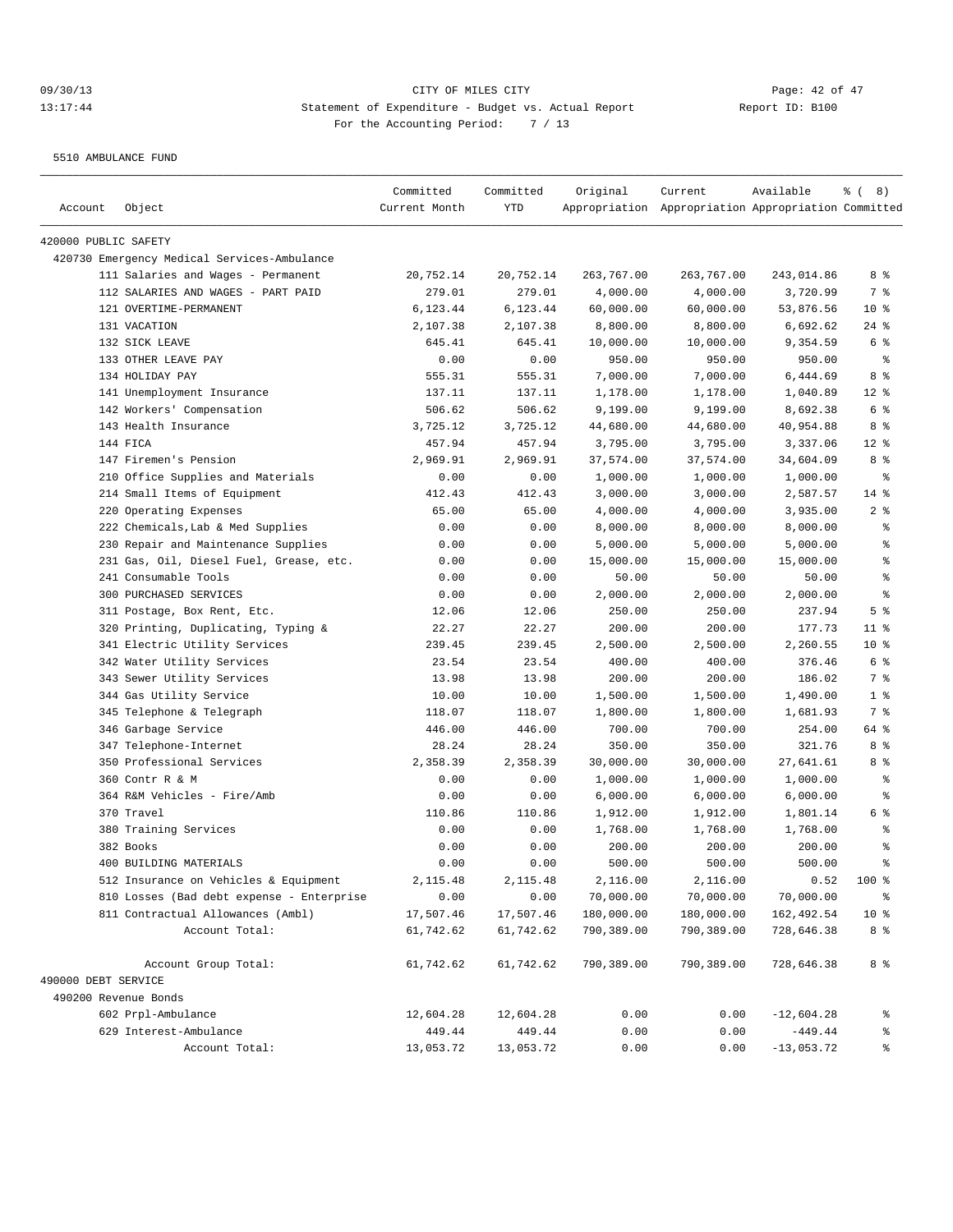5510 AMBULANCE FUND

| Account              | Object                                      | Committed<br>Current Month | Committed<br>YTD | Original   | Current<br>Appropriation Appropriation Appropriation Committed | Available    | <sub>ර</sub> 8) |
|----------------------|---------------------------------------------|----------------------------|------------------|------------|----------------------------------------------------------------|--------------|-----------------|
| 420000 PUBLIC SAFETY |                                             |                            |                  |            |                                                                |              |                 |
|                      | 420730 Emergency Medical Services-Ambulance |                            |                  |            |                                                                |              |                 |
|                      | 111 Salaries and Wages - Permanent          | 20,752.14                  | 20,752.14        | 263,767.00 | 263,767.00                                                     | 243,014.86   | 8%              |
|                      | 112 SALARIES AND WAGES - PART PAID          | 279.01                     | 279.01           | 4,000.00   | 4,000.00                                                       | 3,720.99     | 7 %             |
|                      | 121 OVERTIME-PERMANENT                      | 6,123.44                   | 6,123.44         | 60,000.00  | 60,000.00                                                      | 53,876.56    | $10*$           |
|                      | 131 VACATION                                | 2,107.38                   | 2,107.38         | 8,800.00   | 8,800.00                                                       | 6,692.62     | $24$ %          |
|                      | 132 SICK LEAVE                              | 645.41                     | 645.41           | 10,000.00  | 10,000.00                                                      | 9,354.59     | 6 %             |
|                      | 133 OTHER LEAVE PAY                         | 0.00                       | 0.00             | 950.00     | 950.00                                                         | 950.00       | ႜ               |
|                      | 134 HOLIDAY PAY                             | 555.31                     | 555.31           | 7,000.00   | 7,000.00                                                       | 6,444.69     | 8%              |
|                      | 141 Unemployment Insurance                  | 137.11                     | 137.11           | 1,178.00   | 1,178.00                                                       | 1,040.89     | $12*$           |
|                      | 142 Workers' Compensation                   | 506.62                     | 506.62           | 9,199.00   | 9,199.00                                                       | 8,692.38     | 6 %             |
|                      | 143 Health Insurance                        | 3,725.12                   | 3,725.12         | 44,680.00  | 44,680.00                                                      | 40,954.88    | 8 %             |
|                      | 144 FICA                                    | 457.94                     | 457.94           | 3,795.00   | 3,795.00                                                       | 3,337.06     | $12*$           |
|                      | 147 Firemen's Pension                       | 2,969.91                   | 2,969.91         | 37,574.00  | 37,574.00                                                      | 34,604.09    | 8 %             |
|                      | 210 Office Supplies and Materials           | 0.00                       | 0.00             | 1,000.00   | 1,000.00                                                       | 1,000.00     | $\epsilon$      |
|                      | 214 Small Items of Equipment                | 412.43                     | 412.43           | 3,000.00   | 3,000.00                                                       | 2,587.57     | $14*$           |
|                      | 220 Operating Expenses                      | 65.00                      | 65.00            | 4,000.00   | 4,000.00                                                       | 3,935.00     | 2 <sup>°</sup>  |
|                      | 222 Chemicals, Lab & Med Supplies           | 0.00                       | 0.00             | 8,000.00   | 8,000.00                                                       | 8,000.00     | နွ              |
|                      | 230 Repair and Maintenance Supplies         | 0.00                       | 0.00             | 5,000.00   | 5,000.00                                                       | 5,000.00     | န္              |
|                      | 231 Gas, Oil, Diesel Fuel, Grease, etc.     | 0.00                       | 0.00             | 15,000.00  | 15,000.00                                                      | 15,000.00    | န့              |
|                      | 241 Consumable Tools                        | 0.00                       | 0.00             | 50.00      | 50.00                                                          | 50.00        | န္              |
|                      | 300 PURCHASED SERVICES                      | 0.00                       | 0.00             | 2,000.00   | 2,000.00                                                       | 2,000.00     | န္              |
|                      | 311 Postage, Box Rent, Etc.                 | 12.06                      | 12.06            | 250.00     | 250.00                                                         | 237.94       | 5 <sup>8</sup>  |
|                      | 320 Printing, Duplicating, Typing &         | 22.27                      | 22.27            | 200.00     | 200.00                                                         | 177.73       | $11$ %          |
|                      | 341 Electric Utility Services               | 239.45                     | 239.45           | 2,500.00   | 2,500.00                                                       | 2,260.55     | $10*$           |
|                      | 342 Water Utility Services                  | 23.54                      | 23.54            | 400.00     | 400.00                                                         | 376.46       | 6 %             |
|                      | 343 Sewer Utility Services                  | 13.98                      | 13.98            | 200.00     | 200.00                                                         | 186.02       | 7 %             |
|                      | 344 Gas Utility Service                     | 10.00                      | 10.00            | 1,500.00   | 1,500.00                                                       | 1,490.00     | 1 <sup>8</sup>  |
|                      | 345 Telephone & Telegraph                   | 118.07                     | 118.07           | 1,800.00   | 1,800.00                                                       | 1,681.93     | 7 %             |
|                      | 346 Garbage Service                         | 446.00                     | 446.00           | 700.00     | 700.00                                                         | 254.00       | 64 %            |
|                      | 347 Telephone-Internet                      | 28.24                      | 28.24            | 350.00     | 350.00                                                         | 321.76       | 8 %             |
|                      | 350 Professional Services                   | 2,358.39                   | 2,358.39         | 30,000.00  | 30,000.00                                                      | 27,641.61    | 8 %             |
|                      | 360 Contr R & M                             | 0.00                       | 0.00             | 1,000.00   | 1,000.00                                                       | 1,000.00     | ႜ               |
|                      | 364 R&M Vehicles - Fire/Amb                 | 0.00                       | 0.00             | 6,000.00   | 6,000.00                                                       | 6,000.00     | နွ              |
|                      | 370 Travel                                  | 110.86                     | 110.86           | 1,912.00   | 1,912.00                                                       | 1,801.14     | 6 %             |
|                      | 380 Training Services                       | 0.00                       | 0.00             | 1,768.00   | 1,768.00                                                       | 1,768.00     | ್ಠಿ             |
|                      | 382 Books                                   | 0.00                       | 0.00             | 200.00     | 200.00                                                         | 200.00       | $\epsilon$      |
|                      | 400 BUILDING MATERIALS                      | 0.00                       | 0.00             | 500.00     | 500.00                                                         | 500.00       | နွ              |
|                      | 512 Insurance on Vehicles & Equipment       | 2,115.48                   | 2,115.48         | 2,116.00   | 2,116.00                                                       | 0.52         | 100 %           |
|                      | 810 Losses (Bad debt expense - Enterprise   | 0.00                       | 0.00             | 70,000.00  | 70,000.00                                                      | 70,000.00    | ಿ               |
|                      | 811 Contractual Allowances (Ambl)           | 17,507.46                  | 17,507.46        | 180,000.00 | 180,000.00                                                     | 162,492.54   | 10 <sub>8</sub> |
|                      | Account Total:                              | 61,742.62                  | 61,742.62        | 790,389.00 | 790,389.00                                                     | 728,646.38   | 8 %             |
|                      | Account Group Total:                        | 61,742.62                  | 61,742.62        | 790,389.00 | 790,389.00                                                     | 728,646.38   | 8 %             |
| 490000 DEBT SERVICE  |                                             |                            |                  |            |                                                                |              |                 |
| 490200 Revenue Bonds |                                             |                            |                  |            |                                                                |              |                 |
|                      | 602 Prpl-Ambulance                          | 12,604.28                  | 12,604.28        | 0.00       | 0.00                                                           | $-12,604.28$ | ွ               |
|                      | 629 Interest-Ambulance                      | 449.44                     | 449.44           | 0.00       | 0.00                                                           | $-449.44$    | ್ಠಿ             |
|                      | Account Total:                              | 13,053.72                  | 13,053.72        | 0.00       | 0.00                                                           | $-13,053.72$ | ್ಠಿ             |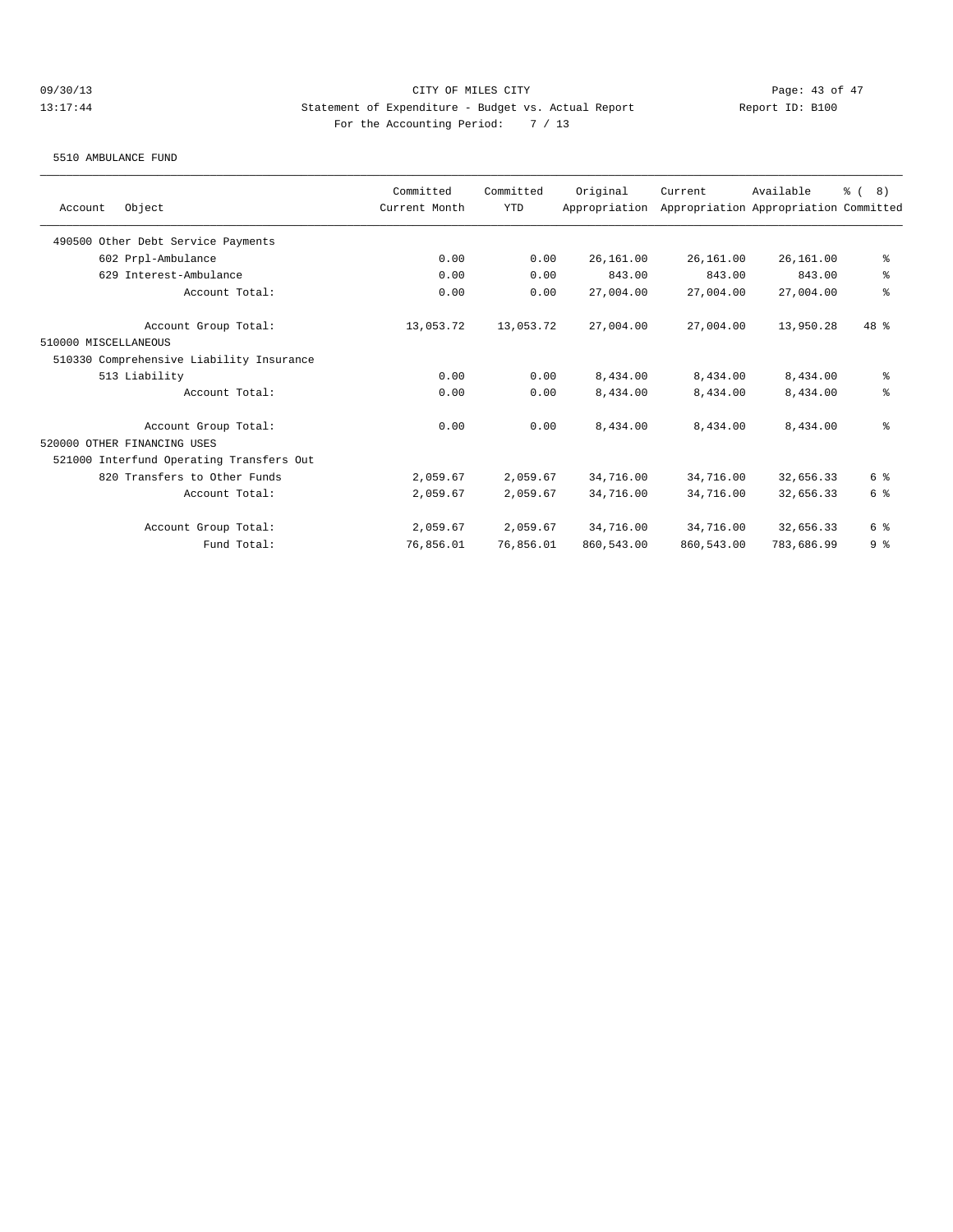#### 5510 AMBULANCE FUND

|                                          | Committed     | Committed  | Original      | Current    | Available                             | $\frac{6}{6}$ ( 8) |
|------------------------------------------|---------------|------------|---------------|------------|---------------------------------------|--------------------|
| Object<br>Account                        | Current Month | <b>YTD</b> | Appropriation |            | Appropriation Appropriation Committed |                    |
| 490500 Other Debt Service Payments       |               |            |               |            |                                       |                    |
| 602 Prpl-Ambulance                       | 0.00          | 0.00       | 26,161.00     | 26,161.00  | 26,161.00                             | နွ                 |
| 629 Interest-Ambulance                   | 0.00          | 0.00       | 843.00        | 843.00     | 843.00                                | ి                  |
| Account Total:                           | 0.00          | 0.00       | 27,004.00     | 27,004.00  | 27,004.00                             | $\epsilon$         |
| Account Group Total:                     | 13,053.72     | 13,053.72  | 27,004.00     | 27,004.00  | 13,950.28                             | $48*$              |
| 510000 MISCELLANEOUS                     |               |            |               |            |                                       |                    |
| 510330 Comprehensive Liability Insurance |               |            |               |            |                                       |                    |
| 513 Liability                            | 0.00          | 0.00       | 8,434.00      | 8,434.00   | 8,434.00                              | ి                  |
| Account Total:                           | 0.00          | 0.00       | 8,434.00      | 8,434.00   | 8,434.00                              | ి                  |
| Account Group Total:                     | 0.00          | 0.00       | 8,434.00      | 8,434.00   | 8,434.00                              | နွ                 |
| 520000 OTHER FINANCING USES              |               |            |               |            |                                       |                    |
| 521000 Interfund Operating Transfers Out |               |            |               |            |                                       |                    |
| 820 Transfers to Other Funds             | 2,059.67      | 2,059.67   | 34,716.00     | 34,716.00  | 32,656.33                             | 6 %                |
| Account Total:                           | 2,059.67      | 2,059.67   | 34,716.00     | 34,716.00  | 32,656.33                             | 6 %                |
| Account Group Total:                     | 2,059.67      | 2,059.67   | 34,716.00     | 34,716.00  | 32,656.33                             | 6 %                |
| Fund Total:                              | 76,856.01     | 76,856.01  | 860,543.00    | 860,543.00 | 783,686.99                            | 9 <sup>8</sup>     |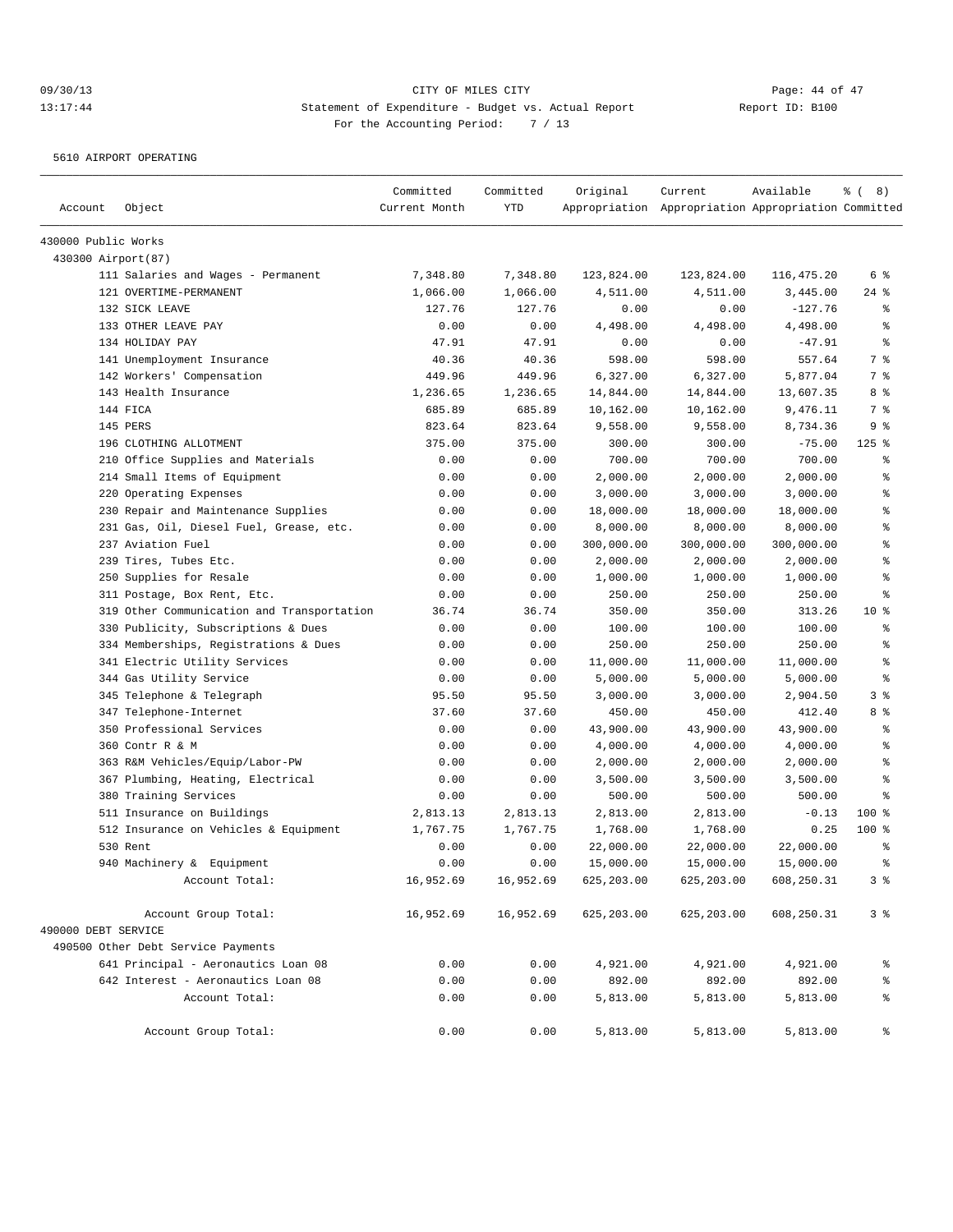5610 AIRPORT OPERATING

| Account             | Object                                     | Committed<br>Current Month | Committed<br>YTD | Original    | Current<br>Appropriation Appropriation Appropriation Committed | Available  | $\frac{6}{6}$ ( 8) |
|---------------------|--------------------------------------------|----------------------------|------------------|-------------|----------------------------------------------------------------|------------|--------------------|
| 430000 Public Works |                                            |                            |                  |             |                                                                |            |                    |
| 430300 Airport (87) |                                            |                            |                  |             |                                                                |            |                    |
|                     | 111 Salaries and Wages - Permanent         | 7,348.80                   | 7,348.80         | 123,824.00  | 123,824.00                                                     | 116,475.20 | 6 %                |
|                     | 121 OVERTIME-PERMANENT                     | 1,066.00                   | 1,066.00         | 4,511.00    | 4,511.00                                                       | 3,445.00   | $24$ %             |
|                     | 132 SICK LEAVE                             | 127.76                     | 127.76           | 0.00        | 0.00                                                           | $-127.76$  | နွ                 |
|                     | 133 OTHER LEAVE PAY                        | 0.00                       | 0.00             | 4,498.00    | 4,498.00                                                       | 4,498.00   | ి                  |
|                     | 134 HOLIDAY PAY                            | 47.91                      | 47.91            | 0.00        | 0.00                                                           | $-47.91$   | နွ                 |
|                     | 141 Unemployment Insurance                 | 40.36                      | 40.36            | 598.00      | 598.00                                                         | 557.64     | 7 %                |
|                     | 142 Workers' Compensation                  | 449.96                     | 449.96           | 6,327.00    | 6,327.00                                                       | 5,877.04   | 7 %                |
|                     | 143 Health Insurance                       | 1,236.65                   | 1,236.65         | 14,844.00   | 14,844.00                                                      | 13,607.35  | 8 %                |
|                     | 144 FICA                                   | 685.89                     | 685.89           | 10,162.00   | 10,162.00                                                      | 9,476.11   | 7 %                |
|                     | 145 PERS                                   | 823.64                     | 823.64           | 9,558.00    | 9,558.00                                                       | 8,734.36   | 9 %                |
|                     | 196 CLOTHING ALLOTMENT                     | 375.00                     | 375.00           | 300.00      | 300.00                                                         | $-75.00$   | $125$ %            |
|                     | 210 Office Supplies and Materials          | 0.00                       | 0.00             | 700.00      | 700.00                                                         | 700.00     | န္                 |
|                     | 214 Small Items of Equipment               | 0.00                       | 0.00             | 2,000.00    | 2,000.00                                                       | 2,000.00   | ៖                  |
|                     | 220 Operating Expenses                     | 0.00                       | 0.00             | 3,000.00    | 3,000.00                                                       | 3,000.00   | နွ                 |
|                     | 230 Repair and Maintenance Supplies        | 0.00                       | 0.00             | 18,000.00   | 18,000.00                                                      | 18,000.00  | န္                 |
|                     | 231 Gas, Oil, Diesel Fuel, Grease, etc.    | 0.00                       | 0.00             | 8,000.00    | 8,000.00                                                       | 8,000.00   | န္                 |
|                     | 237 Aviation Fuel                          | 0.00                       | 0.00             | 300,000.00  | 300,000.00                                                     | 300,000.00 | $\,$ %             |
|                     | 239 Tires, Tubes Etc.                      | 0.00                       | 0.00             | 2,000.00    | 2,000.00                                                       | 2,000.00   | $\,$ %             |
|                     | 250 Supplies for Resale                    | 0.00                       | 0.00             | 1,000.00    | 1,000.00                                                       | 1,000.00   | န္                 |
|                     | 311 Postage, Box Rent, Etc.                | 0.00                       | 0.00             | 250.00      | 250.00                                                         | 250.00     | ి                  |
|                     | 319 Other Communication and Transportation | 36.74                      | 36.74            | 350.00      | 350.00                                                         | 313.26     | $10*$              |
|                     | 330 Publicity, Subscriptions & Dues        | 0.00                       | 0.00             | 100.00      | 100.00                                                         | 100.00     | န္                 |
|                     | 334 Memberships, Registrations & Dues      | 0.00                       | 0.00             | 250.00      | 250.00                                                         | 250.00     | ៖                  |
|                     | 341 Electric Utility Services              | 0.00                       | 0.00             | 11,000.00   | 11,000.00                                                      | 11,000.00  | န္                 |
|                     | 344 Gas Utility Service                    | 0.00                       | 0.00             | 5,000.00    | 5,000.00                                                       | 5,000.00   | ి                  |
|                     | 345 Telephone & Telegraph                  | 95.50                      | 95.50            | 3,000.00    | 3,000.00                                                       | 2,904.50   | 3%                 |
|                     | 347 Telephone-Internet                     | 37.60                      | 37.60            | 450.00      | 450.00                                                         | 412.40     | 8 %                |
|                     | 350 Professional Services                  | 0.00                       | 0.00             | 43,900.00   | 43,900.00                                                      | 43,900.00  | နွ                 |
|                     | 360 Contr R & M                            | 0.00                       | 0.00             | 4,000.00    | 4,000.00                                                       | 4,000.00   | နွ                 |
|                     | 363 R&M Vehicles/Equip/Labor-PW            | 0.00                       | 0.00             | 2,000.00    | 2,000.00                                                       | 2,000.00   | ి                  |
|                     | 367 Plumbing, Heating, Electrical          | 0.00                       | 0.00             | 3,500.00    | 3,500.00                                                       | 3,500.00   | န္                 |
|                     | 380 Training Services                      | 0.00                       | 0.00             | 500.00      | 500.00                                                         | 500.00     | ి                  |
|                     | 511 Insurance on Buildings                 | 2,813.13                   | 2,813.13         | 2,813.00    | 2,813.00                                                       | $-0.13$    | $100$ %            |
|                     | 512 Insurance on Vehicles & Equipment      | 1,767.75                   | 1,767.75         | 1,768.00    | 1,768.00                                                       | 0.25       | $100$ %            |
|                     | 530 Rent                                   | 0.00                       | 0.00             | 22,000.00   | 22,000.00                                                      | 22,000.00  | နွ                 |
|                     | 940 Machinery & Equipment                  | 0.00                       | 0.00             | 15,000.00   | 15,000.00                                                      | 15,000.00  | ÷                  |
|                     | Account Total:                             | 16,952.69                  | 16,952.69        | 625, 203.00 | 625, 203.00                                                    | 608,250.31 | 3%                 |
|                     | Account Group Total:                       | 16,952.69                  | 16,952.69        | 625,203.00  | 625,203.00                                                     | 608,250.31 | 3%                 |
| 490000 DEBT SERVICE |                                            |                            |                  |             |                                                                |            |                    |
|                     | 490500 Other Debt Service Payments         |                            |                  |             |                                                                |            |                    |
|                     | 641 Principal - Aeronautics Loan 08        | 0.00                       | 0.00             | 4,921.00    | 4,921.00                                                       | 4,921.00   | ိင                 |
|                     | 642 Interest - Aeronautics Loan 08         | 0.00                       | 0.00             | 892.00      | 892.00                                                         | 892.00     | ್ಠಿ                |
|                     | Account Total:                             | 0.00                       | 0.00             | 5,813.00    | 5,813.00                                                       | 5,813.00   | ್ಠಿ                |
|                     | Account Group Total:                       | 0.00                       | 0.00             | 5,813.00    | 5,813.00                                                       | 5,813.00   | ွေ                 |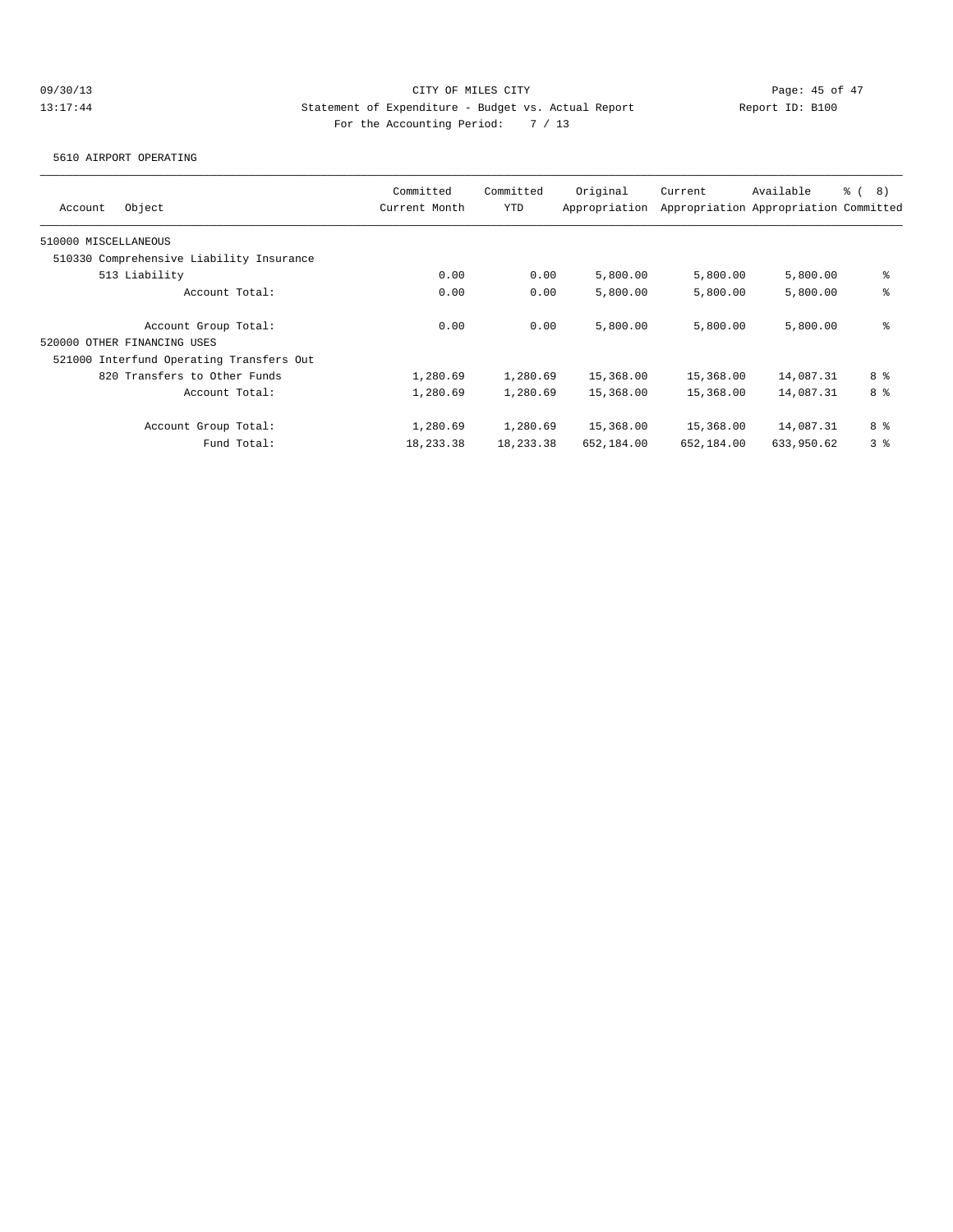5610 AIRPORT OPERATING

| Object<br>Account                        | Committed<br>Current Month | Committed<br><b>YTD</b> | Original<br>Appropriation | Current    | Available<br>Appropriation Appropriation Committed | <sub>රි</sub> ( 8 ) |
|------------------------------------------|----------------------------|-------------------------|---------------------------|------------|----------------------------------------------------|---------------------|
| 510000 MISCELLANEOUS                     |                            |                         |                           |            |                                                    |                     |
| 510330 Comprehensive Liability Insurance |                            |                         |                           |            |                                                    |                     |
| 513 Liability                            | 0.00                       | 0.00                    | 5,800.00                  | 5,800.00   | 5,800.00                                           | နွ                  |
| Account Total:                           | 0.00                       | 0.00                    | 5,800.00                  | 5,800.00   | 5,800.00                                           | နွ                  |
| Account Group Total:                     | 0.00                       | 0.00                    | 5,800.00                  | 5,800.00   | 5,800.00                                           | နွ                  |
| 520000 OTHER FINANCING USES              |                            |                         |                           |            |                                                    |                     |
| 521000 Interfund Operating Transfers Out |                            |                         |                           |            |                                                    |                     |
| 820 Transfers to Other Funds             | 1,280.69                   | 1,280.69                | 15,368.00                 | 15,368.00  | 14,087.31                                          | 8 %                 |
| Account Total:                           | 1,280.69                   | 1,280.69                | 15,368.00                 | 15,368.00  | 14,087.31                                          | 8 %                 |
| Account Group Total:                     | 1,280.69                   | 1,280.69                | 15,368.00                 | 15,368.00  | 14,087.31                                          | 8 %                 |
| Fund Total:                              | 18,233.38                  | 18,233.38               | 652,184.00                | 652,184.00 | 633,950.62                                         | 3 <sup>8</sup>      |